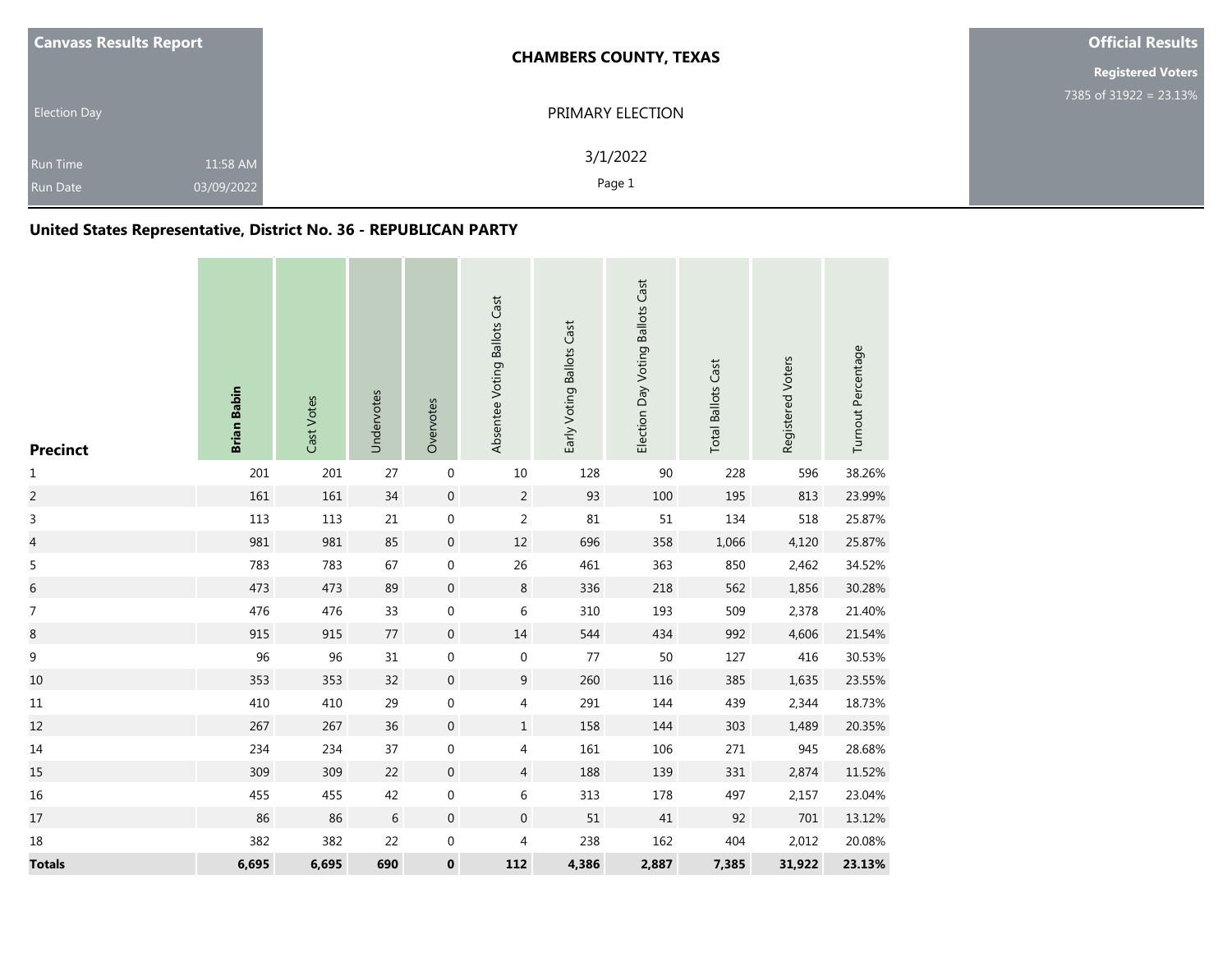| <b>Canvass Results Report</b>      |                        | <b>CHAMBERS COUNTY, TEXAS</b> | <b>Official Results</b>  |  |  |
|------------------------------------|------------------------|-------------------------------|--------------------------|--|--|
|                                    |                        |                               | <b>Registered Voters</b> |  |  |
| <b>Election Day</b>                |                        | PRIMARY ELECTION              | 7385 of 31922 = 23.13%   |  |  |
| <b>Run Time</b><br><b>Run Date</b> | 11:58 AM<br>03/09/2022 | 3/1/2022<br>Page 1            |                          |  |  |

# **United States Representative, District No. 36 - REPUBLICAN PARTY**

| <b>Precinct</b>          | <b>Brian Babin</b> | Cast Votes | Undervotes  | Overvotes        | Absentee Voting Ballots Cast | Early Voting Ballots Cast | Election Day Voting Ballots Cast | <b>Total Ballots Cast</b> | Registered Voters | Turnout Percentage |
|--------------------------|--------------------|------------|-------------|------------------|------------------------------|---------------------------|----------------------------------|---------------------------|-------------------|--------------------|
| 1                        | 201                | 201        | 27          | $\boldsymbol{0}$ | $10\,$                       | 128                       | $90\,$                           | 228                       | 596               | 38.26%             |
| $\overline{c}$           | 161                | 161        | 34          | $\boldsymbol{0}$ | $\overline{2}$               | 93                        | 100                              | 195                       | 813               | 23.99%             |
| 3                        | 113                | 113        | 21          | $\boldsymbol{0}$ | $\overline{2}$               | $81\,$                    | $51\,$                           | 134                       | 518               | 25.87%             |
| $\overline{\mathcal{L}}$ | 981                | 981        | 85          | $\mathbf 0$      | 12                           | 696                       | 358                              | 1,066                     | 4,120             | 25.87%             |
| 5                        | 783                | 783        | 67          | $\boldsymbol{0}$ | 26                           | 461                       | 363                              | 850                       | 2,462             | 34.52%             |
| $\,$ 6 $\,$              | 473                | 473        | 89          | $\boldsymbol{0}$ | $\,8\,$                      | 336                       | 218                              | 562                       | 1,856             | 30.28%             |
| 7                        | 476                | 476        | 33          | $\boldsymbol{0}$ | 6                            | 310                       | 193                              | 509                       | 2,378             | 21.40%             |
| $\bf 8$                  | 915                | 915        | $77\,$      | $\boldsymbol{0}$ | 14                           | 544                       | 434                              | 992                       | 4,606             | 21.54%             |
| 9                        | 96                 | 96         | $31\,$      | $\pmb{0}$        | 0                            | 77                        | $50\,$                           | 127                       | 416               | 30.53%             |
| $10\,$                   | 353                | 353        | 32          | $\boldsymbol{0}$ | 9                            | 260                       | 116                              | 385                       | 1,635             | 23.55%             |
| 11                       | 410                | 410        | 29          | $\boldsymbol{0}$ | 4                            | 291                       | 144                              | 439                       | 2,344             | 18.73%             |
| 12                       | 267                | 267        | 36          | $\boldsymbol{0}$ | $1\,$                        | 158                       | 144                              | 303                       | 1,489             | 20.35%             |
| $14\,$                   | 234                | 234        | $37\,$      | $\boldsymbol{0}$ | 4                            | 161                       | 106                              | 271                       | 945               | 28.68%             |
| 15                       | 309                | 309        | 22          | $\mathbf 0$      | $\overline{4}$               | 188                       | 139                              | 331                       | 2,874             | 11.52%             |
| 16                       | 455                | 455        | 42          | $\mathbf 0$      | 6                            | 313                       | 178                              | 497                       | 2,157             | 23.04%             |
| 17                       | 86                 | 86         | $\,$ 6 $\,$ | $\boldsymbol{0}$ | $\boldsymbol{0}$             | 51                        | $41\,$                           | 92                        | 701               | 13.12%             |
| $18\,$                   | 382                | 382        | 22          | $\boldsymbol{0}$ | 4                            | 238                       | 162                              | 404                       | 2,012             | 20.08%             |
| <b>Totals</b>            | 6,695              | 6,695      | 690         | $\pmb{0}$        | 112                          | 4,386                     | 2,887                            | 7,385                     | 31,922            | 23.13%             |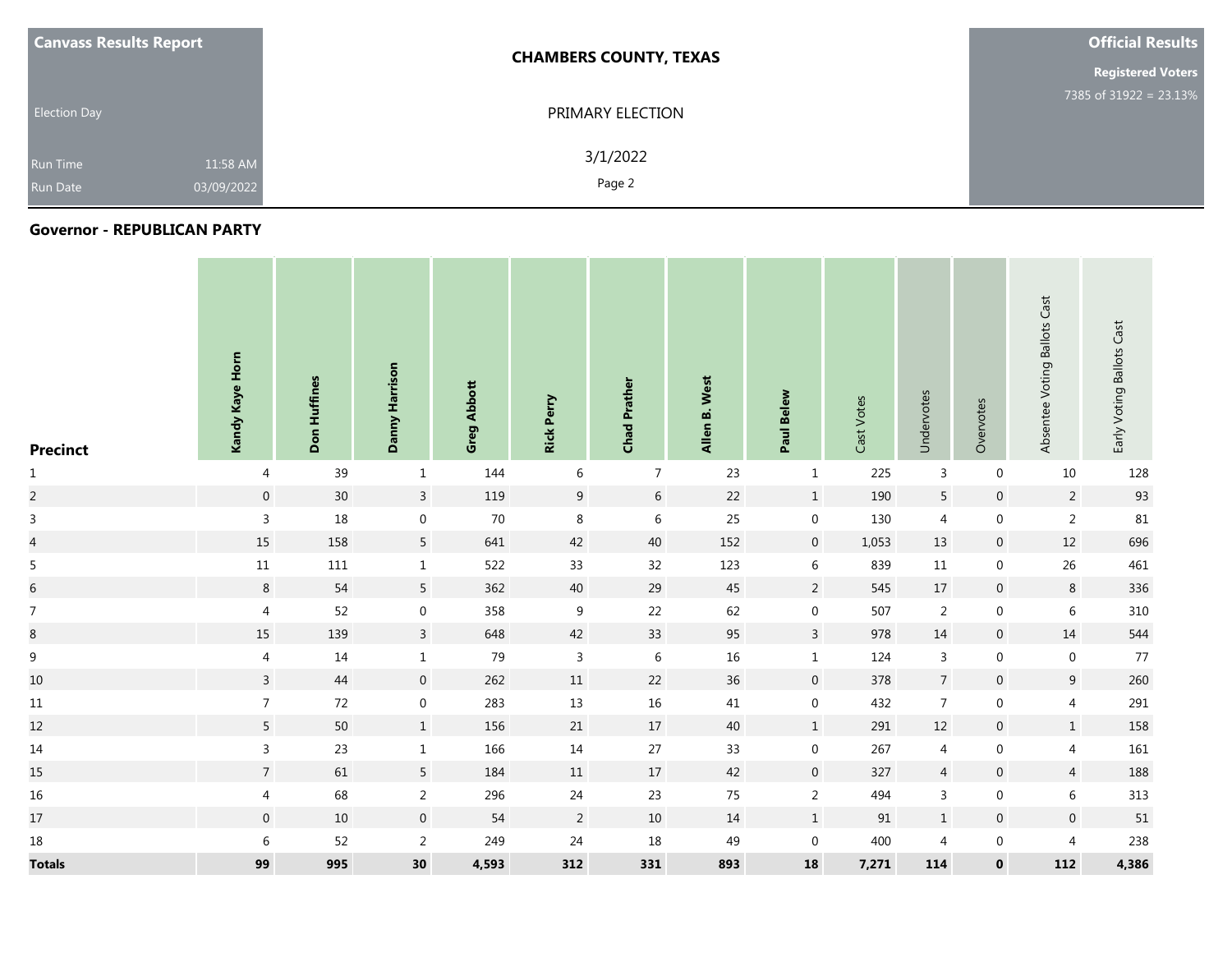| <b>Canvass Results Report</b> |                        | <b>CHAMBERS COUNTY, TEXAS</b> | <b>Official Results</b>  |  |  |
|-------------------------------|------------------------|-------------------------------|--------------------------|--|--|
|                               |                        |                               | <b>Registered Voters</b> |  |  |
| <b>Election Day</b>           |                        | PRIMARY ELECTION              | 7385 of 31922 = 23.13%   |  |  |
| Run Time<br><b>Run Date</b>   | 11:58 AM<br>03/09/2022 | 3/1/2022<br>Page 2            |                          |  |  |

#### **Governor - REPUBLICAN PARTY**

| <b>Precinct</b>  | Kandy Kaye Horn | Don Huffines | Danny Harrison   | Greg Abbott | <b>Rick Perry</b> | <b>Chad Prather</b> | Allen B. West | Paul Belew       | Cast Votes | Undervotes      | Overvotes        | Absentee Voting Ballots Cast | Early Voting Ballots Cast |
|------------------|-----------------|--------------|------------------|-------------|-------------------|---------------------|---------------|------------------|------------|-----------------|------------------|------------------------------|---------------------------|
| $\mathbf 1$      | 4               | 39           | $\,1\,$          | 144         | $\,$ 6 $\,$       | $\overline{7}$      | 23            | $\mathbf{1}$     | 225        | $\mathsf 3$     | $\boldsymbol{0}$ | $10\,$                       | 128                       |
| $\overline{c}$   | $\mathbf 0$     | $30\,$       | $\mathbf{3}$     | 119         | $\boldsymbol{9}$  | $\sqrt{6}$          | 22            | $\mathbf{1}$     | 190        | $5\phantom{.0}$ | $\boldsymbol{0}$ | $\overline{2}$               | 93                        |
| $\mathsf{3}$     | $\mathsf{3}$    | $18\,$       | $\boldsymbol{0}$ | 70          | $\,8\,$           | $\,$ 6 $\,$         | 25            | $\boldsymbol{0}$ | 130        | $\overline{4}$  | $\boldsymbol{0}$ | $\overline{2}$               | $81\,$                    |
| $\overline{a}$   | 15              | 158          | $5\phantom{.0}$  | 641         | 42                | $40\,$              | 152           | $\boldsymbol{0}$ | 1,053      | 13              | $\boldsymbol{0}$ | 12                           | 696                       |
| $\overline{5}$   | $11\,$          | $111\,$      | $\mathbf{1}$     | 522         | 33                | 32                  | 123           | $\sqrt{6}$       | 839        | $11\,$          | $\boldsymbol{0}$ | $26\,$                       | 461                       |
| $\overline{6}$   | $\,8\,$         | 54           | $\sqrt{5}$       | 362         | $40\,$            | 29                  | 45            | $\overline{c}$   | 545        | $17$            | $\boldsymbol{0}$ | $\bf 8$                      | 336                       |
| $\boldsymbol{7}$ | $\overline{4}$  | 52           | $\boldsymbol{0}$ | 358         | $\overline{9}$    | $22\,$              | 62            | $\boldsymbol{0}$ | 507        | $\overline{2}$  | $\boldsymbol{0}$ | $\,6\,$                      | $310\,$                   |
| $\bf{8}$         | $15\,$          | 139          | $\overline{3}$   | 648         | 42                | $33\,$              | 95            | $\overline{3}$   | 978        | 14              | $\boldsymbol{0}$ | 14                           | 544                       |
| $\overline{9}$   | 4               | 14           | $\mathbf{1}$     | 79          | $\mathsf{3}$      | $\,6\,$             | 16            | $\mathbf{1}$     | 124        | $\mathbf{3}$    | $\boldsymbol{0}$ | $\mathbf 0$                  | 77                        |
| $10\,$           | $\mathbf{3}$    | 44           | $\boldsymbol{0}$ | 262         | $11\,$            | $22\,$              | 36            | $\boldsymbol{0}$ | 378        | $\overline{7}$  | $\boldsymbol{0}$ | $\boldsymbol{9}$             | 260                       |
| $11\,$           | 7 <sup>7</sup>  | 72           | $\boldsymbol{0}$ | 283         | 13                | $16\,$              | 41            | $\boldsymbol{0}$ | 432        | $\overline{7}$  | $\boldsymbol{0}$ | $\overline{4}$               | 291                       |
| 12               | 5 <sup>1</sup>  | $50\,$       | $\,1\,$          | 156         | $21\,$            | $17$                | 40            | $1\,$            | 291        | 12              | $\boldsymbol{0}$ | $\mathbf{1}$                 | 158                       |
| 14               | $\overline{3}$  | 23           | $\mathbf{1}$     | 166         | 14                | $27\,$              | $33\,$        | $\mathbf 0$      | 267        | $\overline{4}$  | $\boldsymbol{0}$ | $\overline{4}$               | $161\,$                   |
| 15               | $7\overline{ }$ | $61\,$       | $5\phantom{.0}$  | 184         | $11\,$            | $17\,$              | 42            | $\boldsymbol{0}$ | 327        | $\overline{4}$  | $\boldsymbol{0}$ | $\overline{4}$               | 188                       |
| 16               | 4               | 68           | $\overline{2}$   | 296         | 24                | 23                  | 75            | $\overline{2}$   | 494        | $\mathsf 3$     | $\boldsymbol{0}$ | 6                            | 313                       |
| $17\,$           | $\mathbf 0$     | $10\,$       | $\boldsymbol{0}$ | 54          | $\overline{2}$    | $10$                | 14            | $1\,$            | 91         | $1\,$           | $\boldsymbol{0}$ | $\mathbf 0$                  | $51\,$                    |
| $18\,$           | 6               | 52           | $\overline{2}$   | 249         | 24                | 18                  | 49            | $\boldsymbol{0}$ | 400        | 4               | $\boldsymbol{0}$ | $\overline{4}$               | 238                       |
| <b>Totals</b>    | 99              | 995          | 30               | 4,593       | 312               | 331                 | 893           | ${\bf 18}$       | 7,271      | 114             | $\pmb{0}$        | 112                          | 4,386                     |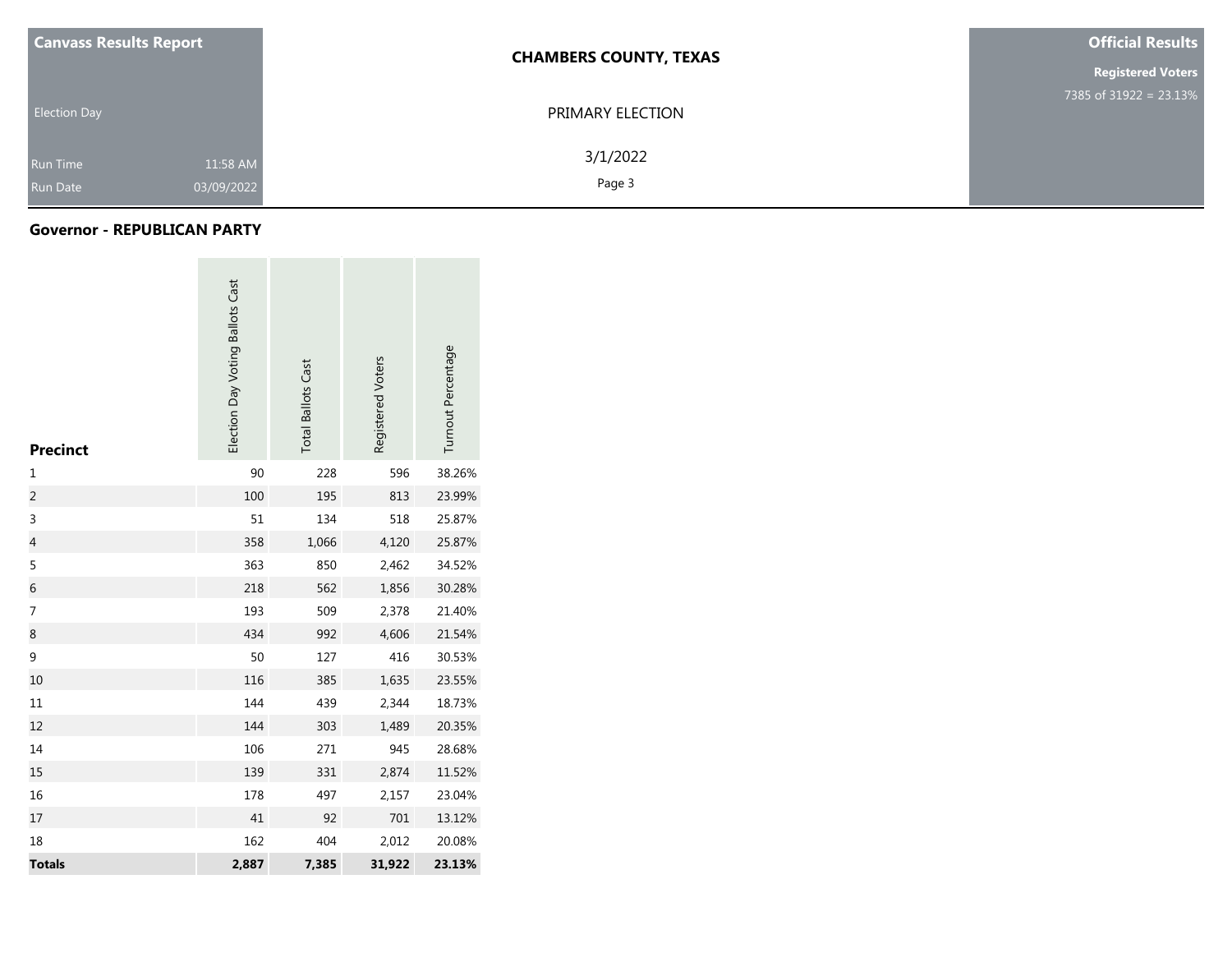| <b>Canvass Results Report</b> |            | <b>CHAMBERS COUNTY, TEXAS</b> | <b>Official Results</b>  |  |  |
|-------------------------------|------------|-------------------------------|--------------------------|--|--|
|                               |            |                               | <b>Registered Voters</b> |  |  |
| <b>Election Day</b>           |            |                               | 7385 of 31922 = 23.13%   |  |  |
|                               |            | PRIMARY ELECTION              |                          |  |  |
|                               |            | 3/1/2022                      |                          |  |  |
| <b>Run Time</b>               | 11:58 AM   |                               |                          |  |  |
| <b>Run Date</b>               | 03/09/2022 | Page 3                        |                          |  |  |

#### **Governor - REPUBLICAN PARTY**

| <b>Precinct</b> | Election Day Voting Ballots Cast | <b>Total Ballots Cast</b> | Registered Voters | Turnout Percentage |
|-----------------|----------------------------------|---------------------------|-------------------|--------------------|
| 1               | 90                               | 228                       | 596               | 38.26%             |
| $\overline{2}$  | 100                              | 195                       | 813               | 23.99%             |
| 3               | 51                               | 134                       | 518               | 25.87%             |
| 4               | 358                              | 1,066                     | 4,120             | 25.87%             |
| 5               | 363                              | 850                       | 2,462             | 34.52%             |
| 6               | 218                              | 562                       | 1,856             | 30.28%             |
| 7               | 193                              | 509                       | 2,378             | 21.40%             |
| 8               | 434                              | 992                       | 4,606             | 21.54%             |
| 9               | 50                               | 127                       | 416               | 30.53%             |
| 10              | 116                              | 385                       | 1,635             | 23.55%             |
| 11              | 144                              | 439                       | 2,344             | 18.73%             |
| 12              | 144                              | 303                       | 1,489             | 20.35%             |
| 14              | 106                              | 271                       | 945               | 28.68%             |
| 15              | 139                              | 331                       | 2,874             | 11.52%             |
| 16              | 178                              | 497                       | 2,157             | 23.04%             |
| 17              | 41                               | 92                        | 701               | 13.12%             |
| 18              | 162                              | 404                       | 2,012             | 20.08%             |
| <b>Totals</b>   | 2,887                            | 7,385                     | 31,922            | 23.13%             |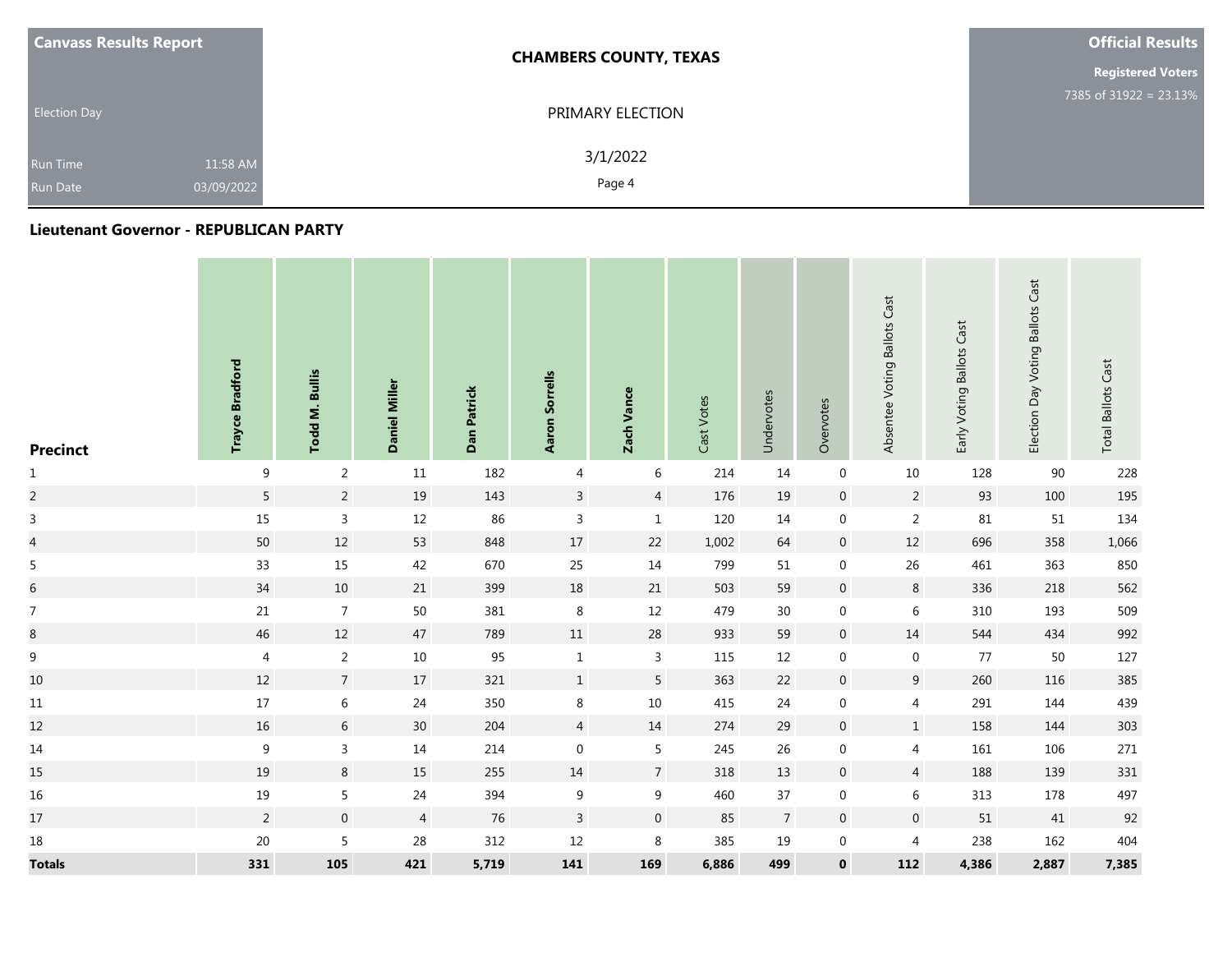| <b>Canvass Results Report</b> |            | <b>CHAMBERS COUNTY, TEXAS</b> | <b>Official Results</b>  |  |  |  |
|-------------------------------|------------|-------------------------------|--------------------------|--|--|--|
|                               |            |                               | <b>Registered Voters</b> |  |  |  |
| <b>Election Day</b>           |            |                               | 7385 of 31922 = 23.13%   |  |  |  |
|                               |            | PRIMARY ELECTION              |                          |  |  |  |
|                               |            |                               |                          |  |  |  |
| <b>Run Time</b>               | 11:58 AM   | 3/1/2022                      |                          |  |  |  |
| <b>Run Date</b>               | 03/09/2022 | Page 4                        |                          |  |  |  |

#### **Lieutenant Governor - REPUBLICAN PARTY**

| <b>Precinct</b> | <b>Trayce Bradford</b> | Todd M. Bullis      | Daniel Miller  | Dan Patrick | <b>Aaron Sorrells</b> | Zach Vance       | Cast Votes | Undervotes     | Overvotes           | Absentee Voting Ballots Cast | Early Voting Ballots Cast | Election Day Voting Ballots Cast | <b>Total Ballots Cast</b> |
|-----------------|------------------------|---------------------|----------------|-------------|-----------------------|------------------|------------|----------------|---------------------|------------------------------|---------------------------|----------------------------------|---------------------------|
| $\mathbf{1}$    | 9                      | $\overline{2}$      | $11\,$         | 182         | 4                     | 6                | 214        | 14             | $\boldsymbol{0}$    | 10                           | 128                       | 90                               | 228                       |
| $\overline{a}$  | 5                      | $\overline{2}$      | 19             | 143         | $\overline{3}$        | $\overline{4}$   | 176        | 19             | $\boldsymbol{0}$    | $\overline{2}$               | 93                        | 100                              | 195                       |
| $\mathsf{3}$    | $15\,$                 | $\overline{3}$      | 12             | 86          | $\overline{3}$        | $\,1\,$          | 120        | 14             | $\boldsymbol{0}$    | $\overline{2}$               | 81                        | 51                               | 134                       |
| $\overline{a}$  | $50\,$                 | $12\,$              | 53             | 848         | $17$                  | 22               | 1,002      | 64             | $\mathsf{O}\xspace$ | 12                           | 696                       | 358                              | 1,066                     |
| $5\phantom{.0}$ | 33                     | $15\,$              | 42             | 670         | 25                    | $14\,$           | 799        | 51             | $\boldsymbol{0}$    | 26                           | 461                       | 363                              | 850                       |
| $\overline{6}$  | 34                     | $10\,$              | 21             | 399         | $18\,$                | $21\,$           | 503        | 59             | $\boldsymbol{0}$    | $\,8\,$                      | 336                       | 218                              | 562                       |
| $\overline{7}$  | 21                     | $\boldsymbol{7}$    | $50\,$         | 381         | $\,8\,$               | $12\,$           | 479        | $30\,$         | $\boldsymbol{0}$    | $\,6\,$                      | 310                       | 193                              | 509                       |
| $\overline{8}$  | 46                     | $12\,$              | 47             | 789         | $11\,$                | 28               | 933        | 59             | $\boldsymbol{0}$    | 14                           | 544                       | 434                              | 992                       |
| $\overline{9}$  | 4                      | $\overline{2}$      | $10\,$         | 95          | $1\,$                 | $\mathsf{3}$     | 115        | 12             | $\boldsymbol{0}$    | $\boldsymbol{0}$             | 77                        | $50\,$                           | 127                       |
| $10\,$          | 12                     | $\overline{7}$      | 17             | 321         | $1\,$                 | $5\phantom{.}$   | 363        | 22             | $\boldsymbol{0}$    | $\boldsymbol{9}$             | 260                       | 116                              | 385                       |
| $11\,$          | $17$                   | $\,$ 6 $\,$         | 24             | 350         | $\,8\,$               | $10\,$           | 415        | 24             | $\boldsymbol{0}$    | $\overline{4}$               | 291                       | 144                              | 439                       |
| $12\,$          | $16\,$                 | $\sqrt{6}$          | $30\,$         | 204         | $\overline{4}$        | 14               | 274        | 29             | $\boldsymbol{0}$    | $\,1\,$                      | 158                       | 144                              | 303                       |
| $14\,$          | 9                      | $\mathsf{3}$        | $14\,$         | 214         | $\boldsymbol{0}$      | $\sqrt{5}$       | 245        | $26\,$         | $\boldsymbol{0}$    | $\overline{4}$               | 161                       | 106                              | $271\,$                   |
| 15              | 19                     | $\,8\,$             | 15             | 255         | 14                    | $\overline{7}$   | 318        | 13             | $\boldsymbol{0}$    | $\overline{4}$               | 188                       | 139                              | 331                       |
| 16              | 19                     | $\overline{5}$      | 24             | 394         | $\boldsymbol{9}$      | 9                | 460        | $37\,$         | $\boldsymbol{0}$    | $\,6\,$                      | 313                       | 178                              | 497                       |
| 17              | $\overline{2}$         | $\mathsf{O}\xspace$ | $\overline{4}$ | 76          | $\overline{3}$        | $\boldsymbol{0}$ | 85         | $\overline{7}$ | $\boldsymbol{0}$    | $\mathbf 0$                  | $51\,$                    | 41                               | 92                        |
| $18\,$          | $20\,$                 | 5                   | 28             | 312         | 12                    | $\,8\,$          | 385        | 19             | $\boldsymbol{0}$    | $\overline{4}$               | 238                       | 162                              | 404                       |
| <b>Totals</b>   | 331                    | 105                 | 421            | 5,719       | 141                   | 169              | 6,886      | 499            | $\pmb{0}$           | 112                          | 4,386                     | 2,887                            | 7,385                     |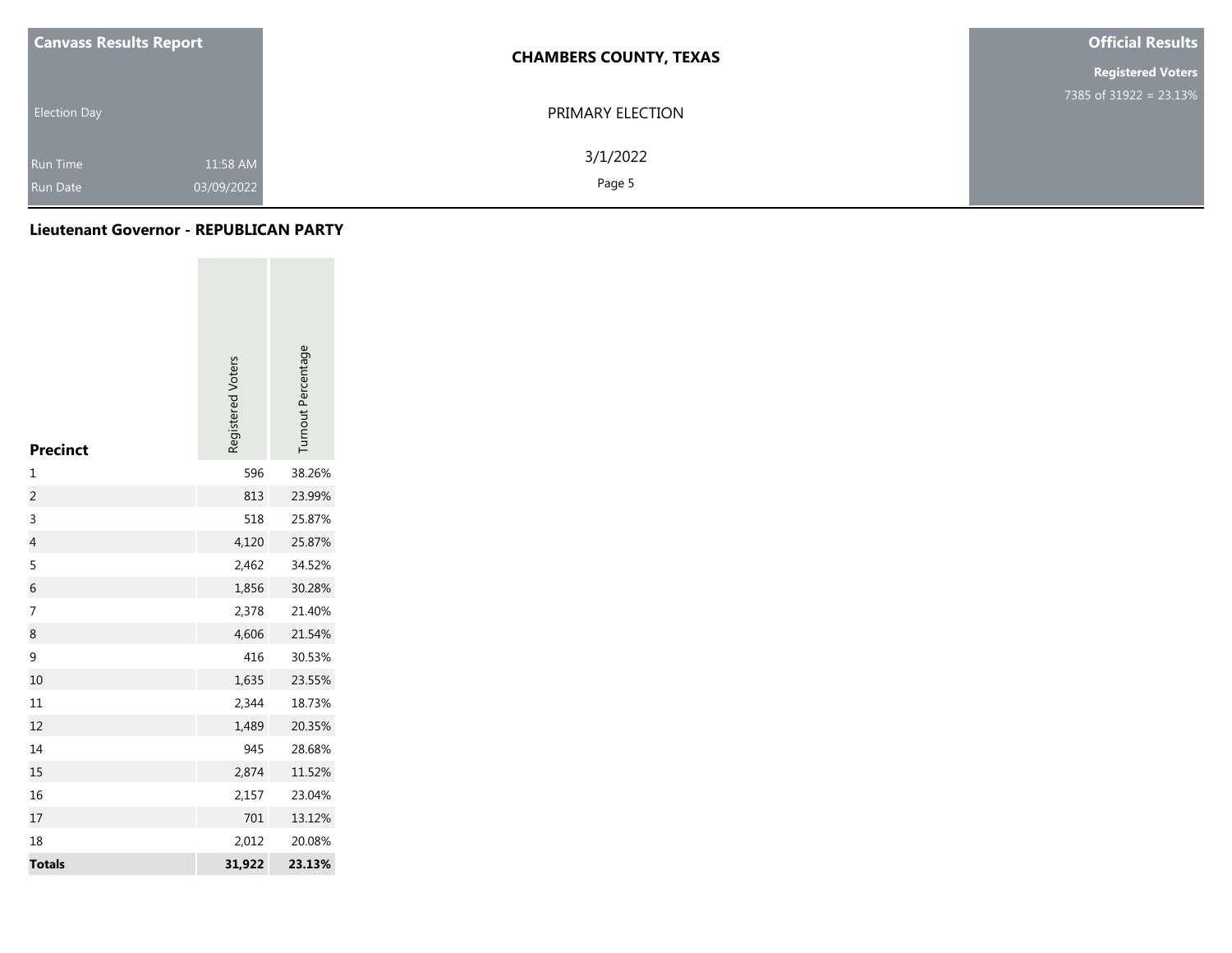| <b>Canvass Results Report</b> |            | <b>CHAMBERS COUNTY, TEXAS</b> | <b>Official Results</b>  |  |  |
|-------------------------------|------------|-------------------------------|--------------------------|--|--|
|                               |            |                               | <b>Registered Voters</b> |  |  |
| <b>Election Day</b>           |            | PRIMARY ELECTION              | 7385 of 31922 = 23.13%   |  |  |
| <b>Run Time</b>               | 11:58 AM   | 3/1/2022                      |                          |  |  |
| <b>Run Date</b>               | 03/09/2022 | Page 5                        |                          |  |  |

#### **Lieutenant Governor - REPUBLICAN PARTY**

| Precinct       | Registered Voters | Turnout Percentage |
|----------------|-------------------|--------------------|
| 1              | 596               | 38.26%             |
| $\overline{2}$ | 813               | 23.99%             |
| 3              | 518               | 25.87%             |
| 4              | 4,120             | 25.87%             |
| 5              | 2,462             | 34.52%             |
| 6              | 1,856             | 30.28%             |
| 7              | 2,378             | 21.40%             |
| 8              | 4,606             | 21.54%             |
| 9              | 416               | 30.53%             |
| 10             | 1,635             | 23.55%             |
| 11             | 2,344             | 18.73%             |
| 12             | 1,489             | 20.35%             |
| 14             | 945               | 28.68%             |
| 15             | 2,874             | 11.52%             |
| 16             | 2,157             | 23.04%             |
| 17             | 701               | 13.12%             |
| 18             | 2,012             | 20.08%             |
| <b>Totals</b>  | 31,922            | 23.13%             |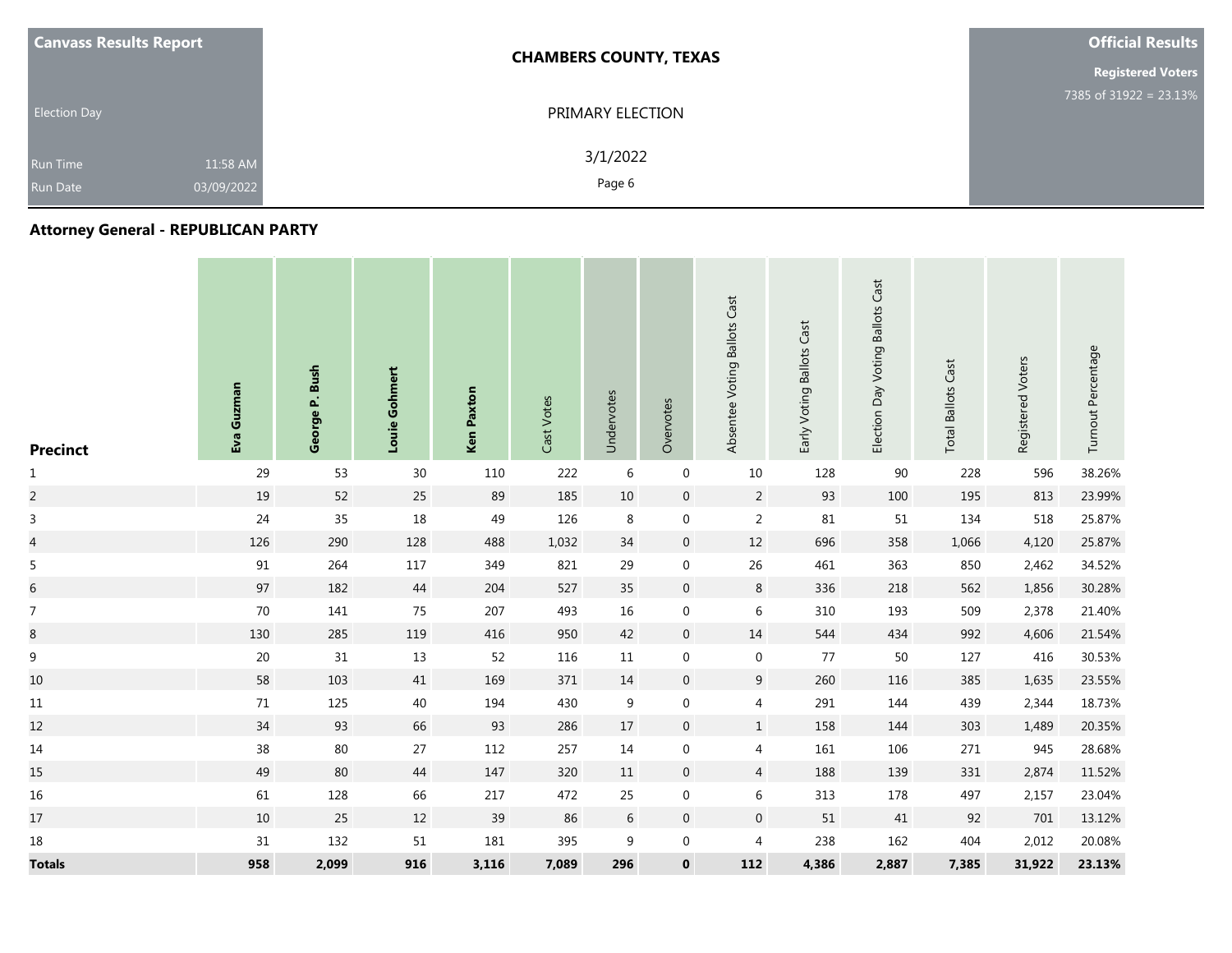| <b>Canvass Results Report</b>      |                        | <b>CHAMBERS COUNTY, TEXAS</b> | <b>Official Results</b>  |  |  |
|------------------------------------|------------------------|-------------------------------|--------------------------|--|--|
|                                    |                        |                               | <b>Registered Voters</b> |  |  |
| <b>Election Day</b>                |                        | PRIMARY ELECTION              | 7385 of 31922 = 23.13%   |  |  |
| <b>Run Time</b><br><b>Run Date</b> | 11:58 AM<br>03/09/2022 | 3/1/2022<br>Page 6            |                          |  |  |

#### **Attorney General - REPUBLICAN PARTY**

| <b>Precinct</b>  | Eva Guzman | George P. Bush | Louie Gohmert | <b>Ken Paxton</b> | Cast Votes | Undervotes | Overvotes        | Absentee Voting Ballots Cast | Early Voting Ballots Cast | Election Day Voting Ballots Cast | <b>Total Ballots Cast</b> | Registered Voters | Turnout Percentage |
|------------------|------------|----------------|---------------|-------------------|------------|------------|------------------|------------------------------|---------------------------|----------------------------------|---------------------------|-------------------|--------------------|
| $\mathbf{1}$     | 29         | 53             | 30            | 110               | 222        | $\,6\,$    | $\boldsymbol{0}$ | 10                           | 128                       | 90                               | 228                       | 596               | 38.26%             |
| $\overline{a}$   | $19\,$     | 52             | 25            | 89                | 185        | $10\,$     | $\boldsymbol{0}$ | $\sqrt{2}$                   | 93                        | 100                              | 195                       | 813               | 23.99%             |
| $\mathsf{3}$     | 24         | 35             | $18\,$        | 49                | 126        | $\bf 8$    | $\boldsymbol{0}$ | $\mathbf 2$                  | $81\,$                    | 51                               | 134                       | 518               | 25.87%             |
| $\overline{4}$   | 126        | 290            | 128           | 488               | 1,032      | 34         | $\boldsymbol{0}$ | $12\,$                       | 696                       | 358                              | 1,066                     | 4,120             | 25.87%             |
| 5                | $91\,$     | 264            | $117\,$       | 349               | 821        | 29         | $\boldsymbol{0}$ | 26                           | 461                       | 363                              | 850                       | 2,462             | 34.52%             |
| $\boldsymbol{6}$ | 97         | 182            | 44            | 204               | 527        | 35         | $\boldsymbol{0}$ | $\,8\,$                      | 336                       | 218                              | 562                       | 1,856             | 30.28%             |
| $\overline{7}$   | 70         | 141            | 75            | 207               | 493        | 16         | $\boldsymbol{0}$ | $\,$ 6 $\,$                  | 310                       | 193                              | 509                       | 2,378             | 21.40%             |
| $8\phantom{1}$   | 130        | 285            | 119           | 416               | 950        | 42         | $\mathbf 0$      | 14                           | 544                       | 434                              | 992                       | 4,606             | 21.54%             |
| 9                | $20\,$     | 31             | $13\,$        | 52                | 116        | 11         | $\mathbf 0$      | $\boldsymbol{0}$             | 77                        | $50\,$                           | 127                       | 416               | 30.53%             |
| $10\,$           | 58         | 103            | 41            | 169               | 371        | 14         | $\mathbf 0$      | $\boldsymbol{9}$             | 260                       | 116                              | 385                       | 1,635             | 23.55%             |
| $11\,$           | $71\,$     | 125            | $40\,$        | 194               | 430        | $9\,$      | $\mathbf 0$      | 4                            | 291                       | 144                              | 439                       | 2,344             | 18.73%             |
| 12               | 34         | 93             | 66            | 93                | 286        | 17         | $\boldsymbol{0}$ | $\,1\,$                      | 158                       | 144                              | 303                       | 1,489             | 20.35%             |
| $14\,$           | 38         | $80\,$         | $27$          | 112               | 257        | 14         | $\boldsymbol{0}$ | $\sqrt{4}$                   | 161                       | 106                              | 271                       | 945               | 28.68%             |
| 15               | 49         | 80             | 44            | 147               | 320        | 11         | $\boldsymbol{0}$ | $\overline{4}$               | 188                       | 139                              | 331                       | 2,874             | 11.52%             |
| 16               | 61         | 128            | 66            | 217               | 472        | 25         | $\mathbf 0$      | $\,$ 6 $\,$                  | 313                       | 178                              | 497                       | 2,157             | 23.04%             |
| $17\,$           | $10\,$     | 25             | $12\,$        | $39\,$            | 86         | $\sqrt{6}$ | $\mathbf 0$      | $\mathbf 0$                  | $51\,$                    | $41\,$                           | 92                        | 701               | 13.12%             |
| $18\,$           | $31\,$     | 132            | $51\,$        | 181               | 395        | 9          | $\boldsymbol{0}$ | $\overline{4}$               | 238                       | 162                              | 404                       | 2,012             | 20.08%             |
| <b>Totals</b>    | 958        | 2,099          | 916           | 3,116             | 7,089      | 296        | $\pmb{0}$        | 112                          | 4,386                     | 2,887                            | 7,385                     | 31,922            | 23.13%             |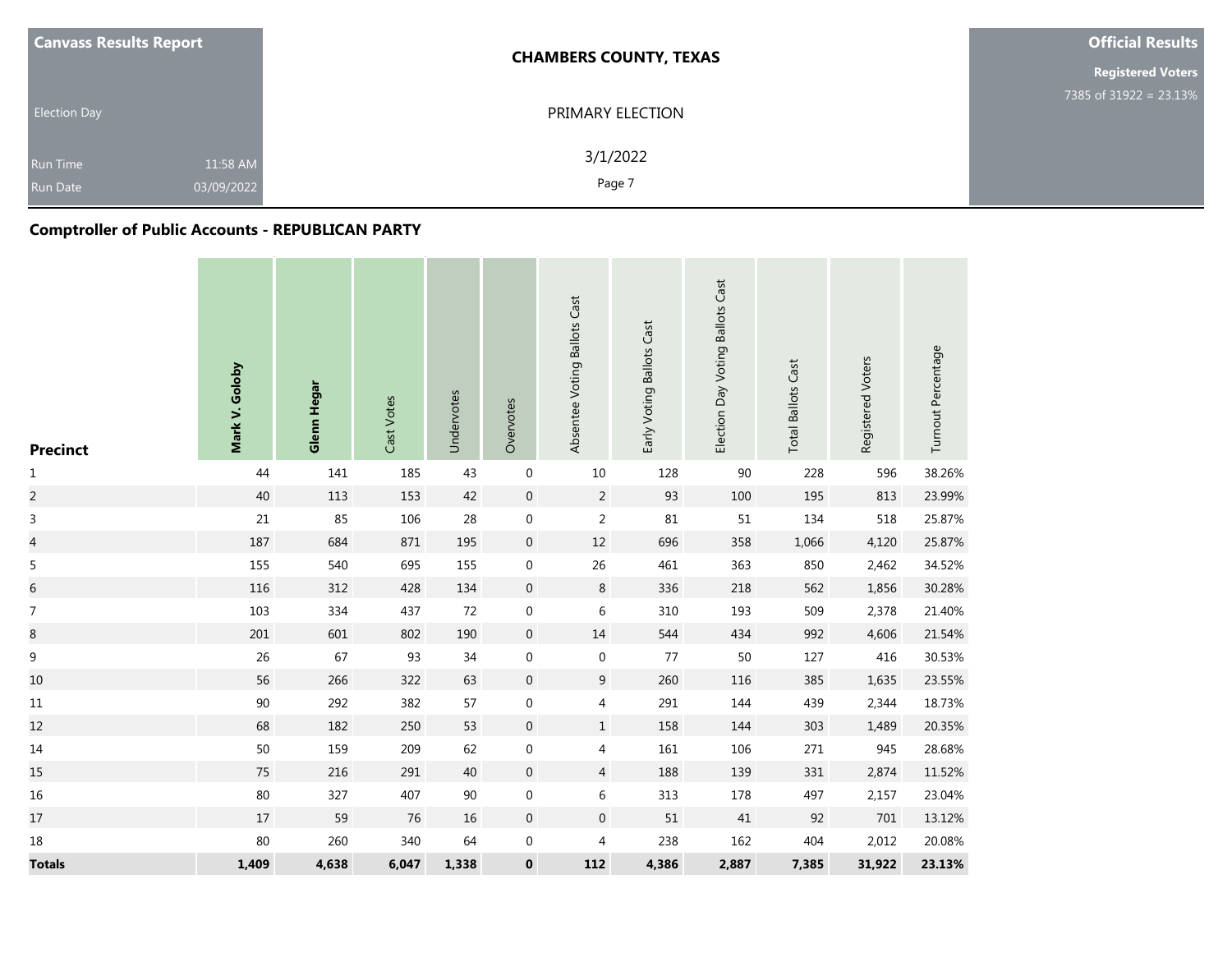| <b>Canvass Results Report</b>      |                        | <b>CHAMBERS COUNTY, TEXAS</b> | Official Results         |  |  |  |
|------------------------------------|------------------------|-------------------------------|--------------------------|--|--|--|
|                                    |                        |                               | <b>Registered Voters</b> |  |  |  |
| <b>Election Day</b>                |                        | PRIMARY ELECTION              | 7385 of 31922 = 23.13%   |  |  |  |
| <b>Run Time</b><br><b>Run Date</b> | 11:58 AM<br>03/09/2022 | 3/1/2022<br>Page 7            |                          |  |  |  |

#### **Comptroller of Public Accounts - REPUBLICAN PARTY**

| <b>Precinct</b> | Mark V. Goloby | Glenn Hegar | Cast Votes | Undervotes | Overvotes           | Absentee Voting Ballots Cast | Early Voting Ballots Cast | Election Day Voting Ballots Cast | <b>Total Ballots Cast</b> | Registered Voters | Turnout Percentage |
|-----------------|----------------|-------------|------------|------------|---------------------|------------------------------|---------------------------|----------------------------------|---------------------------|-------------------|--------------------|
| $\mathbf{1}$    | 44             | 141         | 185        | 43         | $\boldsymbol{0}$    | 10                           | 128                       | 90                               | 228                       | 596               | 38.26%             |
| $\overline{a}$  | $40\,$         | 113         | 153        | 42         | $\boldsymbol{0}$    | $\sqrt{2}$                   | 93                        | 100                              | 195                       | 813               | 23.99%             |
| 3               | $21\,$         | 85          | 106        | 28         | $\boldsymbol{0}$    | $\overline{2}$               | 81                        | $51\,$                           | 134                       | 518               | 25.87%             |
| $\overline{a}$  | 187            | 684         | 871        | 195        | $\mathsf{O}\xspace$ | $12\,$                       | 696                       | 358                              | 1,066                     | 4,120             | 25.87%             |
| 5               | 155            | 540         | 695        | 155        | 0                   | $26\,$                       | 461                       | 363                              | 850                       | 2,462             | 34.52%             |
| $\overline{6}$  | 116            | 312         | 428        | 134        | $\boldsymbol{0}$    | $\,8\,$                      | 336                       | 218                              | 562                       | 1,856             | 30.28%             |
| $\overline{7}$  | 103            | 334         | 437        | 72         | $\boldsymbol{0}$    | $\,$ 6 $\,$                  | 310                       | 193                              | 509                       | 2,378             | 21.40%             |
| $\,8\,$         | 201            | 601         | 802        | 190        | $\boldsymbol{0}$    | $14\,$                       | 544                       | 434                              | 992                       | 4,606             | 21.54%             |
| 9               | 26             | 67          | 93         | 34         | $\boldsymbol{0}$    | $\boldsymbol{0}$             | 77                        | $50\,$                           | 127                       | 416               | 30.53%             |
| 10              | 56             | 266         | 322        | 63         | $\boldsymbol{0}$    | 9                            | 260                       | 116                              | 385                       | 1,635             | 23.55%             |
| $11\,$          | $90\,$         | 292         | 382        | 57         | $\boldsymbol{0}$    | 4                            | 291                       | 144                              | 439                       | 2,344             | 18.73%             |
| 12              | 68             | 182         | 250        | 53         | $\boldsymbol{0}$    | $\mathbf 1$                  | 158                       | 144                              | 303                       | 1,489             | 20.35%             |
| 14              | 50             | 159         | 209        | 62         | $\boldsymbol{0}$    | 4                            | 161                       | 106                              | 271                       | 945               | 28.68%             |
| 15              | $75\,$         | 216         | 291        | 40         | $\mathbf 0$         | $\overline{4}$               | 188                       | 139                              | 331                       | 2,874             | 11.52%             |
| 16              | $80\,$         | 327         | 407        | $90\,$     | 0                   | 6                            | 313                       | 178                              | 497                       | 2,157             | 23.04%             |
| $17\,$          | $17\,$         | 59          | 76         | 16         | $\boldsymbol{0}$    | $\boldsymbol{0}$             | $51\,$                    | 41                               | 92                        | 701               | 13.12%             |
| 18              | $80\,$         | 260         | 340        | 64         | $\boldsymbol{0}$    | 4                            | 238                       | 162                              | 404                       | 2,012             | 20.08%             |
| <b>Totals</b>   | 1,409          | 4,638       | 6,047      | 1,338      | $\mathbf 0$         | 112                          | 4,386                     | 2,887                            | 7,385                     | 31,922            | 23.13%             |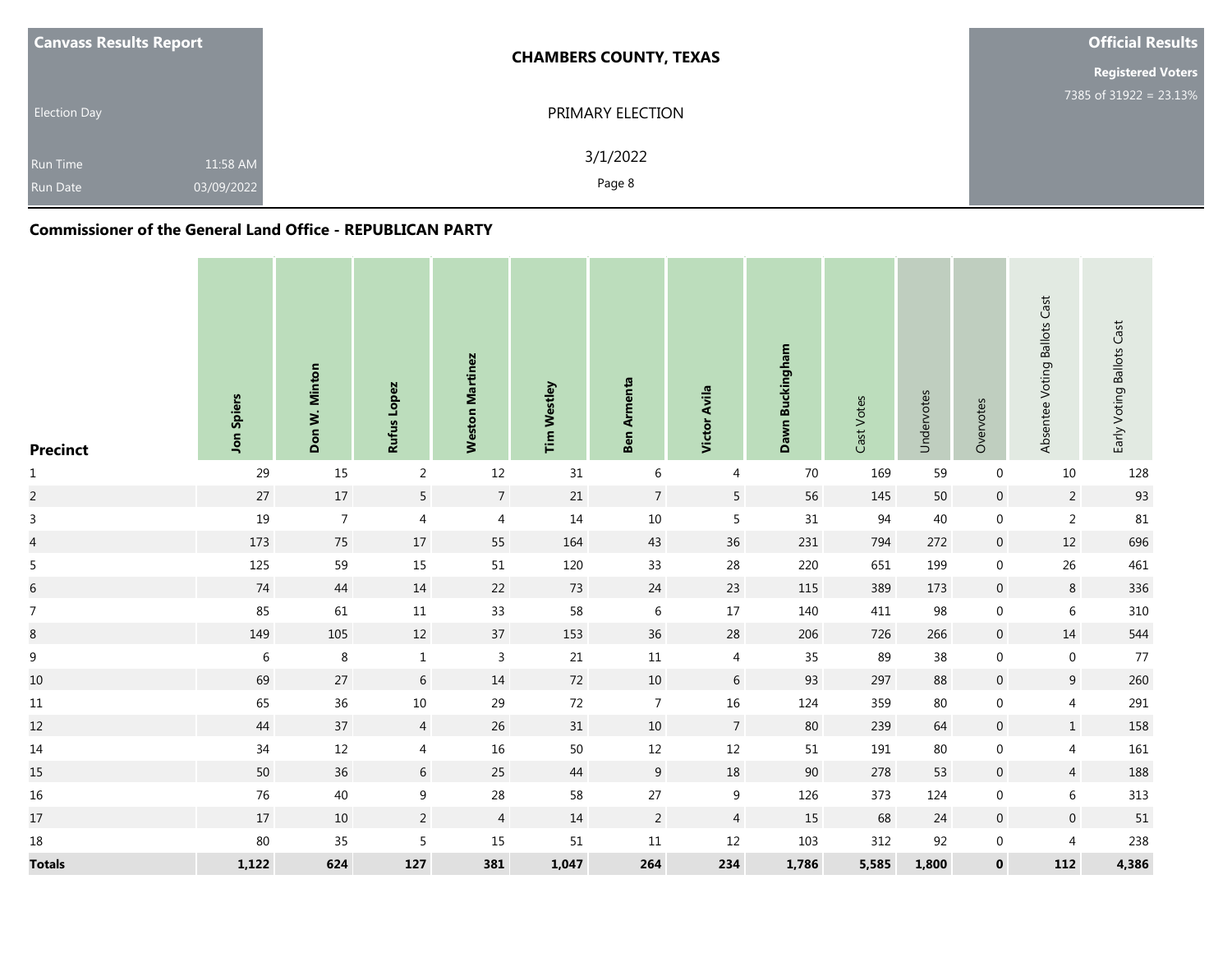| <b>Canvass Results Report</b>                                | <b>CHAMBERS COUNTY, TEXAS</b> | <b>Official Results</b>  |  |  |
|--------------------------------------------------------------|-------------------------------|--------------------------|--|--|
|                                                              |                               | <b>Registered Voters</b> |  |  |
| <b>Election Day</b>                                          | PRIMARY ELECTION              | 7385 of 31922 = 23.13%   |  |  |
| 11:58 AM<br><b>Run Time</b><br>03/09/2022<br><b>Run Date</b> | 3/1/2022<br>Page 8            |                          |  |  |

#### **Commissioner of the General Land Office - REPUBLICAN PARTY**

| <b>Precinct</b> | Jon Spiers | Don W. Minton  | Lopez<br><b>Rufus</b> | <b>Weston Martinez</b> | <b>Tim Westley</b> | Ben Armenta    | Victor Avila   | Dawn Buckingham | Cast Votes | Undervotes | Overvotes           | Absentee Voting Ballots Cast | Early Voting Ballots Cast |
|-----------------|------------|----------------|-----------------------|------------------------|--------------------|----------------|----------------|-----------------|------------|------------|---------------------|------------------------------|---------------------------|
| $1\,$           | 29         | $15\,$         | $\overline{2}$        | $12\,$                 | 31                 | 6              | 4              | 70              | 169        | 59         | $\boldsymbol{0}$    | $10\,$                       | 128                       |
| $\overline{c}$  | $27$       | $17\,$         | $\overline{5}$        | $\sqrt{ }$             | $21\,$             | $\overline{7}$ | $5\phantom{a}$ | 56              | 145        | 50         | $\boldsymbol{0}$    | $\overline{c}$               | 93                        |
| $\mathbf{3}$    | 19         | $\overline{7}$ | $\overline{4}$        | $\overline{4}$         | 14                 | $10\,$         | 5              | 31              | 94         | 40         | $\boldsymbol{0}$    | $\overline{2}$               | $81\,$                    |
| $\overline{a}$  | 173        | 75             | 17                    | 55                     | 164                | $43\,$         | 36             | $231\,$         | 794        | 272        | $\mathsf{O}\xspace$ | 12                           | 696                       |
| $\overline{5}$  | 125        | 59             | 15                    | $51\,$                 | 120                | 33             | $28\,$         | 220             | 651        | 199        | $\boldsymbol{0}$    | 26                           | 461                       |
| $\overline{6}$  | $74$       | 44             | 14                    | 22                     | 73                 | 24             | 23             | 115             | 389        | 173        | $\mathsf{O}\xspace$ | $\bf 8$                      | 336                       |
| $\overline{7}$  | 85         | $61\,$         | $11\,$                | 33                     | 58                 | $\,6\,$        | $17\,$         | 140             | 411        | 98         | $\boldsymbol{0}$    | $\sqrt{6}$                   | $310\,$                   |
| $\overline{8}$  | 149        | $105\,$        | 12                    | 37                     | 153                | $36\,$         | 28             | 206             | 726        | 266        | $\mathsf{O}\xspace$ | 14                           | 544                       |
| $9\,$           | $\,6\,$    | $\bf 8$        | $\mathbf 1$           | $\mathsf{3}$           | $21\,$             | $11\,$         | $\overline{4}$ | 35              | 89         | 38         | $\boldsymbol{0}$    | $\mathbf 0$                  | 77                        |
| $10\,$          | 69         | $27\,$         | $\sqrt{6}$            | 14                     | 72                 | $10\,$         | $\sqrt{6}$     | 93              | 297        | 88         | $\mathsf{O}\xspace$ | 9                            | 260                       |
| $11\,$          | 65         | $36\,$         | $10\,$                | 29                     | 72                 | $\overline{7}$ | $16\,$         | 124             | 359        | 80         | $\boldsymbol{0}$    | $\overline{4}$               | 291                       |
| 12              | 44         | $37$           | $\overline{4}$        | 26                     | 31                 | $10\,$         | $\overline{7}$ | $80\,$          | 239        | 64         | $\boldsymbol{0}$    | $1\,$                        | 158                       |
| $14\,$          | 34         | $12\,$         | $\overline{4}$        | $16\,$                 | $50\,$             | 12             | $12$           | 51              | 191        | 80         | $\boldsymbol{0}$    | $\overline{4}$               | 161                       |
| 15              | 50         | 36             | $6\,$                 | 25                     | 44                 | 9              | 18             | 90              | 278        | 53         | $\boldsymbol{0}$    | $\overline{4}$               | 188                       |
| 16              | 76         | 40             | $\boldsymbol{9}$      | 28                     | 58                 | $27\,$         | $9\,$          | 126             | 373        | 124        | $\boldsymbol{0}$    | 6                            | 313                       |
| $17\,$          | $17\,$     | $10\,$         | $\overline{2}$        | $\overline{4}$         | 14                 | $\overline{2}$ | $\overline{4}$ | 15              | 68         | 24         | $\mathbf 0$         | $\boldsymbol{0}$             | $51\,$                    |
| 18              | 80         | 35             | $5\phantom{.0}$       | 15                     | 51                 | $11\,$         | $12\,$         | 103             | 312        | 92         | $\overline{0}$      | $\overline{4}$               | 238                       |
| <b>Totals</b>   | 1,122      | 624            | ${\bf 127}$           | 381                    | 1,047              | 264            | 234            | 1,786           | 5,585      | 1,800      | $\mathbf{o}$        | 112                          | 4,386                     |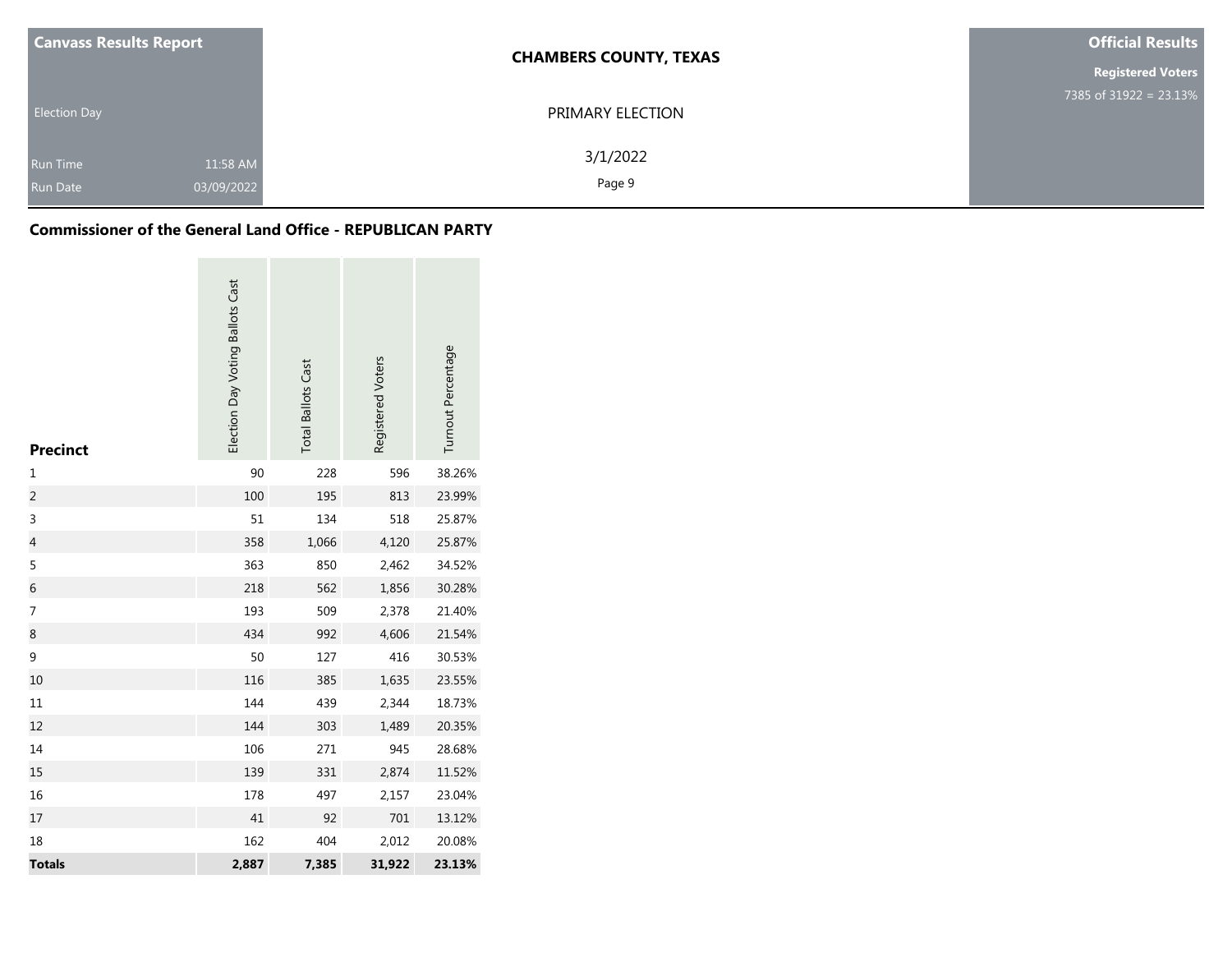| <b>Canvass Results Report</b><br><b>Election Day</b> |                        | <b>CHAMBERS COUNTY, TEXAS</b> | <b>Official Results</b>  |  |  |  |
|------------------------------------------------------|------------------------|-------------------------------|--------------------------|--|--|--|
|                                                      |                        |                               | <b>Registered Voters</b> |  |  |  |
|                                                      |                        | PRIMARY ELECTION              | 7385 of 31922 = 23.13%   |  |  |  |
| <b>Run Time</b><br><b>Run Date</b>                   | 11:58 AM<br>03/09/2022 | 3/1/2022<br>Page 9            |                          |  |  |  |

#### **Commissioner of the General Land Office - REPUBLICAN PARTY**

| <b>Precinct</b> | Election Day Voting Ballots Cast | <b>Total Ballots Cast</b> | Registered Voters | Turnout Percentage |
|-----------------|----------------------------------|---------------------------|-------------------|--------------------|
| 1               | 90                               | 228                       | 596               | 38.26%             |
| $\overline{2}$  | 100                              | 195                       | 813               | 23.99%             |
| 3               | 51                               | 134                       | 518               | 25.87%             |
| 4               | 358                              | 1,066                     | 4,120             | 25.87%             |
| 5               | 363                              | 850                       | 2,462             | 34.52%             |
| 6               | 218                              | 562                       | 1,856             | 30.28%             |
| 7               | 193                              | 509                       | 2,378             | 21.40%             |
| 8               | 434                              | 992                       | 4,606             | 21.54%             |
| 9               | 50                               | 127                       | 416               | 30.53%             |
| 10              | 116                              | 385                       | 1,635             | 23.55%             |
| 11              | 144                              | 439                       | 2,344             | 18.73%             |
| 12              | 144                              | 303                       | 1,489             | 20.35%             |
| 14              | 106                              | 271                       | 945               | 28.68%             |
| 15              | 139                              | 331                       | 2,874             | 11.52%             |
| 16              | 178                              | 497                       | 2,157             | 23.04%             |
| 17              | 41                               | 92                        | 701               | 13.12%             |
| 18              | 162                              | 404                       | 2,012             | 20.08%             |
| <b>Totals</b>   | 2,887                            | 7,385                     | 31,922            | 23.13%             |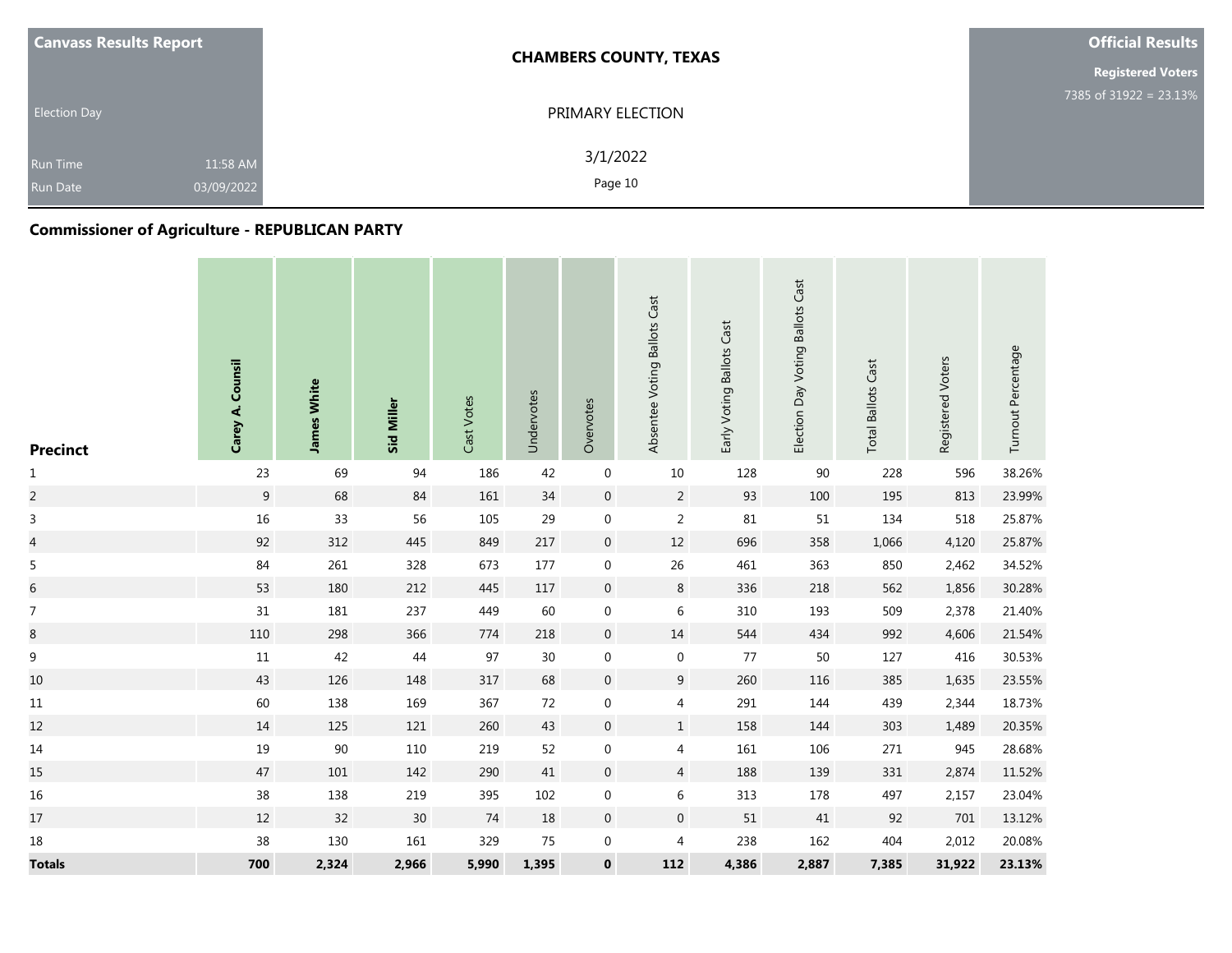| <b>Canvass Results Report</b><br><b>Election Day</b> |                        | <b>CHAMBERS COUNTY, TEXAS</b> | <b>Official Results</b>  |
|------------------------------------------------------|------------------------|-------------------------------|--------------------------|
|                                                      |                        |                               | <b>Registered Voters</b> |
|                                                      |                        | PRIMARY ELECTION              | 7385 of 31922 = 23.13%   |
| <b>Run Time</b><br><b>Run Date</b>                   | 11:58 AM<br>03/09/2022 | 3/1/2022<br>Page 10           |                          |

# **Commissioner of Agriculture - REPUBLICAN PARTY**

| <b>Precinct</b>  | Counsil<br>Carey A. | <b>James White</b> | Sid Miller | Cast Votes | Undervotes | Overvotes        | Absentee Voting Ballots Cast | Early Voting Ballots Cast | Election Day Voting Ballots Cast | <b>Total Ballots Cast</b> | Registered Voters | Turnout Percentage |
|------------------|---------------------|--------------------|------------|------------|------------|------------------|------------------------------|---------------------------|----------------------------------|---------------------------|-------------------|--------------------|
| $\mathbf 1$      | 23                  | 69                 | 94         | 186        | 42         | $\boldsymbol{0}$ | $10\,$                       | 128                       | $90\,$                           | 228                       | 596               | 38.26%             |
| $\overline{c}$   | $\mathsf g$         | 68                 | 84         | 161        | $34\,$     | $\mathbf 0$      | $\overline{2}$               | 93                        | 100                              | 195                       | 813               | 23.99%             |
| $\mathsf{3}$     | $16\,$              | 33                 | 56         | 105        | 29         | $\boldsymbol{0}$ | $\overline{2}$               | 81                        | $51\,$                           | 134                       | 518               | 25.87%             |
| $\overline{4}$   | 92                  | 312                | 445        | 849        | $217\,$    | $\boldsymbol{0}$ | $12\,$                       | 696                       | 358                              | 1,066                     | 4,120             | 25.87%             |
| 5                | 84                  | 261                | 328        | 673        | 177        | $\boldsymbol{0}$ | $26\,$                       | 461                       | 363                              | 850                       | 2,462             | 34.52%             |
| $\overline{6}$   | 53                  | 180                | 212        | 445        | 117        | $\mathbf 0$      | $\,8\,$                      | 336                       | 218                              | 562                       | 1,856             | 30.28%             |
| $\boldsymbol{7}$ | 31                  | 181                | 237        | 449        | 60         | $\boldsymbol{0}$ | $\,$ 6 $\,$                  | 310                       | 193                              | 509                       | 2,378             | 21.40%             |
| $\bf 8$          | 110                 | 298                | 366        | 774        | 218        | $\mathbf 0$      | $14\,$                       | 544                       | 434                              | 992                       | 4,606             | 21.54%             |
| 9                | $11\,$              | 42                 | 44         | $97\,$     | $30\,$     | $\boldsymbol{0}$ | $\boldsymbol{0}$             | 77                        | $50\,$                           | 127                       | 416               | 30.53%             |
| $10\,$           | 43                  | 126                | 148        | $317\,$    | 68         | $\mathbf 0$      | $\boldsymbol{9}$             | 260                       | 116                              | 385                       | 1,635             | 23.55%             |
| 11               | 60                  | 138                | 169        | 367        | $72\,$     | $\boldsymbol{0}$ | $\overline{4}$               | 291                       | 144                              | 439                       | 2,344             | 18.73%             |
| 12               | 14                  | 125                | 121        | 260        | 43         | $\mathbf 0$      | $\,1$                        | 158                       | 144                              | 303                       | 1,489             | 20.35%             |
| $14\,$           | $19\,$              | $90\,$             | 110        | 219        | 52         | $\pmb{0}$        | $\overline{4}$               | 161                       | 106                              | 271                       | 945               | 28.68%             |
| 15               | 47                  | 101                | 142        | 290        | $41\,$     | $\mathbf 0$      | $\overline{4}$               | 188                       | 139                              | 331                       | 2,874             | 11.52%             |
| 16               | 38                  | 138                | 219        | 395        | 102        | $\boldsymbol{0}$ | 6                            | 313                       | 178                              | 497                       | 2,157             | 23.04%             |
| 17               | $12\,$              | 32                 | $30\,$     | $74$       | 18         | $\mathbf 0$      | $\boldsymbol{0}$             | 51                        | $41\,$                           | 92                        | 701               | 13.12%             |
| $18\,$           | 38                  | 130                | 161        | 329        | $75\,$     | $\boldsymbol{0}$ | $\overline{4}$               | 238                       | 162                              | 404                       | 2,012             | 20.08%             |
| <b>Totals</b>    | 700                 | 2,324              | 2,966      | 5,990      | 1,395      | $\pmb{0}$        | 112                          | 4,386                     | 2,887                            | 7,385                     | 31,922            | 23.13%             |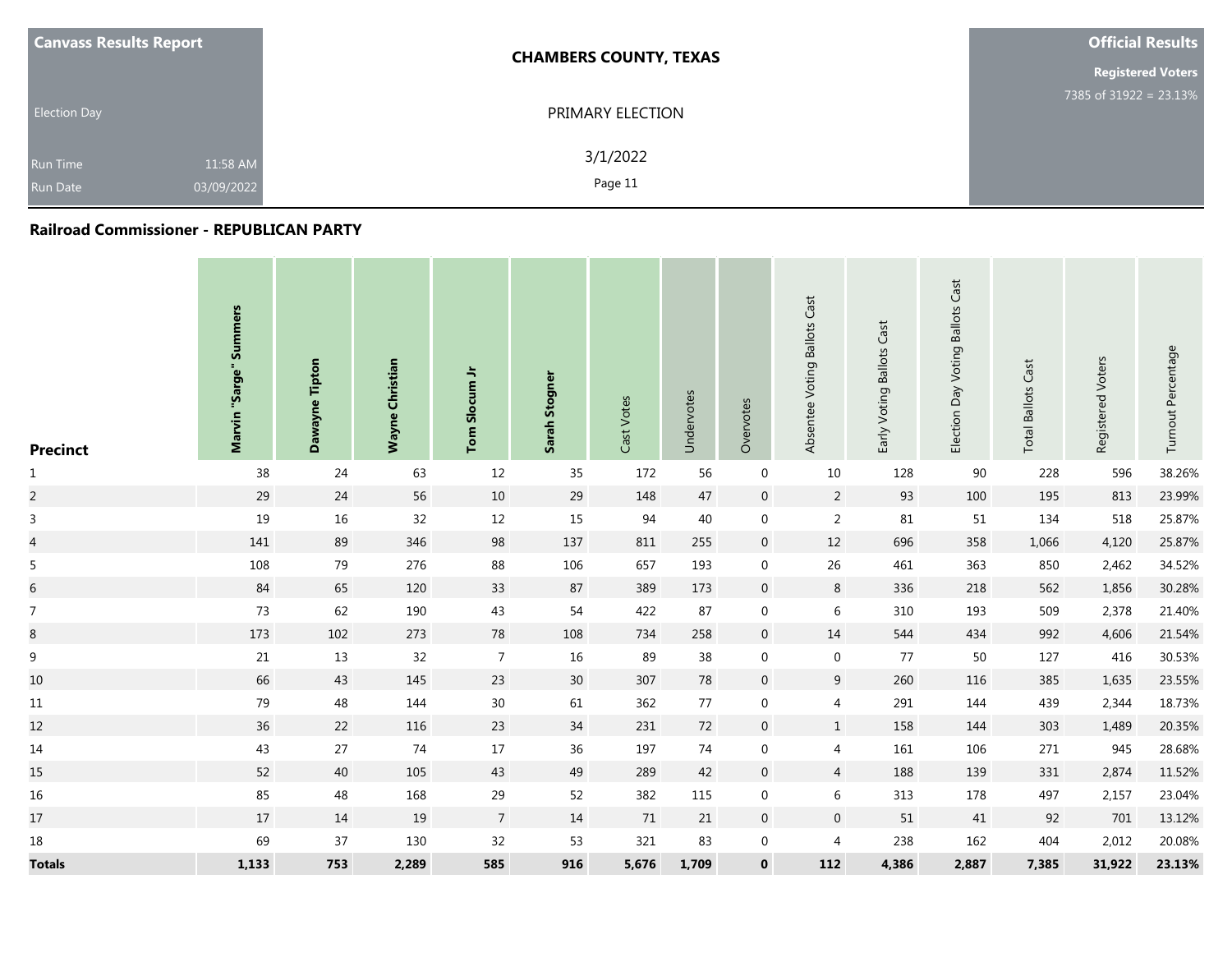| <b>Canvass Results Report</b>                                | <b>CHAMBERS COUNTY, TEXAS</b> | <b>Official Results</b>  |  |  |
|--------------------------------------------------------------|-------------------------------|--------------------------|--|--|
|                                                              |                               | <b>Registered Voters</b> |  |  |
| <b>Election Day</b>                                          | PRIMARY ELECTION              | 7385 of 31922 = 23.13%   |  |  |
| 11:58 AM<br><b>Run Time</b><br>03/09/2022<br><b>Run Date</b> | 3/1/2022<br>Page 11           |                          |  |  |

#### **Railroad Commissioner - REPUBLICAN PARTY**

| <b>Precinct</b> | <b>Summers</b><br>Marvin "Sarge" | Tipton<br>Dawayne | Christian<br>Wayne | ≒<br>Slocum<br>Tom | Stogner<br>Sarah | Cast Votes | Undervotes | Overvotes      | Absentee Voting Ballots Cast | Cast<br>Early Voting Ballots | Election Day Voting Ballots Cast | Cast<br><b>Total Ballots</b> | Registered Voters | Turnout Percentage |
|-----------------|----------------------------------|-------------------|--------------------|--------------------|------------------|------------|------------|----------------|------------------------------|------------------------------|----------------------------------|------------------------------|-------------------|--------------------|
| $\mathbf{1}$    | 38                               | 24                | 63                 | 12                 | 35               | 172        | 56         | $\mathbf 0$    | 10                           | 128                          | $90\,$                           | 228                          | 596               | 38.26%             |
| $\overline{a}$  | 29                               | 24                | 56                 | 10                 | 29               | 148        | 47         | $\mathbf 0$    | $\overline{2}$               | 93                           | 100                              | 195                          | 813               | 23.99%             |
| $\mathsf{3}$    | 19                               | 16                | 32                 | 12                 | 15               | 94         | 40         | $\mathbf 0$    | $\overline{2}$               | 81                           | 51                               | 134                          | 518               | 25.87%             |
| $\overline{a}$  | 141                              | 89                | 346                | 98                 | 137              | 811        | 255        | $\overline{0}$ | 12                           | 696                          | 358                              | 1,066                        | 4,120             | 25.87%             |
| 5               | 108                              | 79                | 276                | 88                 | 106              | 657        | 193        | $\mathbf 0$    | $26\,$                       | 461                          | 363                              | 850                          | 2,462             | 34.52%             |
| $\overline{6}$  | 84                               | 65                | 120                | 33                 | 87               | 389        | 173        | $\mathbf 0$    | $\,8\,$                      | 336                          | 218                              | 562                          | 1,856             | 30.28%             |
| $\overline{7}$  | $73$                             | 62                | 190                | 43                 | 54               | 422        | 87         | $\mathbf 0$    | 6                            | 310                          | 193                              | 509                          | 2,378             | 21.40%             |
| $8\,$           | 173                              | 102               | 273                | 78                 | 108              | 734        | 258        | $\mathbf 0$    | 14                           | 544                          | 434                              | 992                          | 4,606             | 21.54%             |
| 9               | $21\,$                           | $13\,$            | 32                 | $\overline{7}$     | 16               | 89         | 38         | $\mathbf 0$    | $\mathbf 0$                  | 77                           | 50                               | 127                          | 416               | 30.53%             |
| $10\,$          | 66                               | 43                | 145                | 23                 | 30 <sup>°</sup>  | 307        | 78         | $\mathbf 0$    | 9                            | 260                          | 116                              | 385                          | 1,635             | 23.55%             |
| $11\,$          | 79                               | 48                | 144                | $30\,$             | 61               | 362        | 77         | $\mathbf 0$    | $\overline{4}$               | 291                          | 144                              | 439                          | 2,344             | 18.73%             |
| 12              | 36                               | 22                | 116                | 23                 | 34               | 231        | 72         | $\mathbf 0$    | $\mathbf{1}$                 | 158                          | 144                              | 303                          | 1,489             | 20.35%             |
| $14\,$          | 43                               | 27                | 74                 | 17                 | 36               | 197        | 74         | $\mathbf 0$    | $\overline{4}$               | 161                          | 106                              | 271                          | 945               | 28.68%             |
| 15              | 52                               | 40                | 105                | 43                 | 49               | 289        | 42         | $\mathbf 0$    | $\overline{4}$               | 188                          | 139                              | 331                          | 2,874             | 11.52%             |
| 16              | 85                               | 48                | 168                | 29                 | 52               | 382        | 115        | $\mathbf 0$    | 6                            | 313                          | 178                              | 497                          | 2,157             | 23.04%             |
| $17\,$          | 17                               | 14                | 19                 | $\overline{7}$     | 14               | 71         | 21         | $\mathbf 0$    | $\boldsymbol{0}$             | 51                           | 41                               | 92                           | 701               | 13.12%             |
| 18              | 69                               | 37                | 130                | 32                 | 53               | 321        | 83         | $\mathbf 0$    | $\overline{4}$               | 238                          | 162                              | 404                          | 2,012             | 20.08%             |
| <b>Totals</b>   | 1,133                            | 753               | 2,289              | 585                | 916              | 5,676      | 1,709      | $\mathbf 0$    | 112                          | 4,386                        | 2,887                            | 7,385                        | 31,922            | 23.13%             |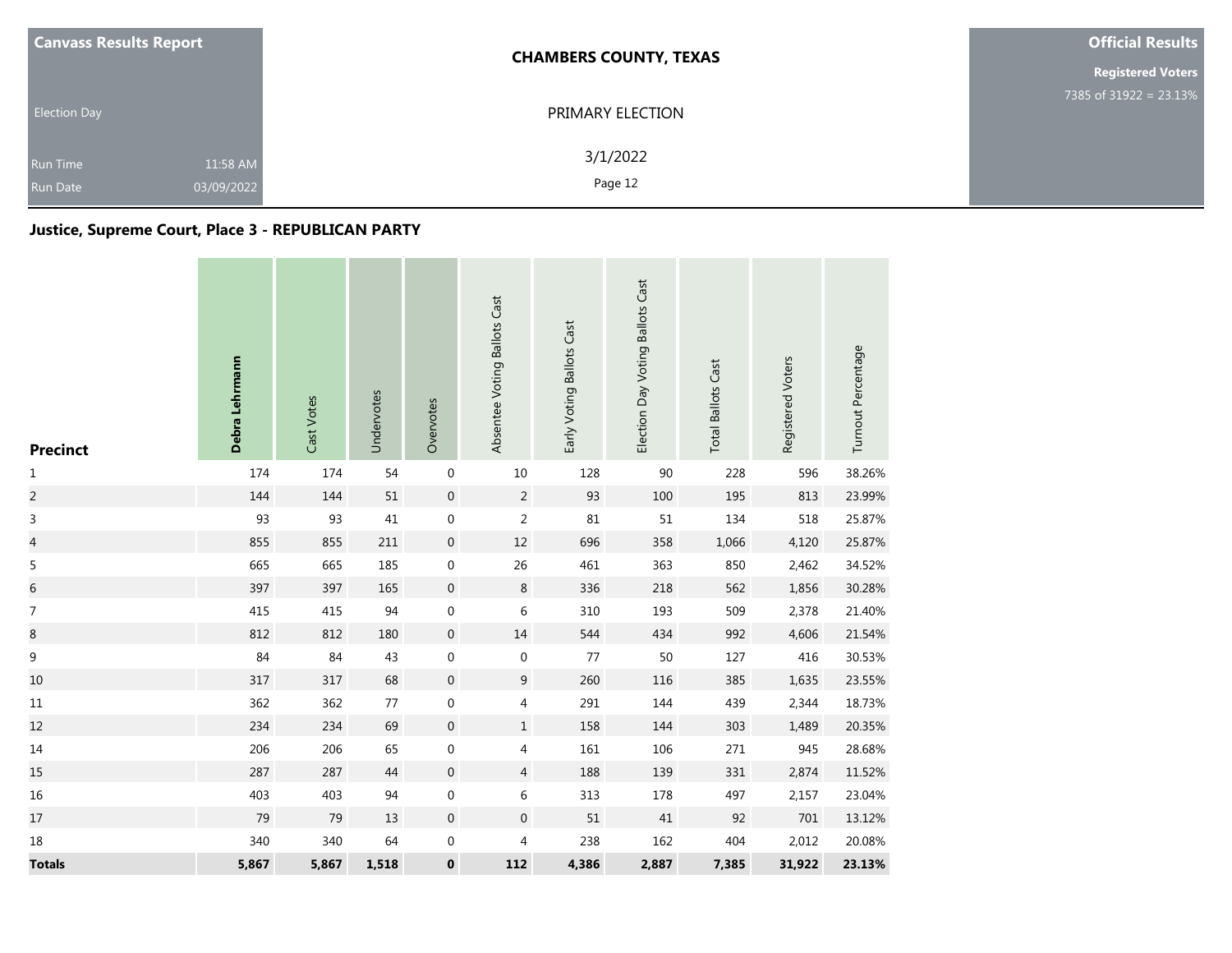| <b>Canvass Results Report</b><br><b>Election Day</b> |                        | <b>CHAMBERS COUNTY, TEXAS</b> | <b>Official Results</b>   |  |  |
|------------------------------------------------------|------------------------|-------------------------------|---------------------------|--|--|
|                                                      |                        |                               | <b>Registered Voters</b>  |  |  |
|                                                      |                        | PRIMARY ELECTION              | 7385 of 31922 = $23.13\%$ |  |  |
| <b>Run Time</b><br><b>Run Date</b>                   | 11:58 AM<br>03/09/2022 | 3/1/2022<br>Page 12           |                           |  |  |
|                                                      |                        |                               |                           |  |  |

#### **Justice, Supreme Court, Place 3 - REPUBLICAN PARTY**

| <b>Precinct</b>  | Debra Lehrmann | Cast Votes | Undervotes | Overvotes        | Absentee Voting Ballots Cast | Early Voting Ballots Cast | Election Day Voting Ballots Cast | <b>Total Ballots Cast</b> | Registered Voters | Turnout Percentage |
|------------------|----------------|------------|------------|------------------|------------------------------|---------------------------|----------------------------------|---------------------------|-------------------|--------------------|
| $\mathbf 1$      | 174            | 174        | 54         | $\boldsymbol{0}$ | $10$                         | 128                       | 90                               | 228                       | 596               | 38.26%             |
| $\overline{c}$   | 144            | 144        | $51\,$     | $\boldsymbol{0}$ | $\overline{2}$               | 93                        | 100                              | 195                       | 813               | 23.99%             |
| $\mathsf 3$      | 93             | 93         | $41\,$     | $\boldsymbol{0}$ | $\overline{2}$               | 81                        | 51                               | 134                       | 518               | 25.87%             |
| $\overline{a}$   | 855            | 855        | 211        | $\boldsymbol{0}$ | 12                           | 696                       | 358                              | 1,066                     | 4,120             | 25.87%             |
| 5                | 665            | 665        | 185        | $\boldsymbol{0}$ | 26                           | 461                       | 363                              | 850                       | 2,462             | 34.52%             |
| $\sqrt{6}$       | 397            | 397        | 165        | $\boldsymbol{0}$ | 8                            | 336                       | 218                              | 562                       | 1,856             | 30.28%             |
| $\boldsymbol{7}$ | 415            | 415        | 94         | $\boldsymbol{0}$ | $\,$ 6 $\,$                  | 310                       | 193                              | 509                       | 2,378             | 21.40%             |
| $\bf 8$          | 812            | 812        | 180        | $\mathbf 0$      | $14\,$                       | 544                       | 434                              | 992                       | 4,606             | 21.54%             |
| $\boldsymbol{9}$ | 84             | 84         | 43         | $\boldsymbol{0}$ | 0                            | 77                        | 50                               | 127                       | 416               | 30.53%             |
| $10\,$           | 317            | 317        | 68         | $\boldsymbol{0}$ | $\overline{9}$               | 260                       | 116                              | 385                       | 1,635             | 23.55%             |
| 11               | 362            | 362        | 77         | $\boldsymbol{0}$ | 4                            | 291                       | 144                              | 439                       | 2,344             | 18.73%             |
| 12               | 234            | 234        | 69         | $\boldsymbol{0}$ | $\mathbf 1$                  | 158                       | 144                              | 303                       | 1,489             | 20.35%             |
| $14\,$           | 206            | 206        | 65         | $\boldsymbol{0}$ | 4                            | 161                       | 106                              | 271                       | 945               | 28.68%             |
| 15               | 287            | 287        | 44         | $\boldsymbol{0}$ | $\overline{4}$               | 188                       | 139                              | 331                       | 2,874             | 11.52%             |
| 16               | 403            | 403        | 94         | 0                | 6                            | 313                       | 178                              | 497                       | 2,157             | 23.04%             |
| $17\,$           | 79             | 79         | $13\,$     | $\boldsymbol{0}$ | $\overline{0}$               | 51                        | 41                               | 92                        | $701\,$           | 13.12%             |
| 18               | 340            | 340        | 64         | $\boldsymbol{0}$ | 4                            | 238                       | 162                              | 404                       | 2,012             | 20.08%             |
| <b>Totals</b>    | 5,867          | 5,867      | 1,518      | 0                | 112                          | 4,386                     | 2,887                            | 7,385                     | 31,922            | 23.13%             |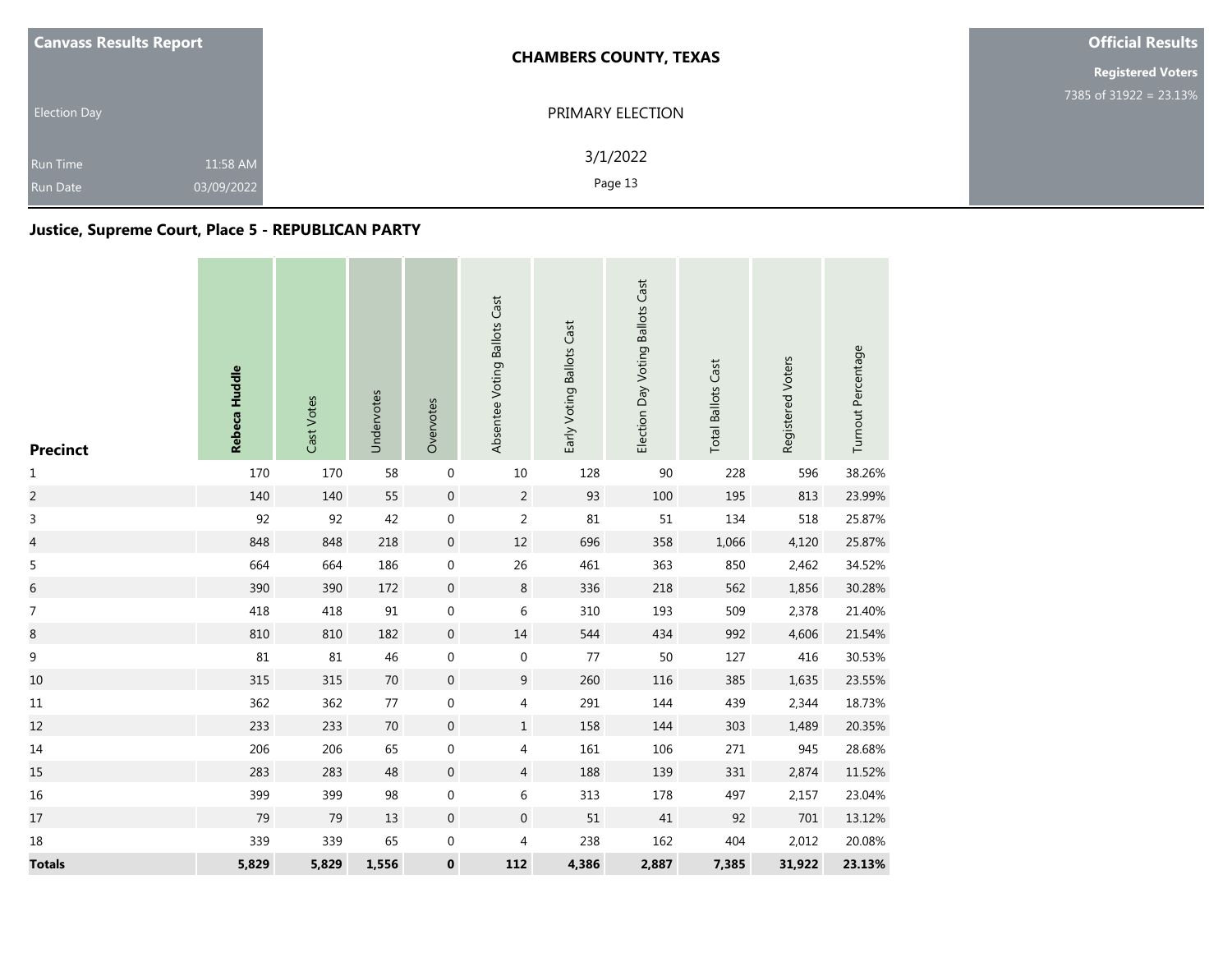| <b>Canvass Results Report</b>      |                        | <b>CHAMBERS COUNTY, TEXAS</b> | <b>Official Results</b>  |
|------------------------------------|------------------------|-------------------------------|--------------------------|
|                                    |                        |                               | <b>Registered Voters</b> |
| <b>Election Day</b>                |                        | PRIMARY ELECTION              | 7385 of 31922 = 23.13%   |
| <b>Run Time</b><br><b>Run Date</b> | 11:58 AM<br>03/09/2022 | 3/1/2022<br>Page 13           |                          |

#### **Justice, Supreme Court, Place 5 - REPUBLICAN PARTY**

| <b>Precinct</b>          | Rebeca Huddle | Cast Votes | Undervotes | Overvotes        | Absentee Voting Ballots Cast | Early Voting Ballots Cast | Election Day Voting Ballots Cast | <b>Total Ballots Cast</b> | Registered Voters | Turnout Percentage |
|--------------------------|---------------|------------|------------|------------------|------------------------------|---------------------------|----------------------------------|---------------------------|-------------------|--------------------|
| $\mathbf{1}$             | 170           | 170        | 58         | $\boldsymbol{0}$ | $10\,$                       | 128                       | 90                               | 228                       | 596               | 38.26%             |
| $\overline{c}$           | 140           | 140        | 55         | $\boldsymbol{0}$ | $\overline{2}$               | 93                        | 100                              | 195                       | 813               | 23.99%             |
| 3                        | 92            | 92         | 42         | $\boldsymbol{0}$ | $\sqrt{2}$                   | 81                        | 51                               | 134                       | 518               | 25.87%             |
| $\overline{\mathcal{L}}$ | 848           | 848        | 218        | $\boldsymbol{0}$ | 12                           | 696                       | 358                              | 1,066                     | 4,120             | 25.87%             |
| $\sqrt{5}$               | 664           | 664        | 186        | $\boldsymbol{0}$ | 26                           | 461                       | 363                              | 850                       | 2,462             | 34.52%             |
| $\,$ 6 $\,$              | 390           | 390        | 172        | $\boldsymbol{0}$ | $\,8\,$                      | 336                       | 218                              | 562                       | 1,856             | 30.28%             |
| $\boldsymbol{7}$         | 418           | 418        | $91\,$     | $\boldsymbol{0}$ | $\,6\,$                      | 310                       | 193                              | 509                       | 2,378             | 21.40%             |
| $\bf 8$                  | 810           | 810        | 182        | $\mathbf{0}$     | $14\,$                       | 544                       | 434                              | 992                       | 4,606             | 21.54%             |
| $\boldsymbol{9}$         | 81            | 81         | 46         | $\boldsymbol{0}$ | $\mathbf 0$                  | 77                        | 50                               | 127                       | 416               | 30.53%             |
| 10                       | 315           | 315        | 70         | $\boldsymbol{0}$ | 9                            | 260                       | 116                              | 385                       | 1,635             | 23.55%             |
| $11\,$                   | 362           | 362        | 77         | $\boldsymbol{0}$ | 4                            | 291                       | 144                              | 439                       | 2,344             | 18.73%             |
| 12                       | 233           | 233        | $70\,$     | $\boldsymbol{0}$ | $\,1$                        | 158                       | 144                              | 303                       | 1,489             | 20.35%             |
| 14                       | 206           | 206        | 65         | $\boldsymbol{0}$ | 4                            | 161                       | 106                              | $271\,$                   | 945               | 28.68%             |
| 15                       | 283           | 283        | 48         | $\boldsymbol{0}$ | $\overline{4}$               | 188                       | 139                              | 331                       | 2,874             | 11.52%             |
| 16                       | 399           | 399        | 98         | $\boldsymbol{0}$ | 6                            | 313                       | 178                              | 497                       | 2,157             | 23.04%             |
| $17\,$                   | 79            | 79         | 13         | $\boldsymbol{0}$ | $\boldsymbol{0}$             | 51                        | 41                               | 92                        | $701\,$           | 13.12%             |
| 18                       | 339           | 339        | 65         | $\boldsymbol{0}$ | 4                            | 238                       | 162                              | 404                       | 2,012             | 20.08%             |
| <b>Totals</b>            | 5,829         | 5,829      | 1,556      | $\pmb{0}$        | 112                          | 4,386                     | 2,887                            | 7,385                     | 31,922            | 23.13%             |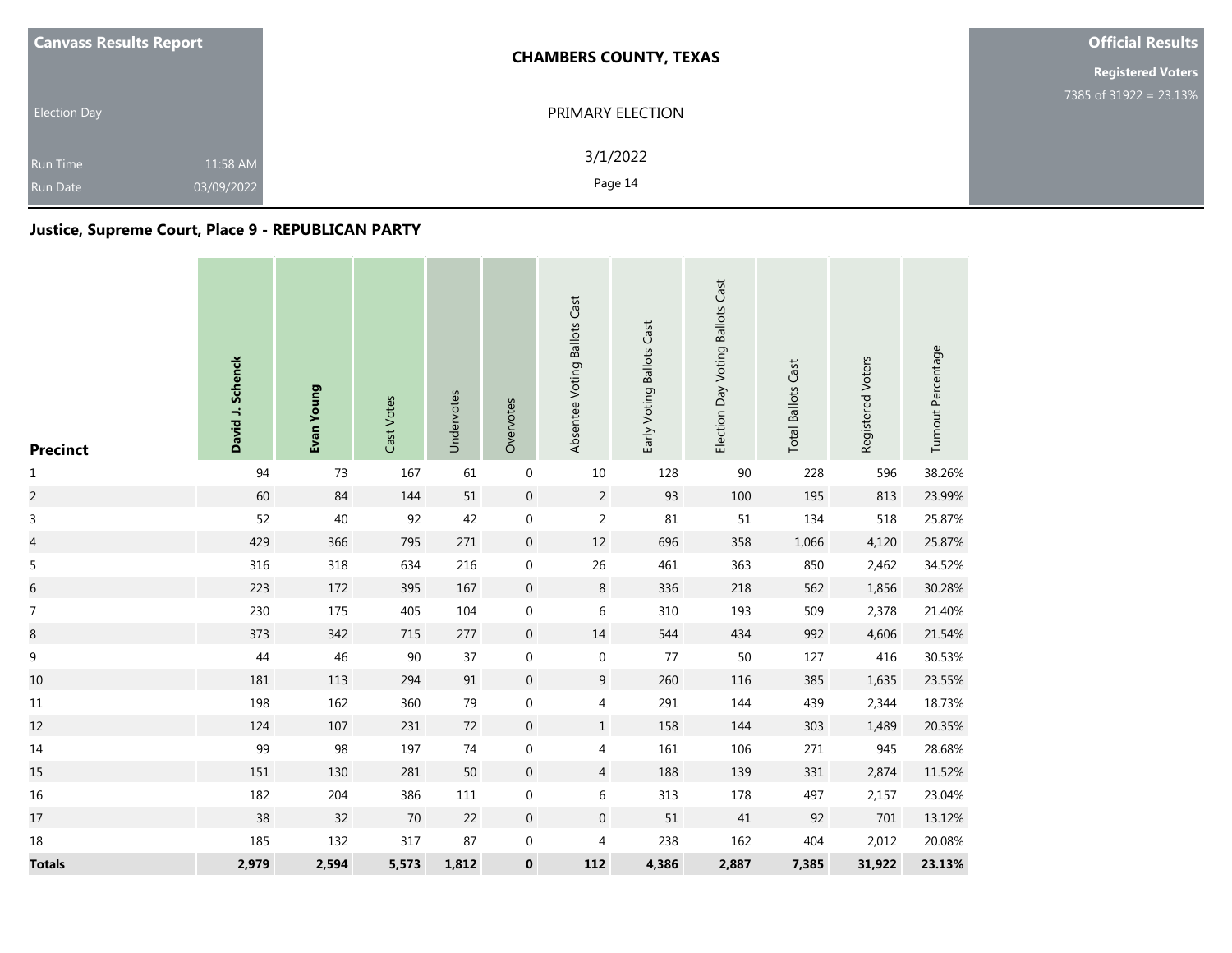| <b>Canvass Results Report</b>      |                        | <b>CHAMBERS COUNTY, TEXAS</b> | <b>Official Results</b>  |  |  |  |
|------------------------------------|------------------------|-------------------------------|--------------------------|--|--|--|
|                                    |                        |                               | <b>Registered Voters</b> |  |  |  |
| <b>Election Day</b>                |                        | PRIMARY ELECTION              | 7385 of 31922 = 23.13%   |  |  |  |
| <b>Run Time</b><br><b>Run Date</b> | 11:58 AM<br>03/09/2022 | 3/1/2022<br>Page 14           |                          |  |  |  |

#### **Justice, Supreme Court, Place 9 - REPUBLICAN PARTY**

| <b>Precinct</b>  | David J. Schenck | Evan Young | Cast Votes | Undervotes | Overvotes        | Absentee Voting Ballots Cast | Early Voting Ballots Cast | Election Day Voting Ballots Cast | <b>Total Ballots Cast</b> | Registered Voters | Turnout Percentage |
|------------------|------------------|------------|------------|------------|------------------|------------------------------|---------------------------|----------------------------------|---------------------------|-------------------|--------------------|
| $\mathbf{1}$     | 94               | 73         | 167        | 61         | $\boldsymbol{0}$ | $10\,$                       | 128                       | 90                               | 228                       | 596               | 38.26%             |
| $\overline{c}$   | 60               | 84         | 144        | $51\,$     | $\boldsymbol{0}$ | $\overline{c}$               | 93                        | 100                              | 195                       | 813               | 23.99%             |
| $\mathsf{3}$     | 52               | $40\,$     | 92         | 42         | $\boldsymbol{0}$ | $\overline{2}$               | 81                        | $51\,$                           | 134                       | 518               | 25.87%             |
| $\overline{a}$   | 429              | 366        | 795        | 271        | $\mathbf 0$      | $12\,$                       | 696                       | 358                              | 1,066                     | 4,120             | 25.87%             |
| 5                | 316              | 318        | 634        | 216        | 0                | 26                           | 461                       | 363                              | 850                       | 2,462             | 34.52%             |
| $\overline{6}$   | 223              | 172        | 395        | 167        | $\boldsymbol{0}$ | $\,8\,$                      | 336                       | 218                              | 562                       | 1,856             | 30.28%             |
| $\boldsymbol{7}$ | 230              | 175        | 405        | 104        | $\boldsymbol{0}$ | $\,6\,$                      | 310                       | 193                              | 509                       | 2,378             | 21.40%             |
| 8                | 373              | 342        | 715        | 277        | $\mathbf 0$      | $14\,$                       | 544                       | 434                              | 992                       | 4,606             | 21.54%             |
| 9                | $44\,$           | 46         | 90         | 37         | $\boldsymbol{0}$ | $\pmb{0}$                    | 77                        | 50                               | 127                       | 416               | 30.53%             |
| 10               | 181              | 113        | 294        | 91         | $\mathbf 0$      | $9\,$                        | 260                       | 116                              | 385                       | 1,635             | 23.55%             |
| 11               | 198              | 162        | 360        | 79         | $\boldsymbol{0}$ | 4                            | 291                       | 144                              | 439                       | 2,344             | 18.73%             |
| $12\,$           | 124              | $107\,$    | 231        | $72\,$     | $\pmb{0}$        | $\,1$                        | 158                       | 144                              | 303                       | 1,489             | 20.35%             |
| 14               | 99               | 98         | 197        | 74         | $\boldsymbol{0}$ | 4                            | 161                       | 106                              | 271                       | 945               | 28.68%             |
| 15               | 151              | 130        | 281        | 50         | $\mathbf 0$      | $\overline{4}$               | 188                       | 139                              | 331                       | 2,874             | 11.52%             |
| 16               | 182              | 204        | 386        | $111\,$    | $\boldsymbol{0}$ | 6                            | 313                       | 178                              | 497                       | 2,157             | 23.04%             |
| $17\,$           | 38               | 32         | $70\,$     | 22         | $\mathbf 0$      | $\boldsymbol{0}$             | 51                        | 41                               | 92                        | $701\,$           | 13.12%             |
| $18\,$           | 185              | 132        | 317        | 87         | 0                | $\overline{4}$               | 238                       | 162                              | 404                       | 2,012             | 20.08%             |
| <b>Totals</b>    | 2,979            | 2,594      | 5,573      | 1,812      | $\pmb{0}$        | 112                          | 4,386                     | 2,887                            | 7,385                     | 31,922            | 23.13%             |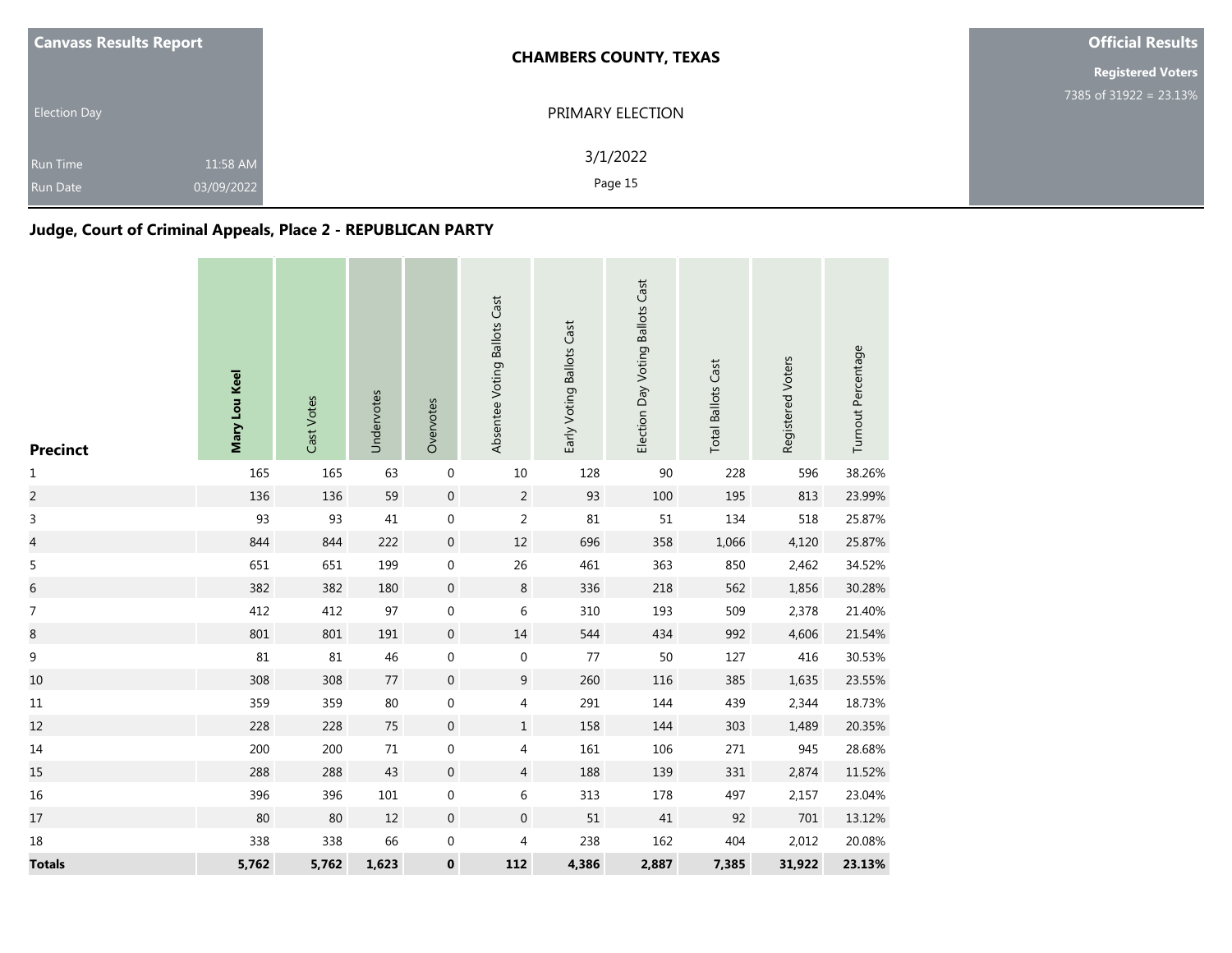| <b>Canvass Results Report</b> |                        | <b>CHAMBERS COUNTY, TEXAS</b> | <b>Official Results</b>  |
|-------------------------------|------------------------|-------------------------------|--------------------------|
|                               |                        |                               | <b>Registered Voters</b> |
| <b>Election Day</b>           |                        | PRIMARY ELECTION              | 7385 of 31922 = 23.13%   |
| Run Time<br><b>Run Date</b>   | 11:58 AM<br>03/09/2022 | 3/1/2022<br>Page 15           |                          |

# **Judge, Court of Criminal Appeals, Place 2 - REPUBLICAN PARTY**

| <b>Precinct</b>          | Mary Lou Keel | Cast Votes | Undervotes | Overvotes        | Absentee Voting Ballots Cast | Early Voting Ballots Cast | Election Day Voting Ballots Cast | <b>Total Ballots Cast</b> | Registered Voters | Turnout Percentage |
|--------------------------|---------------|------------|------------|------------------|------------------------------|---------------------------|----------------------------------|---------------------------|-------------------|--------------------|
| $\mathbf 1$              | 165           | 165        | 63         | $\,0\,$          | $10\,$                       | 128                       | 90                               | 228                       | 596               | 38.26%             |
| $\sqrt{2}$               | 136           | 136        | 59         | $\boldsymbol{0}$ | $\overline{2}$               | 93                        | 100                              | 195                       | 813               | 23.99%             |
| $\mathsf 3$              | 93            | 93         | 41         | $\boldsymbol{0}$ | $\overline{a}$               | 81                        | 51                               | 134                       | 518               | 25.87%             |
| $\overline{\mathcal{L}}$ | 844           | 844        | 222        | $\mathbf 0$      | $12\,$                       | 696                       | 358                              | 1,066                     | 4,120             | 25.87%             |
| $\sqrt{5}$               | 651           | 651        | 199        | $\boldsymbol{0}$ | 26                           | 461                       | 363                              | 850                       | 2,462             | 34.52%             |
| $\,$ 6 $\,$              | 382           | 382        | 180        | $\boldsymbol{0}$ | $\,8\,$                      | 336                       | 218                              | 562                       | 1,856             | 30.28%             |
| $\boldsymbol{7}$         | 412           | 412        | 97         | $\boldsymbol{0}$ | 6                            | 310                       | 193                              | 509                       | 2,378             | 21.40%             |
| $\,8\,$                  | 801           | 801        | 191        | $\boldsymbol{0}$ | 14                           | 544                       | 434                              | 992                       | 4,606             | 21.54%             |
| 9                        | 81            | $81\,$     | 46         | $\pmb{0}$        | 0                            | 77                        | 50                               | 127                       | 416               | 30.53%             |
| $10\,$                   | 308           | 308        | 77         | $\mathbf 0$      | 9                            | 260                       | 116                              | 385                       | 1,635             | 23.55%             |
| 11                       | 359           | 359        | 80         | $\boldsymbol{0}$ | 4                            | 291                       | 144                              | 439                       | 2,344             | 18.73%             |
| 12                       | 228           | 228        | 75         | $\boldsymbol{0}$ | $\mathbf 1$                  | 158                       | 144                              | 303                       | 1,489             | 20.35%             |
| 14                       | 200           | 200        | $71\,$     | $\boldsymbol{0}$ | 4                            | 161                       | 106                              | $271\,$                   | 945               | 28.68%             |
| 15                       | 288           | 288        | 43         | $\mathbf 0$      | $\overline{4}$               | 188                       | 139                              | 331                       | 2,874             | 11.52%             |
| 16                       | 396           | 396        | 101        | $\mathbf 0$      | 6                            | 313                       | 178                              | 497                       | 2,157             | 23.04%             |
| $17\,$                   | 80            | 80         | 12         | $\boldsymbol{0}$ | $\boldsymbol{0}$             | $51\,$                    | $41\,$                           | 92                        | 701               | 13.12%             |
| 18                       | 338           | 338        | 66         | $\boldsymbol{0}$ | 4                            | 238                       | 162                              | 404                       | 2,012             | 20.08%             |
| <b>Totals</b>            | 5,762         | 5,762      | 1,623      | $\mathbf 0$      | 112                          | 4,386                     | 2,887                            | 7,385                     | 31,922            | 23.13%             |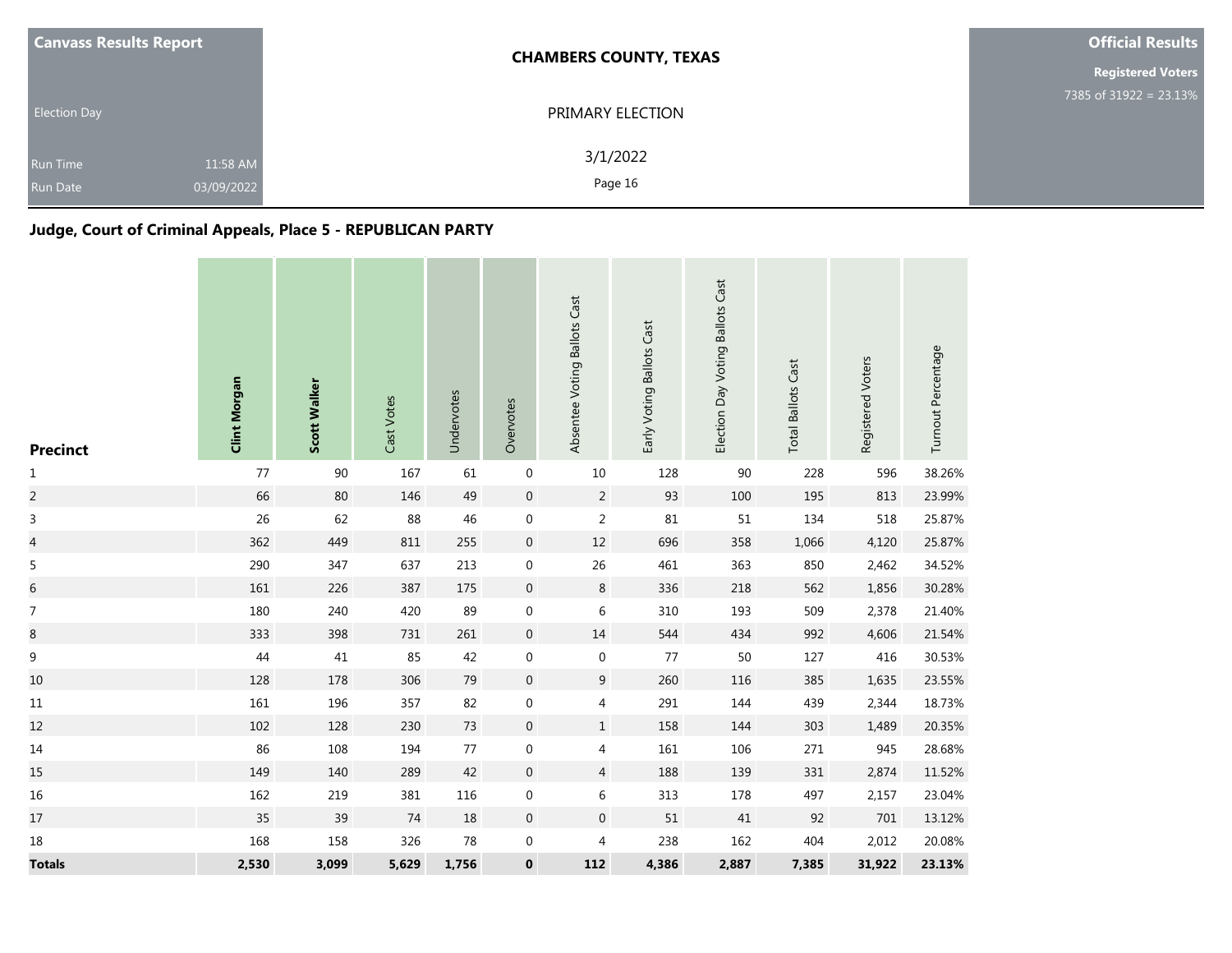| <b>Canvass Results Report</b><br><b>Election Day</b> |                        | <b>CHAMBERS COUNTY, TEXAS</b> | <b>Official Results</b>  |
|------------------------------------------------------|------------------------|-------------------------------|--------------------------|
|                                                      |                        |                               | <b>Registered Voters</b> |
|                                                      |                        | PRIMARY ELECTION              | 7385 of 31922 = 23.13%   |
| <b>Run Time</b><br><b>Run Date</b>                   | 11:58 AM<br>03/09/2022 | 3/1/2022<br>Page 16           |                          |

# **Judge, Court of Criminal Appeals, Place 5 - REPUBLICAN PARTY**

| <b>Precinct</b>          | <b>Clint Morgan</b> | Scott Walker | Cast Votes | Undervotes | Overvotes        | Absentee Voting Ballots Cast | Early Voting Ballots Cast | Election Day Voting Ballots Cast | <b>Total Ballots Cast</b> | Registered Voters | Turnout Percentage |
|--------------------------|---------------------|--------------|------------|------------|------------------|------------------------------|---------------------------|----------------------------------|---------------------------|-------------------|--------------------|
| $\mathbf{1}$             | $77 \,$             | $90\,$       | 167        | 61         | $\boldsymbol{0}$ | $10\,$                       | 128                       | 90                               | 228                       | 596               | 38.26%             |
| $\overline{c}$           | 66                  | 80           | 146        | 49         | $\boldsymbol{0}$ | $\sqrt{2}$                   | 93                        | 100                              | 195                       | 813               | 23.99%             |
| $\mathsf{3}$             | 26                  | 62           | 88         | 46         | $\boldsymbol{0}$ | $\sqrt{2}$                   | 81                        | $51\,$                           | 134                       | 518               | 25.87%             |
| $\overline{\mathcal{L}}$ | 362                 | 449          | 811        | 255        | $\mathbf 0$      | $12\,$                       | 696                       | 358                              | 1,066                     | 4,120             | 25.87%             |
| 5                        | 290                 | 347          | 637        | 213        | $\boldsymbol{0}$ | 26                           | 461                       | 363                              | 850                       | 2,462             | 34.52%             |
| $\overline{6}$           | 161                 | 226          | 387        | 175        | $\boldsymbol{0}$ | $\,8\,$                      | 336                       | 218                              | 562                       | 1,856             | 30.28%             |
| $\overline{7}$           | 180                 | 240          | 420        | 89         | $\boldsymbol{0}$ | $\,$ 6 $\,$                  | 310                       | 193                              | 509                       | 2,378             | 21.40%             |
| 8                        | 333                 | 398          | 731        | 261        | $\boldsymbol{0}$ | $14\,$                       | 544                       | 434                              | 992                       | 4,606             | 21.54%             |
| 9                        | 44                  | 41           | 85         | 42         | 0                | $\boldsymbol{0}$             | 77                        | 50                               | 127                       | 416               | 30.53%             |
| 10                       | 128                 | 178          | 306        | 79         | $\boldsymbol{0}$ | 9                            | 260                       | 116                              | 385                       | 1,635             | 23.55%             |
| 11                       | 161                 | 196          | 357        | 82         | $\boldsymbol{0}$ | $\overline{4}$               | 291                       | 144                              | 439                       | 2,344             | 18.73%             |
| $12\,$                   | 102                 | 128          | 230        | 73         | $\boldsymbol{0}$ | $\,1$                        | 158                       | 144                              | 303                       | 1,489             | 20.35%             |
| 14                       | 86                  | 108          | 194        | 77         | $\boldsymbol{0}$ | $\overline{4}$               | 161                       | 106                              | 271                       | 945               | 28.68%             |
| 15                       | 149                 | 140          | 289        | 42         | $\mathbf 0$      | $\overline{4}$               | 188                       | 139                              | 331                       | 2,874             | 11.52%             |
| 16                       | 162                 | 219          | 381        | 116        | 0                | $\,$ 6 $\,$                  | 313                       | 178                              | 497                       | 2,157             | 23.04%             |
| $17\,$                   | 35                  | 39           | 74         | 18         | $\mathbf 0$      | $\boldsymbol{0}$             | 51                        | 41                               | 92                        | 701               | 13.12%             |
| 18                       | 168                 | 158          | 326        | 78         | 0                | 4                            | 238                       | 162                              | 404                       | 2,012             | 20.08%             |
| <b>Totals</b>            | 2,530               | 3,099        | 5,629      | 1,756      | $\pmb{0}$        | 112                          | 4,386                     | 2,887                            | 7,385                     | 31,922            | 23.13%             |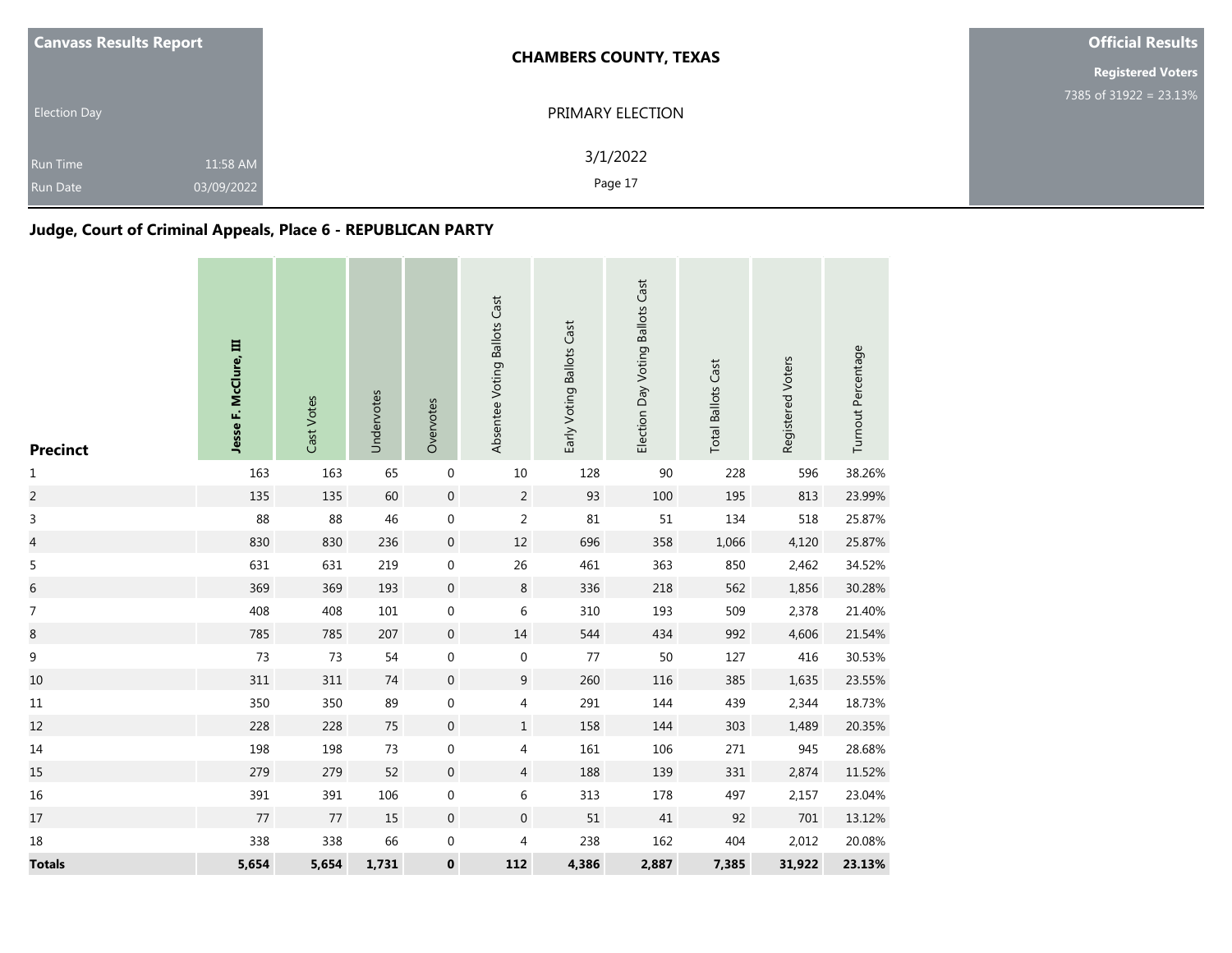| <b>Canvass Results Report</b> |                        | <b>CHAMBERS COUNTY, TEXAS</b> | <b>Official Results</b>  |
|-------------------------------|------------------------|-------------------------------|--------------------------|
|                               |                        |                               | <b>Registered Voters</b> |
| <b>Election Day</b>           |                        | PRIMARY ELECTION              | 7385 of 31922 = 23.13%   |
| Run Time<br><b>Run Date</b>   | 11:58 AM<br>03/09/2022 | 3/1/2022<br>Page 17           |                          |

# **Judge, Court of Criminal Appeals, Place 6 - REPUBLICAN PARTY**

| <b>Precinct</b>          | Jesse F. McClure, III | Cast Votes | Undervotes | Overvotes        | Absentee Voting Ballots Cast | Early Voting Ballots Cast | Election Day Voting Ballots Cast | <b>Total Ballots Cast</b> | Registered Voters | Turnout Percentage |
|--------------------------|-----------------------|------------|------------|------------------|------------------------------|---------------------------|----------------------------------|---------------------------|-------------------|--------------------|
| $\mathbf 1$              | 163                   | 163        | 65         | $\,0\,$          | $10\,$                       | 128                       | 90                               | 228                       | 596               | 38.26%             |
| $\sqrt{2}$               | 135                   | 135        | 60         | $\boldsymbol{0}$ | $\overline{2}$               | 93                        | 100                              | 195                       | 813               | 23.99%             |
| $\mathsf 3$              | 88                    | 88         | 46         | $\boldsymbol{0}$ | $\overline{c}$               | 81                        | 51                               | 134                       | 518               | 25.87%             |
| $\overline{\mathcal{L}}$ | 830                   | 830        | 236        | $\mathbf 0$      | 12                           | 696                       | 358                              | 1,066                     | 4,120             | 25.87%             |
| $\sqrt{5}$               | 631                   | 631        | 219        | $\boldsymbol{0}$ | 26                           | 461                       | 363                              | 850                       | 2,462             | 34.52%             |
| $\,$ 6 $\,$              | 369                   | 369        | 193        | $\boldsymbol{0}$ | $\,8\,$                      | 336                       | 218                              | 562                       | 1,856             | 30.28%             |
| $\boldsymbol{7}$         | 408                   | 408        | 101        | $\boldsymbol{0}$ | 6                            | 310                       | 193                              | 509                       | 2,378             | 21.40%             |
| $\,8\,$                  | 785                   | 785        | 207        | $\boldsymbol{0}$ | 14                           | 544                       | 434                              | 992                       | 4,606             | 21.54%             |
| 9                        | 73                    | 73         | 54         | $\boldsymbol{0}$ | 0                            | 77                        | 50                               | 127                       | 416               | 30.53%             |
| 10                       | 311                   | 311        | 74         | $\mathbf 0$      | 9                            | 260                       | 116                              | 385                       | 1,635             | 23.55%             |
| 11                       | 350                   | 350        | 89         | $\boldsymbol{0}$ | 4                            | 291                       | 144                              | 439                       | 2,344             | 18.73%             |
| 12                       | 228                   | 228        | 75         | $\boldsymbol{0}$ | $\mathbf 1$                  | 158                       | 144                              | 303                       | 1,489             | 20.35%             |
| 14                       | 198                   | 198        | 73         | $\pmb{0}$        | 4                            | 161                       | 106                              | $271\,$                   | 945               | 28.68%             |
| 15                       | 279                   | 279        | 52         | $\mathbf 0$      | $\overline{4}$               | 188                       | 139                              | 331                       | 2,874             | 11.52%             |
| 16                       | 391                   | 391        | 106        | $\mathbf 0$      | 6                            | 313                       | 178                              | 497                       | 2,157             | 23.04%             |
| $17\,$                   | $77\,$                | $77$       | 15         | $\boldsymbol{0}$ | $\boldsymbol{0}$             | $51\,$                    | $41\,$                           | 92                        | 701               | 13.12%             |
| 18                       | 338                   | 338        | 66         | $\boldsymbol{0}$ | 4                            | 238                       | 162                              | 404                       | 2,012             | 20.08%             |
| <b>Totals</b>            | 5,654                 | 5,654      | 1,731      | $\mathbf 0$      | 112                          | 4,386                     | 2,887                            | 7,385                     | 31,922            | 23.13%             |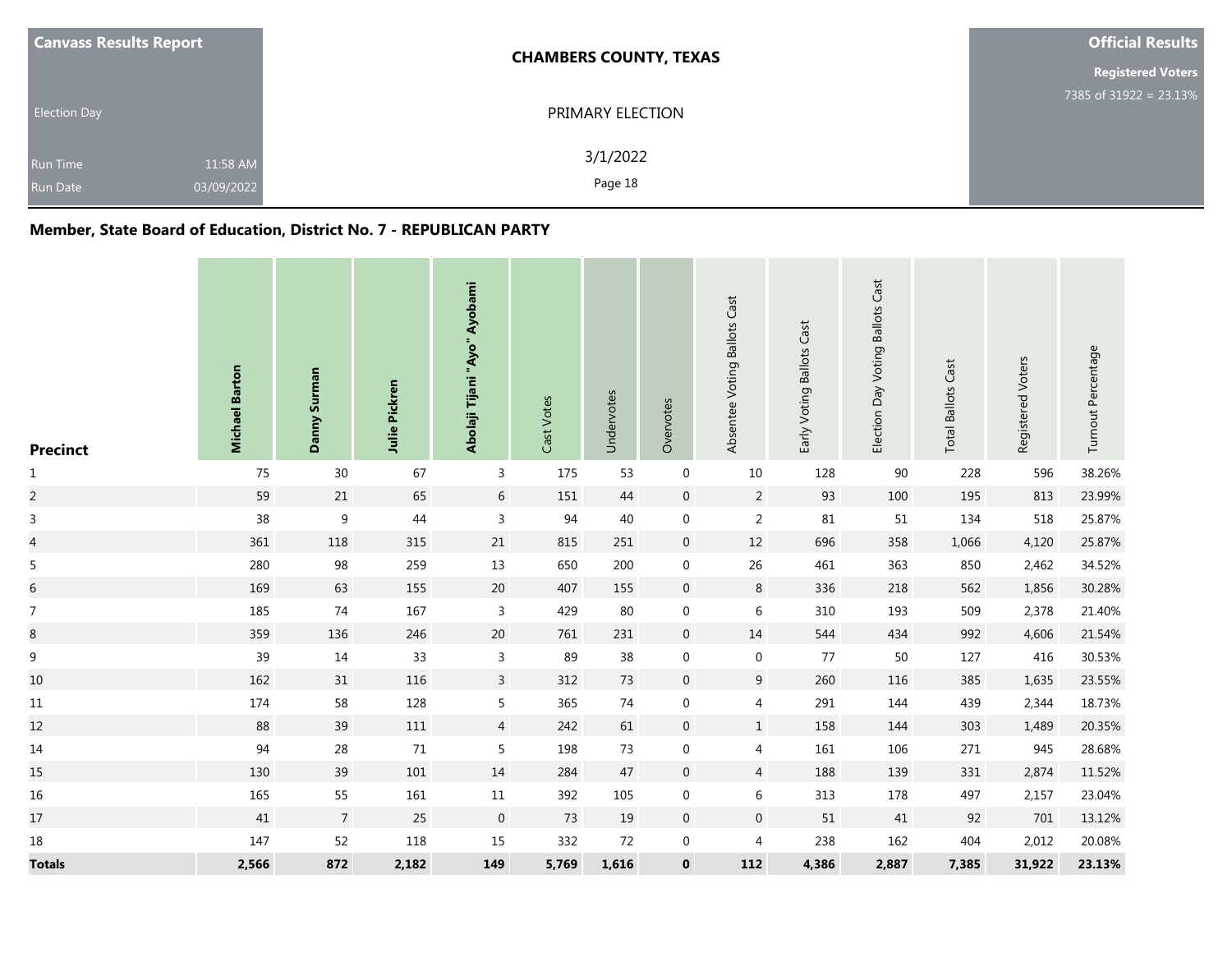| <b>Canvass Results Report</b>      |                        | <b>CHAMBERS COUNTY, TEXAS</b> | <b>Official Results</b>   |  |  |  |
|------------------------------------|------------------------|-------------------------------|---------------------------|--|--|--|
|                                    |                        |                               | <b>Registered Voters</b>  |  |  |  |
| <b>Election Day</b>                |                        | PRIMARY ELECTION              | 7385 of 31922 = $23.13\%$ |  |  |  |
| <b>Run Time</b><br><b>Run Date</b> | 11:58 AM<br>03/09/2022 | 3/1/2022<br>Page 18           |                           |  |  |  |

# **Member, State Board of Education, District No. 7 - REPUBLICAN PARTY**

| <b>Precinct</b>  | <b>Michael Barton</b> | Danny Surman     | Julie Pickren | Abolaji Tijani "Ayo" Ayobami | Cast Votes | Undervotes | Overvotes        | Absentee Voting Ballots Cast | Early Voting Ballots Cast | Election Day Voting Ballots Cast | <b>Total Ballots Cast</b> | Registered Voters | Turnout Percentage |
|------------------|-----------------------|------------------|---------------|------------------------------|------------|------------|------------------|------------------------------|---------------------------|----------------------------------|---------------------------|-------------------|--------------------|
| $\mathbf{1}$     | 75                    | 30               | 67            | $\mathbf{3}$                 | 175        | 53         | $\boldsymbol{0}$ | 10                           | 128                       | 90                               | 228                       | 596               | 38.26%             |
| $\overline{c}$   | 59                    | $21\,$           | 65            | $\sqrt{6}$                   | 151        | 44         | $\boldsymbol{0}$ | $\overline{2}$               | 93                        | 100                              | 195                       | 813               | 23.99%             |
| $\mathsf{3}$     | $38\,$                | $\boldsymbol{9}$ | $44\,$        | $\mathsf{3}$                 | 94         | 40         | $\boldsymbol{0}$ | $\overline{2}$               | 81                        | 51                               | 134                       | 518               | 25.87%             |
| $\overline{a}$   | 361                   | 118              | 315           | $21\,$                       | 815        | 251        | $\mathbf 0$      | $12\,$                       | 696                       | 358                              | 1,066                     | 4,120             | 25.87%             |
| 5                | 280                   | 98               | 259           | $13\,$                       | 650        | 200        | $\boldsymbol{0}$ | 26                           | 461                       | 363                              | 850                       | 2,462             | 34.52%             |
| $\overline{6}$   | 169                   | 63               | 155           | $20\,$                       | 407        | 155        | $\boldsymbol{0}$ | $\,8\,$                      | 336                       | 218                              | 562                       | 1,856             | 30.28%             |
| $\boldsymbol{7}$ | 185                   | $74$             | 167           | $\mathsf{3}$                 | 429        | 80         | $\mathbf 0$      | $\,$ 6 $\,$                  | 310                       | 193                              | 509                       | 2,378             | 21.40%             |
| $\bf 8$          | 359                   | 136              | 246           | $20\,$                       | 761        | 231        | $\boldsymbol{0}$ | 14                           | 544                       | 434                              | 992                       | 4,606             | 21.54%             |
| $\boldsymbol{9}$ | 39                    | $14\,$           | 33            | $\mathsf{3}$                 | 89         | 38         | $\boldsymbol{0}$ | $\boldsymbol{0}$             | 77                        | 50                               | 127                       | 416               | 30.53%             |
| $10\,$           | 162                   | $31\,$           | 116           | $\mathsf{3}$                 | 312        | 73         | $\mathbf 0$      | $\boldsymbol{9}$             | 260                       | 116                              | 385                       | 1,635             | 23.55%             |
| $11\,$           | 174                   | 58               | 128           | $5\phantom{.0}$              | 365        | 74         | $\boldsymbol{0}$ | 4                            | 291                       | 144                              | 439                       | 2,344             | 18.73%             |
| $12\,$           | 88                    | 39               | $111\,$       | $\overline{4}$               | 242        | 61         | $\boldsymbol{0}$ | $\mathbf 1$                  | 158                       | 144                              | 303                       | 1,489             | 20.35%             |
| $14\,$           | 94                    | 28               | $71\,$        | $\overline{5}$               | 198        | 73         | $\boldsymbol{0}$ | 4                            | 161                       | 106                              | 271                       | 945               | 28.68%             |
| 15               | 130                   | 39               | 101           | $14\,$                       | 284        | 47         | $\mathbf 0$      | $\overline{4}$               | 188                       | 139                              | 331                       | 2,874             | 11.52%             |
| 16               | 165                   | 55               | 161           | $11\,$                       | 392        | 105        | $\boldsymbol{0}$ | 6                            | 313                       | 178                              | 497                       | 2,157             | 23.04%             |
| $17\,$           | $41\,$                | $\overline{7}$   | 25            | $\boldsymbol{0}$             | 73         | 19         | $\boldsymbol{0}$ | $\mathbf 0$                  | 51                        | 41                               | 92                        | 701               | 13.12%             |
| $18\,$           | 147                   | 52               | 118           | $15\,$                       | 332        | 72         | $\boldsymbol{0}$ | $\overline{4}$               | 238                       | 162                              | 404                       | 2,012             | 20.08%             |
| <b>Totals</b>    | 2,566                 | 872              | 2,182         | 149                          | 5,769      | 1,616      | $\pmb{0}$        | 112                          | 4,386                     | 2,887                            | 7,385                     | 31,922            | 23.13%             |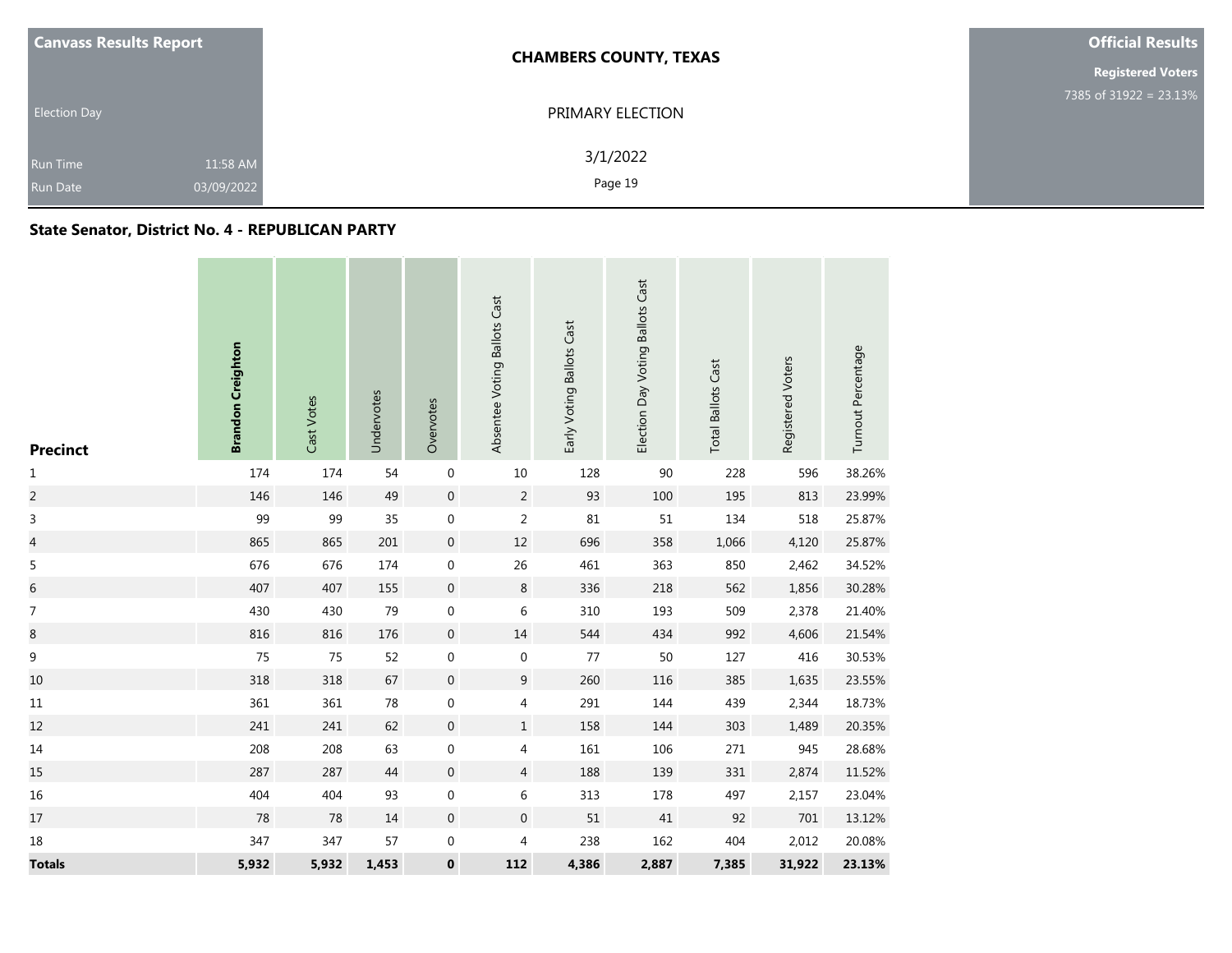| <b>Canvass Results Report</b> |                                                              | <b>CHAMBERS COUNTY, TEXAS</b> | <b>Official Results</b>  |
|-------------------------------|--------------------------------------------------------------|-------------------------------|--------------------------|
|                               |                                                              |                               | <b>Registered Voters</b> |
|                               | <b>Election Day</b>                                          | PRIMARY ELECTION              | 7385 of 31922 = 23.13%   |
|                               | 11:58 AM<br><b>Run Time</b><br>03/09/2022<br><b>Run Date</b> | 3/1/2022<br>Page 19           |                          |

#### **State Senator, District No. 4 - REPUBLICAN PARTY**

| <b>Precinct</b>          | <b>Brandon Creighton</b> | Cast Votes | Undervotes | Overvotes        | Absentee Voting Ballots Cast | Early Voting Ballots Cast | Election Day Voting Ballots Cast | <b>Total Ballots Cast</b> | Registered Voters | Turnout Percentage |
|--------------------------|--------------------------|------------|------------|------------------|------------------------------|---------------------------|----------------------------------|---------------------------|-------------------|--------------------|
| $\mathbf 1$              | 174                      | 174        | 54         | $\boldsymbol{0}$ | $10\,$                       | 128                       | 90                               | 228                       | 596               | 38.26%             |
| $\overline{c}$           | 146                      | 146        | 49         | $\boldsymbol{0}$ | $\overline{c}$               | 93                        | 100                              | 195                       | 813               | 23.99%             |
| 3                        | 99                       | 99         | 35         | 0                | 2                            | 81                        | 51                               | 134                       | 518               | 25.87%             |
| $\overline{\mathcal{L}}$ | 865                      | 865        | 201        | $\boldsymbol{0}$ | 12                           | 696                       | 358                              | 1,066                     | 4,120             | 25.87%             |
| 5                        | 676                      | 676        | 174        | $\boldsymbol{0}$ | 26                           | 461                       | 363                              | 850                       | 2,462             | 34.52%             |
| $\,$ 6 $\,$              | 407                      | 407        | 155        | $\boldsymbol{0}$ | $\,8\,$                      | 336                       | 218                              | 562                       | 1,856             | 30.28%             |
| $\boldsymbol{7}$         | 430                      | 430        | 79         | $\boldsymbol{0}$ | $\,$ 6 $\,$                  | 310                       | 193                              | 509                       | 2,378             | 21.40%             |
| $\bf 8$                  | 816                      | 816        | 176        | $\boldsymbol{0}$ | $14\,$                       | 544                       | 434                              | 992                       | 4,606             | 21.54%             |
| $\boldsymbol{9}$         | 75                       | 75         | 52         | $\boldsymbol{0}$ | $\boldsymbol{0}$             | 77                        | 50                               | 127                       | 416               | 30.53%             |
| 10                       | 318                      | 318        | 67         | $\boldsymbol{0}$ | 9                            | 260                       | 116                              | 385                       | 1,635             | 23.55%             |
| 11                       | 361                      | 361        | 78         | $\boldsymbol{0}$ | 4                            | 291                       | 144                              | 439                       | 2,344             | 18.73%             |
| 12                       | 241                      | 241        | 62         | $\boldsymbol{0}$ | $\mathbf{1}$                 | 158                       | 144                              | 303                       | 1,489             | 20.35%             |
| 14                       | 208                      | 208        | 63         | $\boldsymbol{0}$ | 4                            | 161                       | 106                              | 271                       | 945               | 28.68%             |
| 15                       | 287                      | 287        | 44         | $\boldsymbol{0}$ | $\overline{4}$               | 188                       | 139                              | 331                       | 2,874             | 11.52%             |
| 16                       | 404                      | 404        | 93         | $\boldsymbol{0}$ | 6                            | 313                       | 178                              | 497                       | 2,157             | 23.04%             |
| 17                       | ${\bf 78}$               | 78         | $14\,$     | $\boldsymbol{0}$ | 0                            | $51\,$                    | $41\,$                           | 92                        | 701               | 13.12%             |
| 18                       | 347                      | 347        | 57         | 0                | 4                            | 238                       | 162                              | 404                       | 2,012             | 20.08%             |
| <b>Totals</b>            | 5,932                    | 5,932      | 1,453      | $\pmb{0}$        | 112                          | 4,386                     | 2,887                            | 7,385                     | 31,922            | 23.13%             |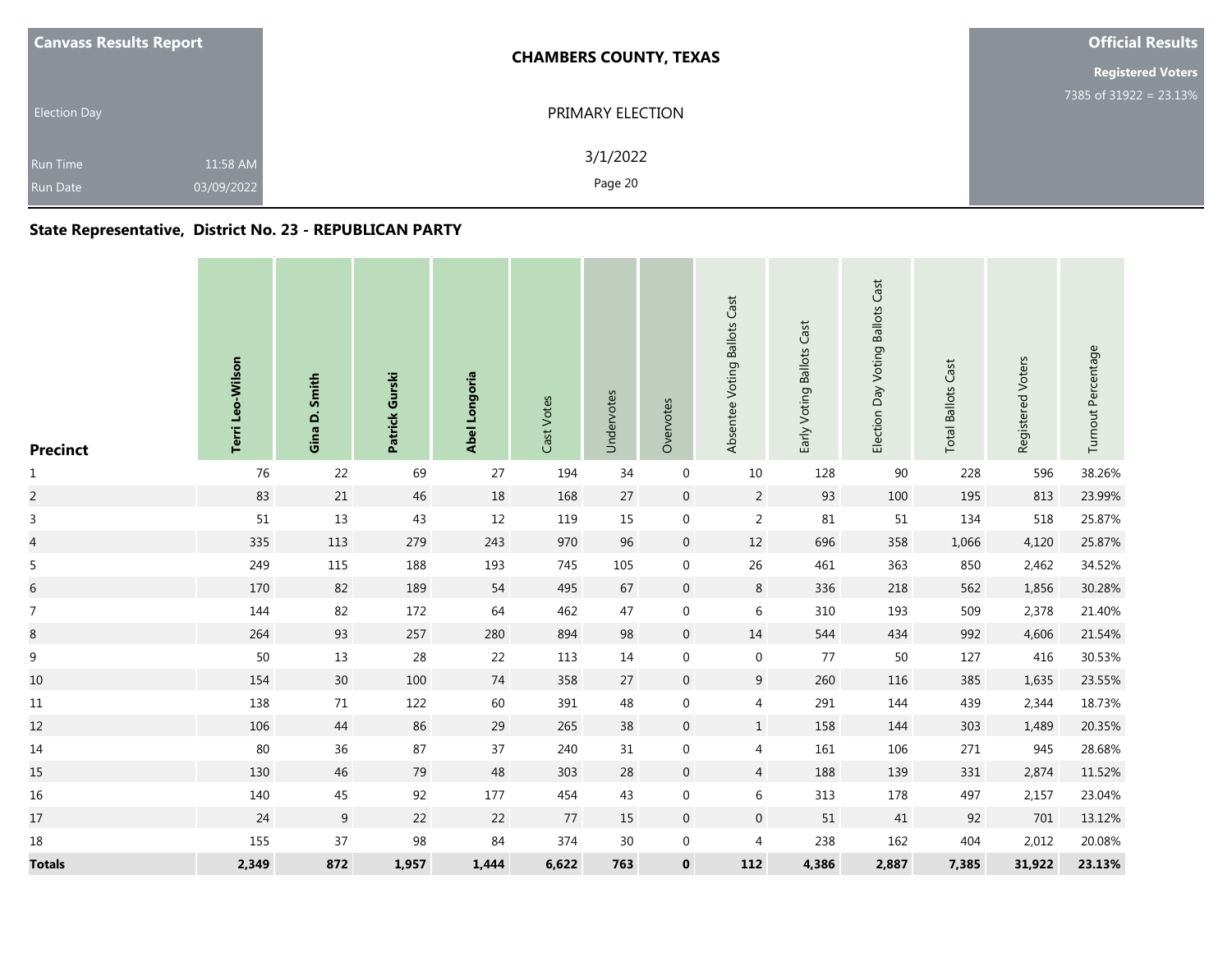| <b>Canvass Results Report</b>      |                        | <b>CHAMBERS COUNTY, TEXAS</b> | <b>Official Results</b>  |  |  |
|------------------------------------|------------------------|-------------------------------|--------------------------|--|--|
|                                    |                        |                               | <b>Registered Voters</b> |  |  |
| <b>Election Day</b>                |                        | PRIMARY ELECTION              | 7385 of 31922 = 23.13%   |  |  |
| <b>Run Time</b><br><b>Run Date</b> | 11:58 AM<br>03/09/2022 | 3/1/2022<br>Page 20           |                          |  |  |

# **State Representative, District No. 23 - REPUBLICAN PARTY**

| <b>Precinct</b>  | Terri Leo-Wilson | Gina D. Smith    | Patrick Gurski | <b>Abel Longoria</b> | Cast Votes | Undervotes      | Overvotes        | Absentee Voting Ballots Cast | Early Voting Ballots Cast | Election Day Voting Ballots Cast | <b>Total Ballots Cast</b> | Registered Voters | Turnout Percentage |
|------------------|------------------|------------------|----------------|----------------------|------------|-----------------|------------------|------------------------------|---------------------------|----------------------------------|---------------------------|-------------------|--------------------|
| $\mathbf{1}$     | 76               | 22               | 69             | 27                   | 194        | 34              | $\boldsymbol{0}$ | $10\,$                       | 128                       | 90                               | 228                       | 596               | 38.26%             |
| $\overline{a}$   | 83               | 21               | 46             | 18                   | 168        | 27              | $\overline{0}$   | $\overline{2}$               | 93                        | 100                              | 195                       | 813               | 23.99%             |
| $\mathsf{3}$     | 51               | $13\,$           | 43             | $12$                 | 119        | 15              | $\mathbf 0$      | $\overline{2}$               | 81                        | $51\,$                           | 134                       | 518               | 25.87%             |
| $\overline{4}$   | 335              | 113              | 279            | 243                  | 970        | 96              | $\boldsymbol{0}$ | $12\,$                       | 696                       | 358                              | 1,066                     | 4,120             | 25.87%             |
| $\overline{5}$   | 249              | 115              | 188            | 193                  | 745        | 105             | $\overline{0}$   | 26                           | 461                       | 363                              | 850                       | 2,462             | 34.52%             |
| $6\,$            | 170              | 82               | 189            | 54                   | 495        | 67              | $\boldsymbol{0}$ | $\,8\,$                      | 336                       | 218                              | 562                       | 1,856             | 30.28%             |
| $\overline{7}$   | 144              | 82               | 172            | 64                   | 462        | 47              | $\mathbf 0$      | $\,6\,$                      | 310                       | 193                              | 509                       | 2,378             | 21.40%             |
| $\bf 8$          | 264              | 93               | 257            | 280                  | 894        | 98              | $\overline{0}$   | 14                           | 544                       | 434                              | 992                       | 4,606             | 21.54%             |
| $\boldsymbol{9}$ | 50               | $13\,$           | $28\,$         | 22                   | 113        | 14              | $\boldsymbol{0}$ | $\boldsymbol{0}$             | 77                        | $50\,$                           | 127                       | 416               | 30.53%             |
| $10\,$           | 154              | $30\,$           | 100            | $74$                 | 358        | 27              | $\mathbf 0$      | $\boldsymbol{9}$             | 260                       | 116                              | 385                       | 1,635             | 23.55%             |
| $11\,$           | 138              | $71\,$           | 122            | $60\,$               | 391        | 48              | $\mathbf 0$      | $\overline{4}$               | 291                       | 144                              | 439                       | 2,344             | 18.73%             |
| 12               | 106              | $44\,$           | 86             | 29                   | 265        | 38              | $\boldsymbol{0}$ | $1\,$                        | 158                       | 144                              | 303                       | 1,489             | 20.35%             |
| $14\,$           | $80\,$           | $36\,$           | $87\,$         | $37\,$               | 240        | 31              | $\boldsymbol{0}$ | $\sqrt{4}$                   | 161                       | 106                              | 271                       | 945               | 28.68%             |
| 15               | 130              | 46               | 79             | 48                   | 303        | 28              | $\boldsymbol{0}$ | $\overline{4}$               | 188                       | 139                              | 331                       | 2,874             | 11.52%             |
| $16\,$           | 140              | 45               | 92             | 177                  | 454        | 43              | $\mathbf 0$      | $\,$ 6 $\,$                  | 313                       | 178                              | 497                       | 2,157             | 23.04%             |
| $17\,$           | $24$             | $\boldsymbol{9}$ | 22             | $22\,$               | 77         | 15              | $\boldsymbol{0}$ | $\boldsymbol{0}$             | $51\,$                    | $41\,$                           | 92                        | 701               | 13.12%             |
| $18\,$           | 155              | $37\,$           | 98             | 84                   | 374        | 30 <sup>°</sup> | $\mathbf 0$      | $\overline{4}$               | 238                       | 162                              | 404                       | 2,012             | 20.08%             |
| <b>Totals</b>    | 2,349            | 872              | 1,957          | 1,444                | 6,622      | 763             | $\pmb{0}$        | 112                          | 4,386                     | 2,887                            | 7,385                     | 31,922            | 23.13%             |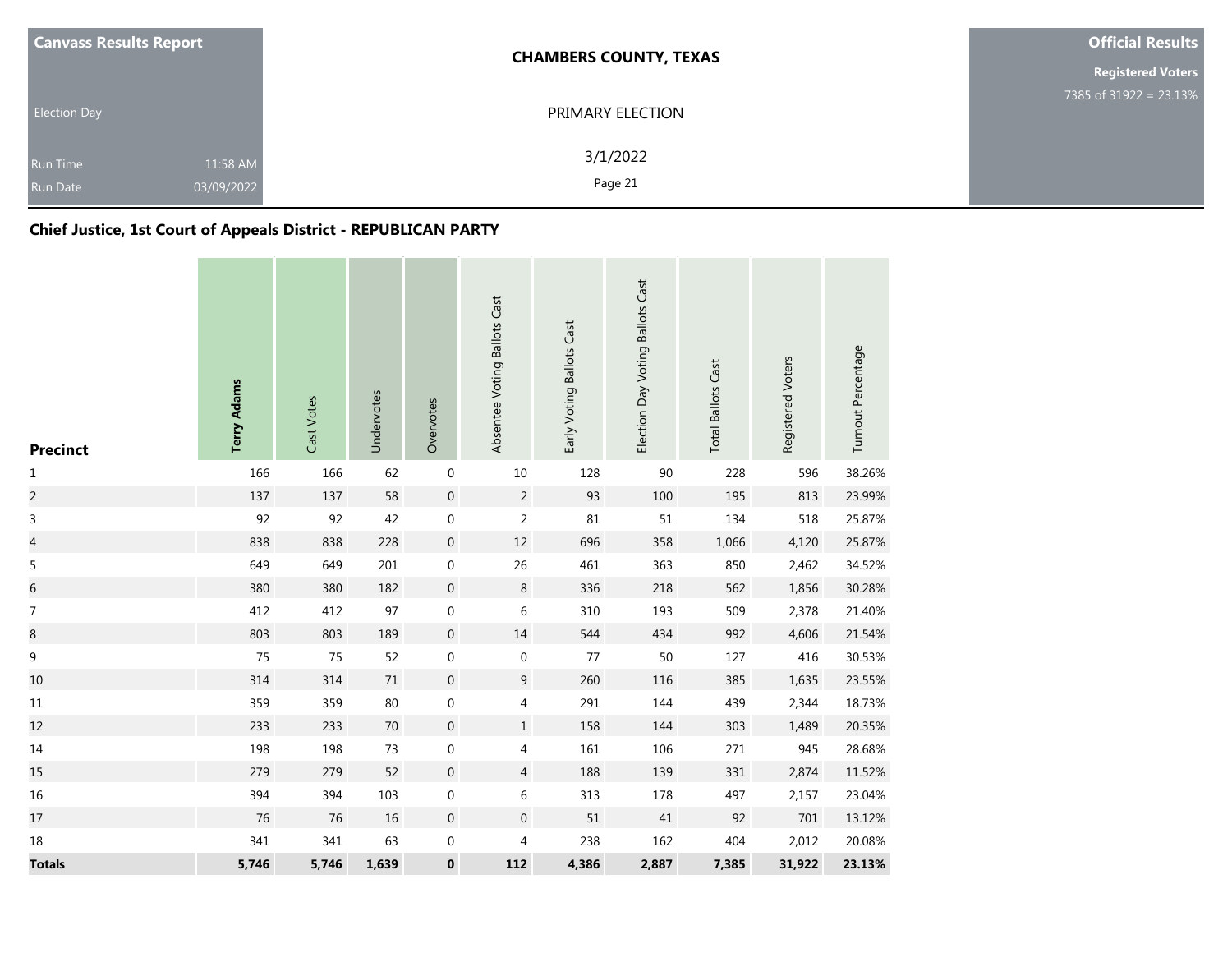| <b>Canvass Results Report</b>      |                        | <b>CHAMBERS COUNTY, TEXAS</b> | <b>Official Results</b>  |
|------------------------------------|------------------------|-------------------------------|--------------------------|
|                                    |                        |                               | <b>Registered Voters</b> |
| <b>Election Day</b>                |                        | PRIMARY ELECTION              | 7385 of 31922 = 23.13%   |
| <b>Run Time</b><br><b>Run Date</b> | 11:58 AM<br>03/09/2022 | 3/1/2022<br>Page 21           |                          |

# **Chief Justice, 1st Court of Appeals District - REPUBLICAN PARTY**

| <b>Precinct</b> | <b>Terry Adams</b> | Cast Votes | Undervotes | Overvotes        | Absentee Voting Ballots Cast | Early Voting Ballots Cast | Election Day Voting Ballots Cast | <b>Total Ballots Cast</b> | Registered Voters | Turnout Percentage |
|-----------------|--------------------|------------|------------|------------------|------------------------------|---------------------------|----------------------------------|---------------------------|-------------------|--------------------|
| $\mathbf{1}$    | 166                | 166        | 62         | $\boldsymbol{0}$ | $10\,$                       | 128                       | 90                               | 228                       | 596               | 38.26%             |
| $\overline{c}$  | 137                | 137        | 58         | $\boldsymbol{0}$ | $\overline{2}$               | 93                        | 100                              | 195                       | 813               | 23.99%             |
| 3               | 92                 | 92         | 42         | $\boldsymbol{0}$ | $\overline{2}$               | 81                        | 51                               | 134                       | 518               | 25.87%             |
| $\overline{a}$  | 838                | 838        | 228        | $\boldsymbol{0}$ | $12\,$                       | 696                       | 358                              | 1,066                     | 4,120             | 25.87%             |
| 5               | 649                | 649        | 201        | $\boldsymbol{0}$ | 26                           | 461                       | 363                              | 850                       | 2,462             | 34.52%             |
| $\sqrt{6}$      | 380                | 380        | 182        | $\boldsymbol{0}$ | $\,8\,$                      | 336                       | 218                              | 562                       | 1,856             | 30.28%             |
| $\overline{7}$  | 412                | 412        | 97         | $\boldsymbol{0}$ | 6                            | 310                       | 193                              | 509                       | 2,378             | 21.40%             |
| $\bf 8$         | 803                | 803        | 189        | $\boldsymbol{0}$ | $14\,$                       | 544                       | 434                              | 992                       | 4,606             | 21.54%             |
| 9               | 75                 | 75         | 52         | $\boldsymbol{0}$ | $\pmb{0}$                    | 77                        | 50                               | 127                       | 416               | 30.53%             |
| 10              | 314                | 314        | $71\,$     | $\boldsymbol{0}$ | $9\,$                        | 260                       | 116                              | 385                       | 1,635             | 23.55%             |
| 11              | 359                | 359        | $80\,$     | $\boldsymbol{0}$ | 4                            | 291                       | 144                              | 439                       | 2,344             | 18.73%             |
| 12              | 233                | 233        | $70\,$     | $\boldsymbol{0}$ | $\mathbf{1}$                 | 158                       | 144                              | 303                       | 1,489             | 20.35%             |
| 14              | 198                | 198        | 73         | $\boldsymbol{0}$ | 4                            | 161                       | 106                              | 271                       | 945               | 28.68%             |
| 15              | 279                | 279        | 52         | $\boldsymbol{0}$ | $\overline{4}$               | 188                       | 139                              | 331                       | 2,874             | 11.52%             |
| 16              | 394                | 394        | 103        | $\boldsymbol{0}$ | 6                            | 313                       | 178                              | 497                       | 2,157             | 23.04%             |
| 17              | 76                 | 76         | 16         | $\boldsymbol{0}$ | $\boldsymbol{0}$             | 51                        | $41\,$                           | 92                        | 701               | 13.12%             |
| 18              | 341                | 341        | 63         | 0                | 4                            | 238                       | 162                              | 404                       | 2,012             | 20.08%             |
| <b>Totals</b>   | 5,746              | 5,746      | 1,639      | $\mathbf 0$      | 112                          | 4,386                     | 2,887                            | 7,385                     | 31,922            | 23.13%             |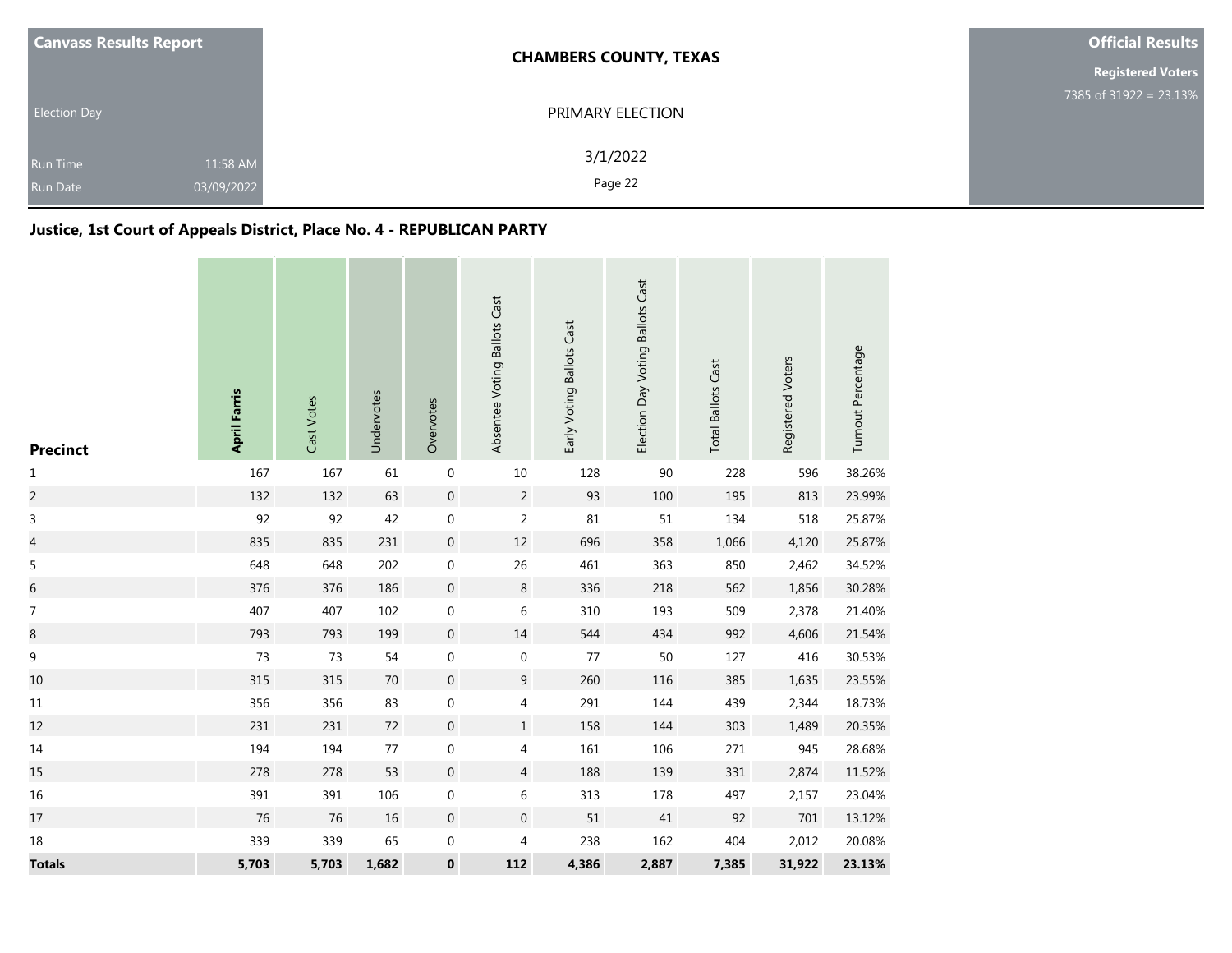| <b>Canvass Results Report</b>      |                        | <b>CHAMBERS COUNTY, TEXAS</b> | <b>Official Results</b>  |
|------------------------------------|------------------------|-------------------------------|--------------------------|
|                                    |                        |                               | <b>Registered Voters</b> |
| <b>Election Day</b>                |                        | PRIMARY ELECTION              | 7385 of 31922 = 23.13%   |
| <b>Run Time</b><br><b>Run Date</b> | 11:58 AM<br>03/09/2022 | 3/1/2022<br>Page 22           |                          |

# **Justice, 1st Court of Appeals District, Place No. 4 - REPUBLICAN PARTY**

| <b>Precinct</b>          | <b>April Farris</b> | Cast Votes | Undervotes | Overvotes        | Absentee Voting Ballots Cast | Early Voting Ballots Cast | Election Day Voting Ballots Cast | <b>Total Ballots Cast</b> | Registered Voters | Turnout Percentage |
|--------------------------|---------------------|------------|------------|------------------|------------------------------|---------------------------|----------------------------------|---------------------------|-------------------|--------------------|
| $\mathbf{1}$             | 167                 | 167        | 61         | $\boldsymbol{0}$ | $10\,$                       | 128                       | 90                               | 228                       | 596               | 38.26%             |
| $\overline{c}$           | 132                 | 132        | 63         | $\boldsymbol{0}$ | $\overline{2}$               | 93                        | 100                              | 195                       | 813               | 23.99%             |
| 3                        | 92                  | 92         | 42         | $\boldsymbol{0}$ | $\overline{2}$               | 81                        | 51                               | 134                       | 518               | 25.87%             |
| $\overline{\mathcal{L}}$ | 835                 | 835        | 231        | $\boldsymbol{0}$ | $12\,$                       | 696                       | 358                              | 1,066                     | 4,120             | 25.87%             |
| 5                        | 648                 | 648        | 202        | $\boldsymbol{0}$ | 26                           | 461                       | 363                              | 850                       | 2,462             | 34.52%             |
| $\overline{6}$           | 376                 | 376        | 186        | $\boldsymbol{0}$ | 8                            | 336                       | 218                              | 562                       | 1,856             | 30.28%             |
| $\overline{7}$           | 407                 | 407        | 102        | $\boldsymbol{0}$ | 6                            | 310                       | 193                              | 509                       | 2,378             | 21.40%             |
| $\bf 8$                  | 793                 | 793        | 199        | $\boldsymbol{0}$ | 14                           | 544                       | 434                              | 992                       | 4,606             | 21.54%             |
| 9                        | 73                  | 73         | 54         | $\boldsymbol{0}$ | 0                            | 77                        | 50                               | 127                       | 416               | 30.53%             |
| 10                       | 315                 | 315        | $70\,$     | $\boldsymbol{0}$ | 9                            | 260                       | 116                              | 385                       | 1,635             | 23.55%             |
| 11                       | 356                 | 356        | 83         | $\boldsymbol{0}$ | 4                            | 291                       | 144                              | 439                       | 2,344             | 18.73%             |
| 12                       | 231                 | 231        | $72$       | $\boldsymbol{0}$ | $\,1$                        | 158                       | 144                              | 303                       | 1,489             | 20.35%             |
| 14                       | 194                 | 194        | 77         | $\boldsymbol{0}$ | 4                            | 161                       | 106                              | 271                       | 945               | 28.68%             |
| 15                       | 278                 | 278        | 53         | $\mathbf 0$      | $\overline{4}$               | 188                       | 139                              | 331                       | 2,874             | 11.52%             |
| $16\,$                   | 391                 | 391        | 106        | $\mathbf 0$      | 6                            | 313                       | 178                              | 497                       | 2,157             | 23.04%             |
| 17                       | 76                  | 76         | 16         | $\boldsymbol{0}$ | $\mathbf 0$                  | 51                        | 41                               | 92                        | 701               | 13.12%             |
| 18                       | 339                 | 339        | 65         | $\pmb{0}$        | 4                            | 238                       | 162                              | 404                       | 2,012             | 20.08%             |
| <b>Totals</b>            | 5,703               | 5,703      | 1,682      | $\mathbf 0$      | 112                          | 4,386                     | 2,887                            | 7,385                     | 31,922            | 23.13%             |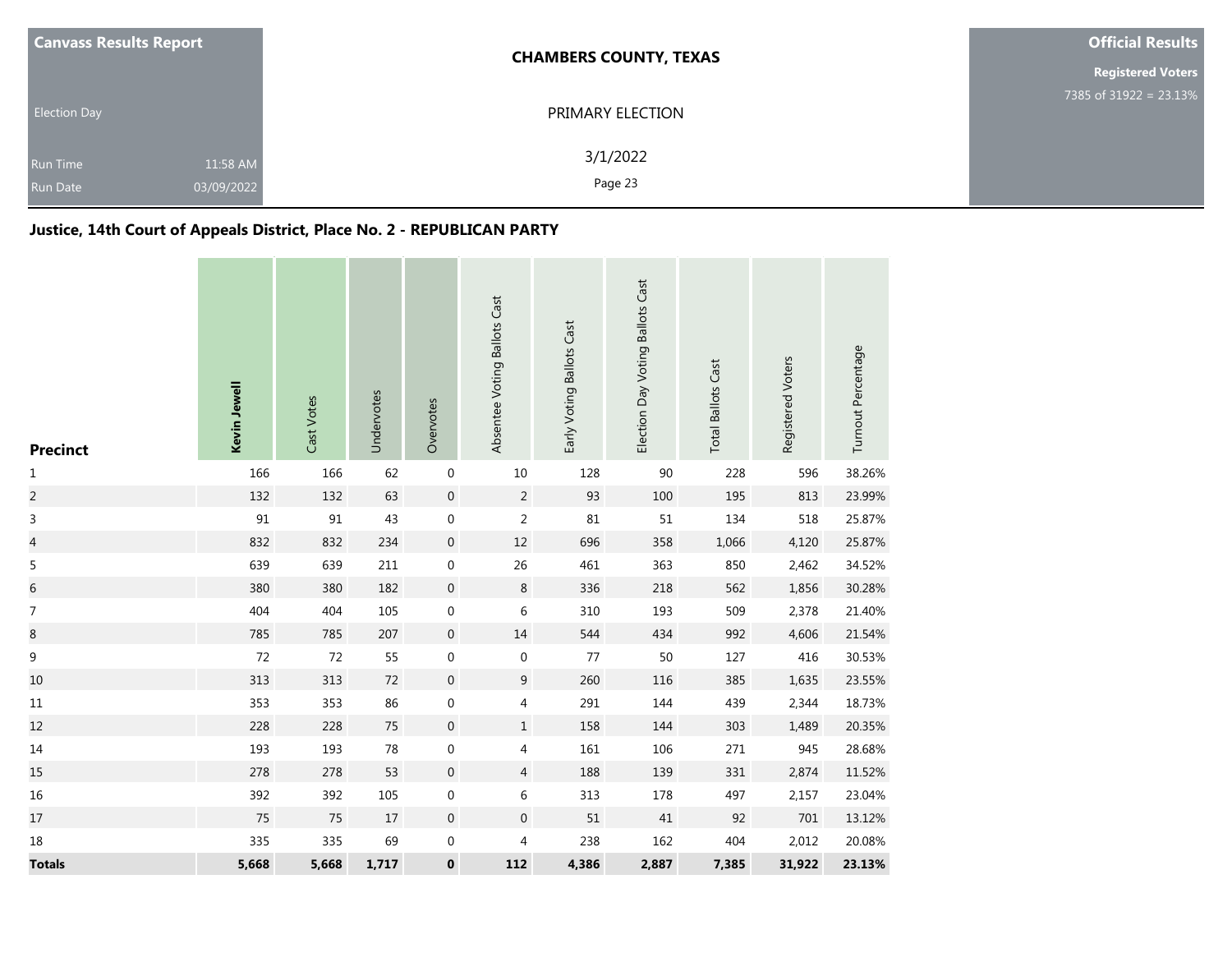| <b>Canvass Results Report</b>      |                        | <b>CHAMBERS COUNTY, TEXAS</b> | <b>Official Results</b>  |
|------------------------------------|------------------------|-------------------------------|--------------------------|
|                                    |                        |                               | <b>Registered Voters</b> |
| <b>Election Day</b>                |                        | PRIMARY ELECTION              | 7385 of 31922 = 23.13%   |
| <b>Run Time</b><br><b>Run Date</b> | 11:58 AM<br>03/09/2022 | 3/1/2022<br>Page 23           |                          |

# **Justice, 14th Court of Appeals District, Place No. 2 - REPUBLICAN PARTY**

| <b>Precinct</b>          | Kevin Jewell | Cast Votes | Undervotes | Overvotes        | Absentee Voting Ballots Cast | Early Voting Ballots Cast | Election Day Voting Ballots Cast | <b>Total Ballots Cast</b> | Registered Voters | Turnout Percentage |
|--------------------------|--------------|------------|------------|------------------|------------------------------|---------------------------|----------------------------------|---------------------------|-------------------|--------------------|
| $\mathbf{1}$             | 166          | 166        | 62         | $\boldsymbol{0}$ | 10                           | 128                       | 90                               | 228                       | 596               | 38.26%             |
| $\overline{c}$           | 132          | 132        | 63         | $\boldsymbol{0}$ | $\overline{2}$               | 93                        | 100                              | 195                       | 813               | 23.99%             |
| 3                        | 91           | $91\,$     | 43         | $\boldsymbol{0}$ | $\overline{2}$               | 81                        | 51                               | 134                       | 518               | 25.87%             |
| $\overline{\mathcal{L}}$ | 832          | 832        | 234        | $\mathbf 0$      | $12\,$                       | 696                       | 358                              | 1,066                     | 4,120             | 25.87%             |
| 5                        | 639          | 639        | 211        | $\boldsymbol{0}$ | 26                           | 461                       | 363                              | 850                       | 2,462             | 34.52%             |
| $\overline{6}$           | 380          | 380        | 182        | $\boldsymbol{0}$ | $\,8\,$                      | 336                       | 218                              | 562                       | 1,856             | 30.28%             |
| $\boldsymbol{7}$         | 404          | 404        | 105        | $\boldsymbol{0}$ | $\,$ 6 $\,$                  | 310                       | 193                              | 509                       | 2,378             | 21.40%             |
| $\bf 8$                  | 785          | 785        | 207        | $\boldsymbol{0}$ | 14                           | 544                       | 434                              | 992                       | 4,606             | 21.54%             |
| 9                        | 72           | 72         | 55         | $\boldsymbol{0}$ | 0                            | 77                        | 50                               | 127                       | 416               | 30.53%             |
| 10                       | 313          | 313        | 72         | $\boldsymbol{0}$ | 9                            | 260                       | 116                              | 385                       | 1,635             | 23.55%             |
| 11                       | 353          | 353        | 86         | $\boldsymbol{0}$ | 4                            | 291                       | 144                              | 439                       | 2,344             | 18.73%             |
| 12                       | 228          | 228        | $75\,$     | $\boldsymbol{0}$ | $\mathbf 1$                  | 158                       | 144                              | 303                       | 1,489             | 20.35%             |
| 14                       | 193          | 193        | $78\,$     | $\boldsymbol{0}$ | 4                            | 161                       | 106                              | $271\,$                   | 945               | 28.68%             |
| 15                       | 278          | 278        | 53         | $\mathbf 0$      | $\overline{4}$               | 188                       | 139                              | 331                       | 2,874             | 11.52%             |
| 16                       | 392          | 392        | 105        | $\boldsymbol{0}$ | 6                            | 313                       | 178                              | 497                       | 2,157             | 23.04%             |
| 17                       | 75           | 75         | $17\,$     | $\boldsymbol{0}$ | $\boldsymbol{0}$             | 51                        | 41                               | 92                        | 701               | 13.12%             |
| $18\,$                   | 335          | 335        | 69         | $\boldsymbol{0}$ | 4                            | 238                       | 162                              | 404                       | 2,012             | 20.08%             |
| <b>Totals</b>            | 5,668        | 5,668      | 1,717      | $\pmb{0}$        | 112                          | 4,386                     | 2,887                            | 7,385                     | 31,922            | 23.13%             |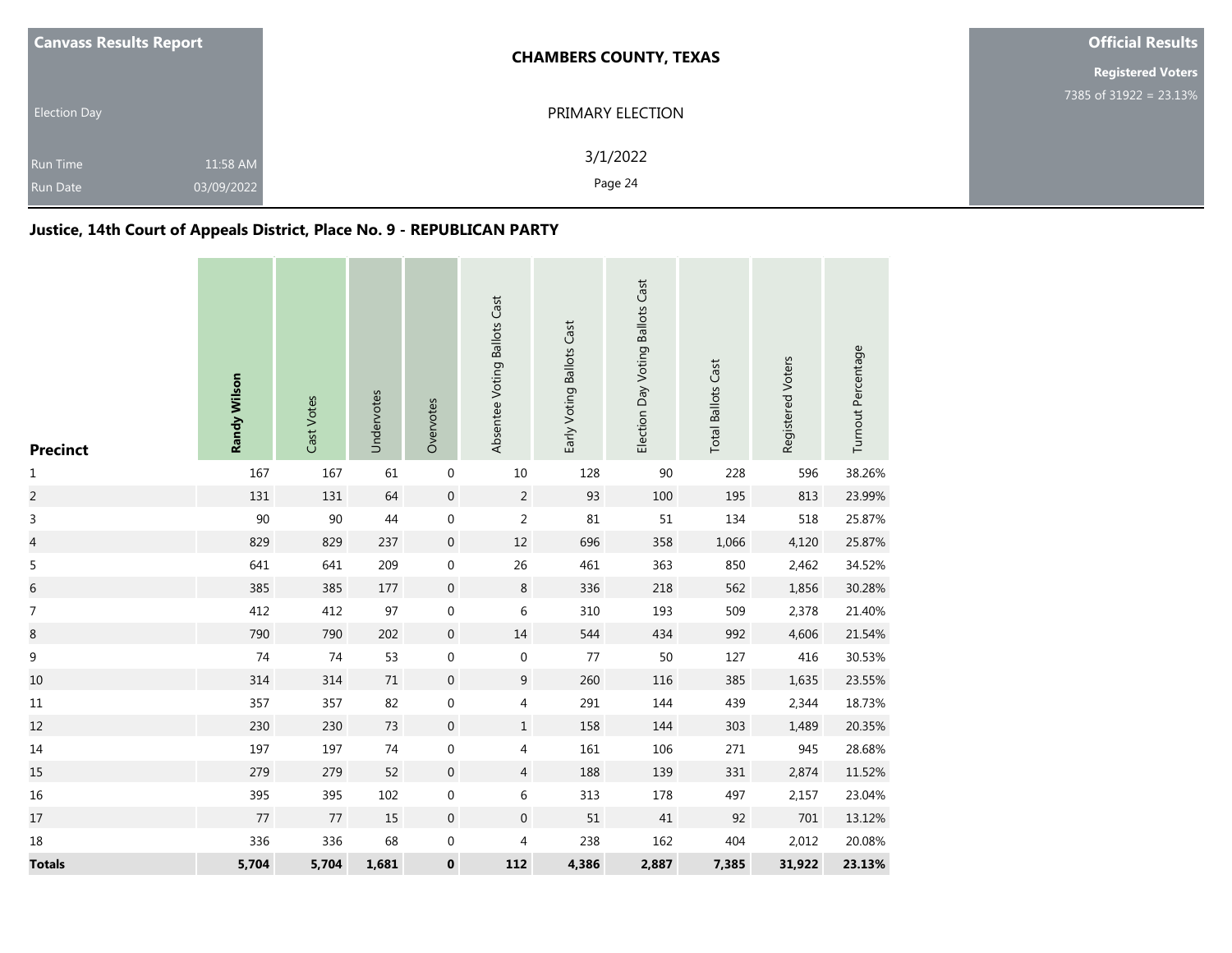| <b>Canvass Results Report</b>      |                        | <b>CHAMBERS COUNTY, TEXAS</b> | <b>Official Results</b>  |
|------------------------------------|------------------------|-------------------------------|--------------------------|
|                                    |                        |                               | <b>Registered Voters</b> |
| <b>Election Day</b>                |                        | PRIMARY ELECTION              | 7385 of 31922 = 23.13%   |
| <b>Run Time</b><br><b>Run Date</b> | 11:58 AM<br>03/09/2022 | 3/1/2022<br>Page 24           |                          |

# **Justice, 14th Court of Appeals District, Place No. 9 - REPUBLICAN PARTY**

| <b>Precinct</b>          | Randy Wilson | Cast Votes | Undervotes | Overvotes        | Absentee Voting Ballots Cast | Early Voting Ballots Cast | Election Day Voting Ballots Cast | <b>Total Ballots Cast</b> | Registered Voters | Turnout Percentage |
|--------------------------|--------------|------------|------------|------------------|------------------------------|---------------------------|----------------------------------|---------------------------|-------------------|--------------------|
| $\mathbf{1}$             | 167          | 167        | 61         | $\boldsymbol{0}$ | $10\,$                       | 128                       | 90                               | 228                       | 596               | 38.26%             |
| $\overline{c}$           | 131          | 131        | 64         | $\boldsymbol{0}$ | $\overline{2}$               | 93                        | 100                              | 195                       | 813               | 23.99%             |
| 3                        | 90           | $90\,$     | 44         | $\boldsymbol{0}$ | $\sqrt{2}$                   | 81                        | 51                               | 134                       | 518               | 25.87%             |
| $\overline{\mathcal{L}}$ | 829          | 829        | 237        | $\boldsymbol{0}$ | $12\,$                       | 696                       | 358                              | 1,066                     | 4,120             | 25.87%             |
| 5                        | 641          | 641        | 209        | $\boldsymbol{0}$ | 26                           | 461                       | 363                              | 850                       | 2,462             | 34.52%             |
| $\overline{6}$           | 385          | 385        | $177\,$    | $\boldsymbol{0}$ | 8                            | 336                       | 218                              | 562                       | 1,856             | 30.28%             |
| $\boldsymbol{7}$         | 412          | 412        | 97         | $\boldsymbol{0}$ | $\,6\,$                      | 310                       | 193                              | 509                       | 2,378             | 21.40%             |
| $\bf 8$                  | 790          | 790        | 202        | $\boldsymbol{0}$ | 14                           | 544                       | 434                              | 992                       | 4,606             | 21.54%             |
| 9                        | 74           | 74         | 53         | $\boldsymbol{0}$ | $\mathbf 0$                  | 77                        | 50                               | 127                       | 416               | 30.53%             |
| 10                       | 314          | 314        | 71         | $\boldsymbol{0}$ | 9                            | 260                       | 116                              | 385                       | 1,635             | 23.55%             |
| $11\,$                   | 357          | 357        | 82         | $\boldsymbol{0}$ | 4                            | 291                       | 144                              | 439                       | 2,344             | 18.73%             |
| 12                       | 230          | 230        | $73$       | $\boldsymbol{0}$ | $\mathbf 1$                  | 158                       | 144                              | 303                       | 1,489             | 20.35%             |
| 14                       | 197          | 197        | 74         | $\boldsymbol{0}$ | 4                            | 161                       | 106                              | $271\,$                   | 945               | 28.68%             |
| 15                       | 279          | 279        | 52         | $\boldsymbol{0}$ | $\overline{4}$               | 188                       | 139                              | 331                       | 2,874             | 11.52%             |
| 16                       | 395          | 395        | 102        | $\boldsymbol{0}$ | 6                            | 313                       | 178                              | 497                       | 2,157             | 23.04%             |
| 17                       | $77$         | $77\,$     | 15         | $\boldsymbol{0}$ | $\boldsymbol{0}$             | 51                        | 41                               | 92                        | 701               | 13.12%             |
| $18\,$                   | 336          | 336        | 68         | $\boldsymbol{0}$ | 4                            | 238                       | 162                              | 404                       | 2,012             | 20.08%             |
| <b>Totals</b>            | 5,704        | 5,704      | 1,681      | $\mathbf 0$      | 112                          | 4,386                     | 2,887                            | 7,385                     | 31,922            | 23.13%             |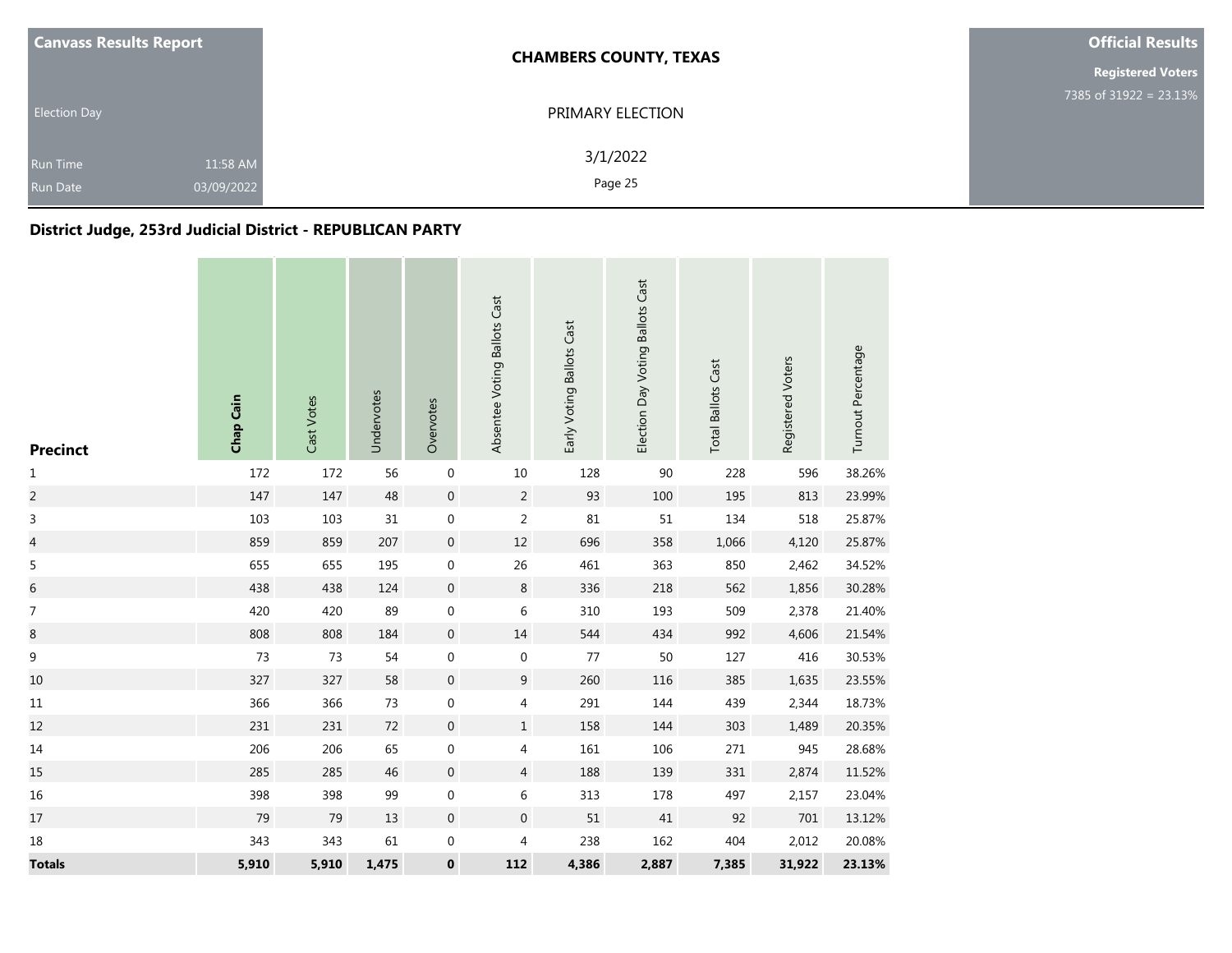| <b>Canvass Results Report</b> |                        | <b>CHAMBERS COUNTY, TEXAS</b> | <b>Official Results</b>  |
|-------------------------------|------------------------|-------------------------------|--------------------------|
|                               |                        |                               | <b>Registered Voters</b> |
| <b>Election Day</b>           |                        | PRIMARY ELECTION              | 7385 of 31922 = 23.13%   |
| Run Time<br><b>Run Date</b>   | 11:58 AM<br>03/09/2022 | 3/1/2022<br>Page 25           |                          |

# **District Judge, 253rd Judicial District - REPUBLICAN PARTY**

| <b>Precinct</b>  | Chap Cain | Cast Votes | Undervotes | Overvotes        | Absentee Voting Ballots Cast | Early Voting Ballots Cast | Election Day Voting Ballots Cast | <b>Total Ballots Cast</b> | Registered Voters | Turnout Percentage |
|------------------|-----------|------------|------------|------------------|------------------------------|---------------------------|----------------------------------|---------------------------|-------------------|--------------------|
| $\mathbf 1$      | 172       | 172        | 56         | $\boldsymbol{0}$ | $10\,$                       | 128                       | $90\,$                           | 228                       | 596               | 38.26%             |
| $\overline{c}$   | 147       | 147        | 48         | $\boldsymbol{0}$ | $\overline{2}$               | 93                        | 100                              | 195                       | 813               | 23.99%             |
| 3                | 103       | 103        | 31         | $\boldsymbol{0}$ | $\overline{2}$               | $81\,$                    | 51                               | 134                       | 518               | 25.87%             |
| $\overline{a}$   | 859       | 859        | 207        | $\boldsymbol{0}$ | $12\,$                       | 696                       | 358                              | 1,066                     | 4,120             | 25.87%             |
| $\sqrt{5}$       | 655       | 655        | 195        | $\boldsymbol{0}$ | 26                           | 461                       | 363                              | 850                       | 2,462             | 34.52%             |
| $\overline{6}$   | 438       | 438        | 124        | $\boldsymbol{0}$ | 8                            | 336                       | 218                              | 562                       | 1,856             | 30.28%             |
| $\overline{7}$   | 420       | 420        | 89         | $\boldsymbol{0}$ | $\,$ 6 $\,$                  | 310                       | 193                              | 509                       | 2,378             | 21.40%             |
| $\bf 8$          | 808       | 808        | 184        | $\mathbf 0$      | $14\,$                       | 544                       | 434                              | 992                       | 4,606             | 21.54%             |
| $\boldsymbol{9}$ | 73        | 73         | 54         | $\boldsymbol{0}$ | 0                            | 77                        | 50                               | 127                       | 416               | 30.53%             |
| 10               | 327       | 327        | 58         | $\mathbf 0$      | 9                            | 260                       | 116                              | 385                       | 1,635             | 23.55%             |
| 11               | 366       | 366        | 73         | $\boldsymbol{0}$ | 4                            | 291                       | 144                              | 439                       | 2,344             | 18.73%             |
| 12               | 231       | 231        | $72\,$     | $\boldsymbol{0}$ | $\,1$                        | 158                       | 144                              | 303                       | 1,489             | 20.35%             |
| 14               | 206       | 206        | 65         | $\boldsymbol{0}$ | 4                            | 161                       | 106                              | 271                       | 945               | 28.68%             |
| 15               | 285       | 285        | 46         | $\mathbf 0$      | $\overline{4}$               | 188                       | 139                              | 331                       | 2,874             | 11.52%             |
| 16               | 398       | 398        | 99         | $\boldsymbol{0}$ | 6                            | 313                       | 178                              | 497                       | 2,157             | 23.04%             |
| 17               | 79        | 79         | 13         | $\boldsymbol{0}$ | $\boldsymbol{0}$             | $51\,$                    | $41\,$                           | 92                        | $701\,$           | 13.12%             |
| $18\,$           | 343       | 343        | 61         | $\boldsymbol{0}$ | 4                            | 238                       | 162                              | 404                       | 2,012             | 20.08%             |
| <b>Totals</b>    | 5,910     | 5,910      | 1,475      | $\pmb{0}$        | 112                          | 4,386                     | 2,887                            | 7,385                     | 31,922            | 23.13%             |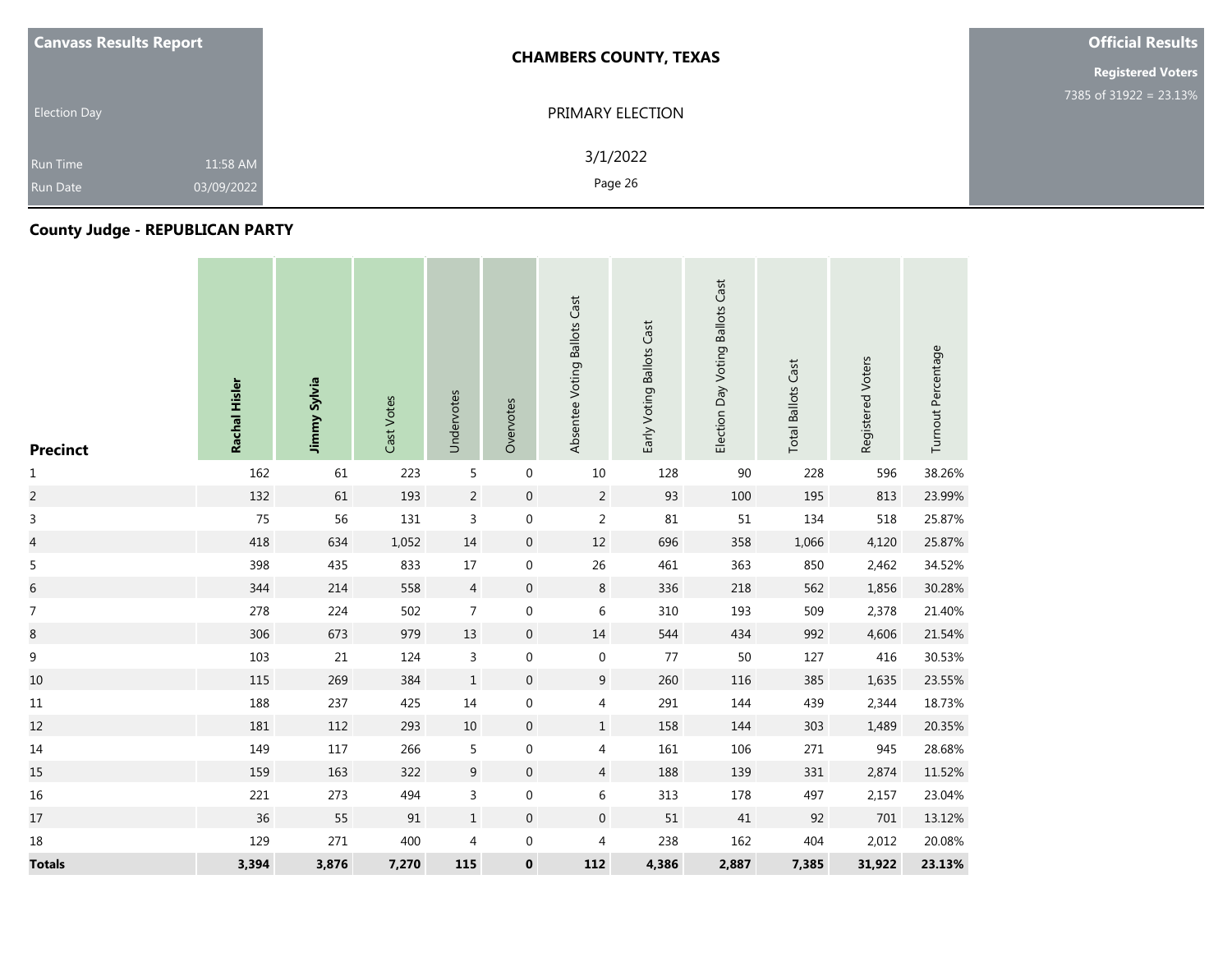| <b>Canvass Results Report</b> |            | <b>CHAMBERS COUNTY, TEXAS</b> | <b>Official Results</b>  |  |  |
|-------------------------------|------------|-------------------------------|--------------------------|--|--|
|                               |            |                               | <b>Registered Voters</b> |  |  |
| <b>Election Day</b>           |            | PRIMARY ELECTION              | 7385 of 31922 = 23.13%   |  |  |
| <b>Run Time</b>               | 11:58 AM   | 3/1/2022                      |                          |  |  |
| Run Date                      | 03/09/2022 | Page 26                       |                          |  |  |

# **County Judge - REPUBLICAN PARTY**

| <b>Precinct</b>  | Rachal Hisler | <b>Jimmy Sylvia</b> | Cast Votes | Undervotes               | Overvotes        | Absentee Voting Ballots Cast | Early Voting Ballots Cast | Election Day Voting Ballots Cast | <b>Total Ballots Cast</b> | Registered Voters | Turnout Percentage |
|------------------|---------------|---------------------|------------|--------------------------|------------------|------------------------------|---------------------------|----------------------------------|---------------------------|-------------------|--------------------|
| $\mathbf 1$      | 162           | 61                  | 223        | $\sqrt{5}$               | $\boldsymbol{0}$ | $10\,$                       | 128                       | $90\,$                           | 228                       | 596               | 38.26%             |
| $\overline{c}$   | 132           | 61                  | 193        | $\overline{2}$           | $\pmb{0}$        | $\overline{2}$               | 93                        | 100                              | 195                       | 813               | 23.99%             |
| $\mathsf{3}$     | 75            | 56                  | 131        | $\mathsf 3$              | $\boldsymbol{0}$ | $\overline{2}$               | 81                        | $51\,$                           | 134                       | 518               | 25.87%             |
| $\overline{a}$   | 418           | 634                 | 1,052      | 14                       | $\overline{0}$   | $12\,$                       | 696                       | 358                              | 1,066                     | 4,120             | 25.87%             |
| 5                | 398           | 435                 | 833        | $17\,$                   | 0                | 26                           | 461                       | 363                              | 850                       | 2,462             | 34.52%             |
| $\,$ 6 $\,$      | 344           | 214                 | 558        | $\overline{4}$           | $\boldsymbol{0}$ | $\,8\,$                      | 336                       | 218                              | 562                       | 1,856             | 30.28%             |
| $\boldsymbol{7}$ | 278           | 224                 | 502        | $\overline{\phantom{a}}$ | $\boldsymbol{0}$ | $\,$ 6 $\,$                  | 310                       | 193                              | 509                       | 2,378             | 21.40%             |
| 8                | 306           | 673                 | 979        | $13$                     | $\mathbf 0$      | $14\,$                       | 544                       | 434                              | 992                       | 4,606             | 21.54%             |
| 9                | 103           | $21\,$              | 124        | $\mathsf 3$              | $\boldsymbol{0}$ | $\boldsymbol{0}$             | 77                        | 50                               | 127                       | 416               | 30.53%             |
| 10               | 115           | 269                 | 384        | $\,1\,$                  | $\mathbf 0$      | $9\,$                        | 260                       | 116                              | 385                       | 1,635             | 23.55%             |
| $11\,$           | 188           | 237                 | 425        | $14\,$                   | $\boldsymbol{0}$ | 4                            | 291                       | 144                              | 439                       | 2,344             | 18.73%             |
| 12               | 181           | 112                 | 293        | 10                       | $\mathbf 0$      | $\mathbf 1$                  | 158                       | 144                              | 303                       | 1,489             | 20.35%             |
| $14\,$           | 149           | 117                 | 266        | $\sqrt{5}$               | $\boldsymbol{0}$ | 4                            | 161                       | 106                              | 271                       | 945               | 28.68%             |
| 15               | 159           | 163                 | 322        | $\boldsymbol{9}$         | $\mathbf 0$      | $\overline{4}$               | 188                       | 139                              | 331                       | 2,874             | 11.52%             |
| $16\,$           | 221           | 273                 | 494        | $\mathsf 3$              | $\boldsymbol{0}$ | $\,$ 6 $\,$                  | 313                       | 178                              | 497                       | 2,157             | 23.04%             |
| $17\,$           | 36            | 55                  | $91\,$     | $\,1$                    | $\boldsymbol{0}$ | $\boldsymbol{0}$             | 51                        | 41                               | 92                        | $701\,$           | 13.12%             |
| $18\,$           | 129           | 271                 | 400        | $\overline{4}$           | $\boldsymbol{0}$ | $\overline{4}$               | 238                       | 162                              | 404                       | 2,012             | 20.08%             |
| <b>Totals</b>    | 3,394         | 3,876               | 7,270      | 115                      | $\mathbf 0$      | 112                          | 4,386                     | 2,887                            | 7,385                     | 31,922            | 23.13%             |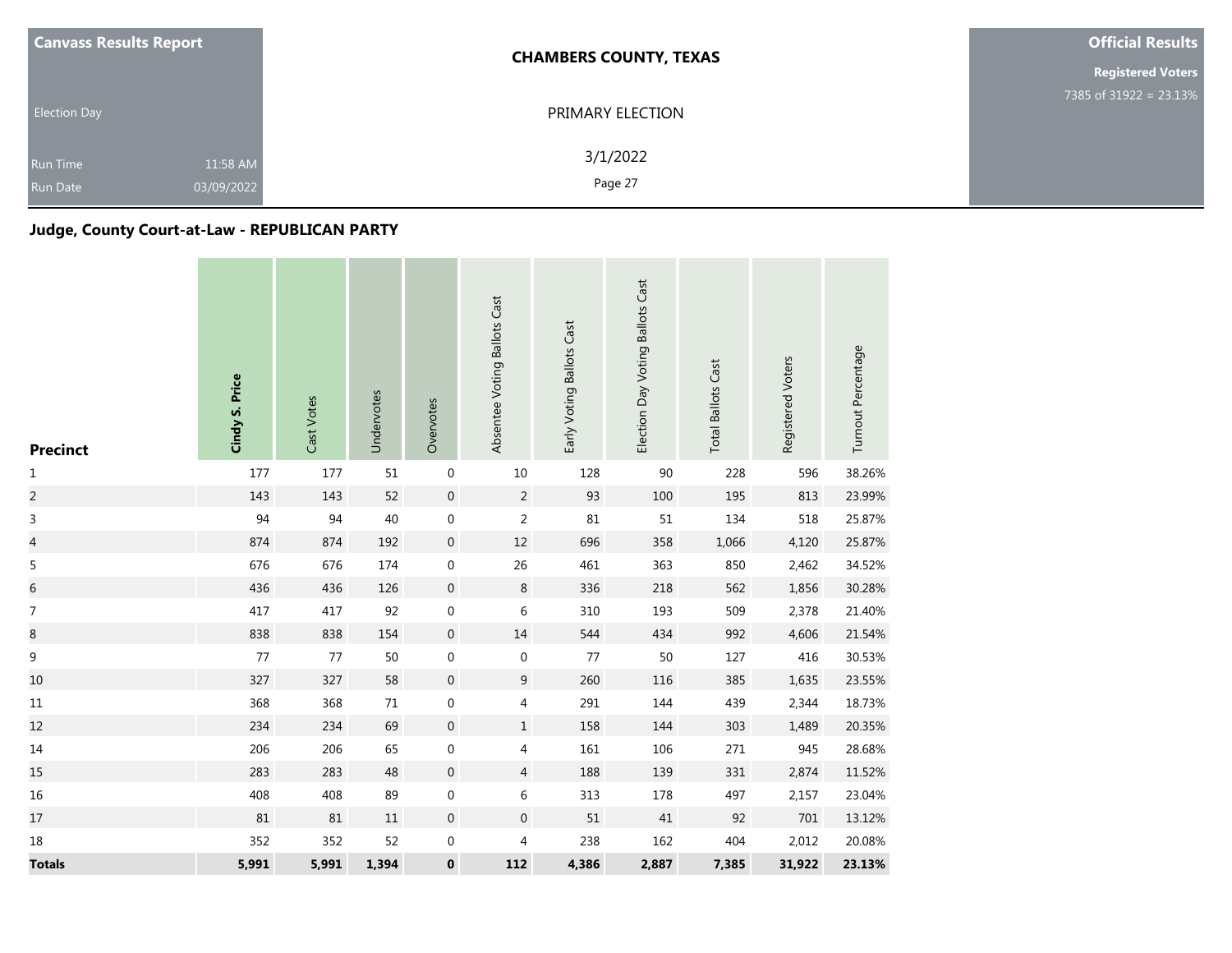| <b>Canvass Results Report</b> |                                                              | <b>CHAMBERS COUNTY, TEXAS</b> | <b>Official Results</b>  |  |  |
|-------------------------------|--------------------------------------------------------------|-------------------------------|--------------------------|--|--|
|                               |                                                              |                               | <b>Registered Voters</b> |  |  |
| <b>Election Day</b>           |                                                              | PRIMARY ELECTION              | 7385 of 31922 = 23.13%   |  |  |
|                               | 11:58 AM<br><b>Run Time</b><br>03/09/2022<br><b>Run Date</b> | 3/1/2022<br>Page 27           |                          |  |  |

# **Judge, County Court-at-Law - REPUBLICAN PARTY**

| <b>Precinct</b>          | Cindy S. Price | Cast Votes | Undervotes | Overvotes        | Absentee Voting Ballots Cast | Early Voting Ballots Cast | Election Day Voting Ballots Cast | <b>Total Ballots Cast</b> | Registered Voters | Turnout Percentage |
|--------------------------|----------------|------------|------------|------------------|------------------------------|---------------------------|----------------------------------|---------------------------|-------------------|--------------------|
| $\mathbf 1$              | 177            | 177        | 51         | $\boldsymbol{0}$ | $10\,$                       | 128                       | 90                               | 228                       | 596               | 38.26%             |
| $\overline{c}$           | 143            | 143        | 52         | $\,0\,$          | $\overline{2}$               | 93                        | 100                              | 195                       | 813               | 23.99%             |
| $\mathsf 3$              | 94             | 94         | 40         | $\boldsymbol{0}$ | $\overline{2}$               | 81                        | 51                               | 134                       | 518               | 25.87%             |
| $\overline{\mathcal{L}}$ | 874            | 874        | 192        | $\mathbf 0$      | $12\,$                       | 696                       | 358                              | 1,066                     | 4,120             | 25.87%             |
| 5                        | 676            | 676        | 174        | $\boldsymbol{0}$ | 26                           | 461                       | 363                              | 850                       | 2,462             | 34.52%             |
| $\,$ 6 $\,$              | 436            | 436        | 126        | $\boldsymbol{0}$ | 8                            | 336                       | 218                              | 562                       | 1,856             | 30.28%             |
| 7                        | 417            | 417        | 92         | $\boldsymbol{0}$ | $\,6\,$                      | 310                       | 193                              | 509                       | 2,378             | 21.40%             |
| $\bf 8$                  | 838            | 838        | 154        | $\boldsymbol{0}$ | $14\,$                       | 544                       | 434                              | 992                       | 4,606             | 21.54%             |
| 9                        | 77             | 77         | 50         | $\boldsymbol{0}$ | $\mathbf 0$                  | 77                        | 50                               | 127                       | 416               | 30.53%             |
| 10                       | 327            | 327        | 58         | $\boldsymbol{0}$ | 9                            | 260                       | 116                              | 385                       | 1,635             | 23.55%             |
| $11\,$                   | 368            | 368        | 71         | $\boldsymbol{0}$ | 4                            | 291                       | 144                              | 439                       | 2,344             | 18.73%             |
| 12                       | 234            | 234        | 69         | $\boldsymbol{0}$ | $\mathbf{1}$                 | 158                       | 144                              | 303                       | 1,489             | 20.35%             |
| 14                       | 206            | 206        | 65         | $\boldsymbol{0}$ | 4                            | 161                       | 106                              | 271                       | 945               | 28.68%             |
| 15                       | 283            | 283        | 48         | $\,0\,$          | $\overline{4}$               | 188                       | 139                              | 331                       | 2,874             | 11.52%             |
| 16                       | 408            | 408        | 89         | $\boldsymbol{0}$ | 6                            | 313                       | 178                              | 497                       | 2,157             | 23.04%             |
| $17\,$                   | $81\,$         | $81\,$     | $11\,$     | $\boldsymbol{0}$ | $\boldsymbol{0}$             | $51\,$                    | 41                               | 92                        | $701\,$           | 13.12%             |
| 18                       | 352            | 352        | 52         | $\boldsymbol{0}$ | 4                            | 238                       | 162                              | 404                       | 2,012             | 20.08%             |
| <b>Totals</b>            | 5,991          | 5,991      | 1,394      | 0                | 112                          | 4,386                     | 2,887                            | 7,385                     | 31,922            | 23.13%             |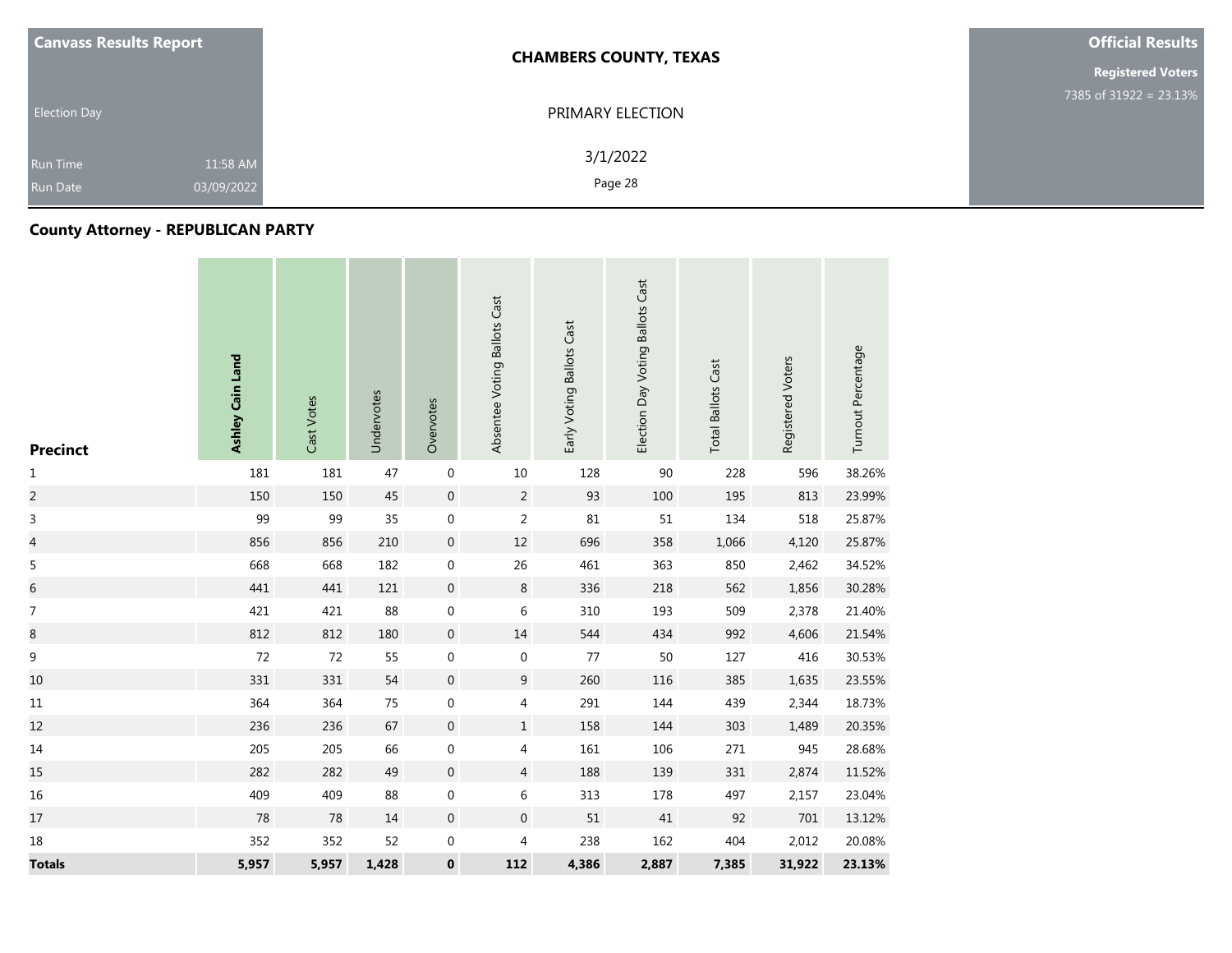| <b>Canvass Results Report</b>      |                        | <b>CHAMBERS COUNTY, TEXAS</b> | <b>Official Results</b>  |  |  |
|------------------------------------|------------------------|-------------------------------|--------------------------|--|--|
|                                    |                        |                               | <b>Registered Voters</b> |  |  |
| <b>Election Day</b>                |                        | PRIMARY ELECTION              | 7385 of 31922 = 23.13%   |  |  |
| <b>Run Time</b><br><b>Run Date</b> | 11:58 AM<br>03/09/2022 | 3/1/2022<br>Page 28           |                          |  |  |

# **County Attorney - REPUBLICAN PARTY**

| <b>Precinct</b>          | Ashley Cain Land | Cast Votes | Undervotes | Overvotes        | Absentee Voting Ballots Cast | Early Voting Ballots Cast | Election Day Voting Ballots Cast | <b>Total Ballots Cast</b> | Registered Voters | Turnout Percentage |
|--------------------------|------------------|------------|------------|------------------|------------------------------|---------------------------|----------------------------------|---------------------------|-------------------|--------------------|
| $\mathbf{1}$             | 181              | 181        | 47         | $\boldsymbol{0}$ | 10                           | 128                       | 90                               | 228                       | 596               | 38.26%             |
| $\overline{c}$           | 150              | 150        | $45\,$     | $\boldsymbol{0}$ | $\overline{2}$               | 93                        | 100                              | 195                       | 813               | 23.99%             |
| 3                        | 99               | 99         | 35         | $\boldsymbol{0}$ | $\overline{2}$               | 81                        | 51                               | 134                       | 518               | 25.87%             |
| $\overline{\mathcal{L}}$ | 856              | 856        | 210        | $\boldsymbol{0}$ | 12                           | 696                       | 358                              | 1,066                     | 4,120             | 25.87%             |
| 5                        | 668              | 668        | 182        | $\boldsymbol{0}$ | 26                           | 461                       | 363                              | 850                       | 2,462             | 34.52%             |
| $\,$ 6 $\,$              | 441              | 441        | 121        | $\boldsymbol{0}$ | 8                            | 336                       | 218                              | 562                       | 1,856             | 30.28%             |
| $\boldsymbol{7}$         | 421              | 421        | 88         | $\boldsymbol{0}$ | $\,6\,$                      | 310                       | 193                              | 509                       | 2,378             | 21.40%             |
| $\bf 8$                  | 812              | 812        | 180        | $\boldsymbol{0}$ | 14                           | 544                       | 434                              | 992                       | 4,606             | 21.54%             |
| 9                        | 72               | 72         | 55         | $\boldsymbol{0}$ | 0                            | 77                        | 50                               | 127                       | 416               | 30.53%             |
| 10                       | 331              | 331        | 54         | $\boldsymbol{0}$ | 9                            | 260                       | 116                              | 385                       | 1,635             | 23.55%             |
| 11                       | 364              | 364        | 75         | $\boldsymbol{0}$ | $\overline{4}$               | 291                       | 144                              | 439                       | 2,344             | 18.73%             |
| 12                       | 236              | 236        | 67         | $\boldsymbol{0}$ | $\mathbf 1$                  | 158                       | 144                              | 303                       | 1,489             | 20.35%             |
| 14                       | 205              | 205        | 66         | $\boldsymbol{0}$ | 4                            | 161                       | 106                              | 271                       | 945               | 28.68%             |
| 15                       | 282              | 282        | 49         | $\boldsymbol{0}$ | $\overline{4}$               | 188                       | 139                              | 331                       | 2,874             | 11.52%             |
| 16                       | 409              | 409        | 88         | $\boldsymbol{0}$ | 6                            | 313                       | 178                              | 497                       | 2,157             | 23.04%             |
| 17                       | 78               | 78         | $14\,$     | $\boldsymbol{0}$ | $\boldsymbol{0}$             | 51                        | $41\,$                           | 92                        | 701               | 13.12%             |
| $18\,$                   | 352              | 352        | 52         | $\boldsymbol{0}$ | 4                            | 238                       | 162                              | 404                       | 2,012             | 20.08%             |
| <b>Totals</b>            | 5,957            | 5,957      | 1,428      | $\mathbf 0$      | 112                          | 4,386                     | 2,887                            | 7,385                     | 31,922            | 23.13%             |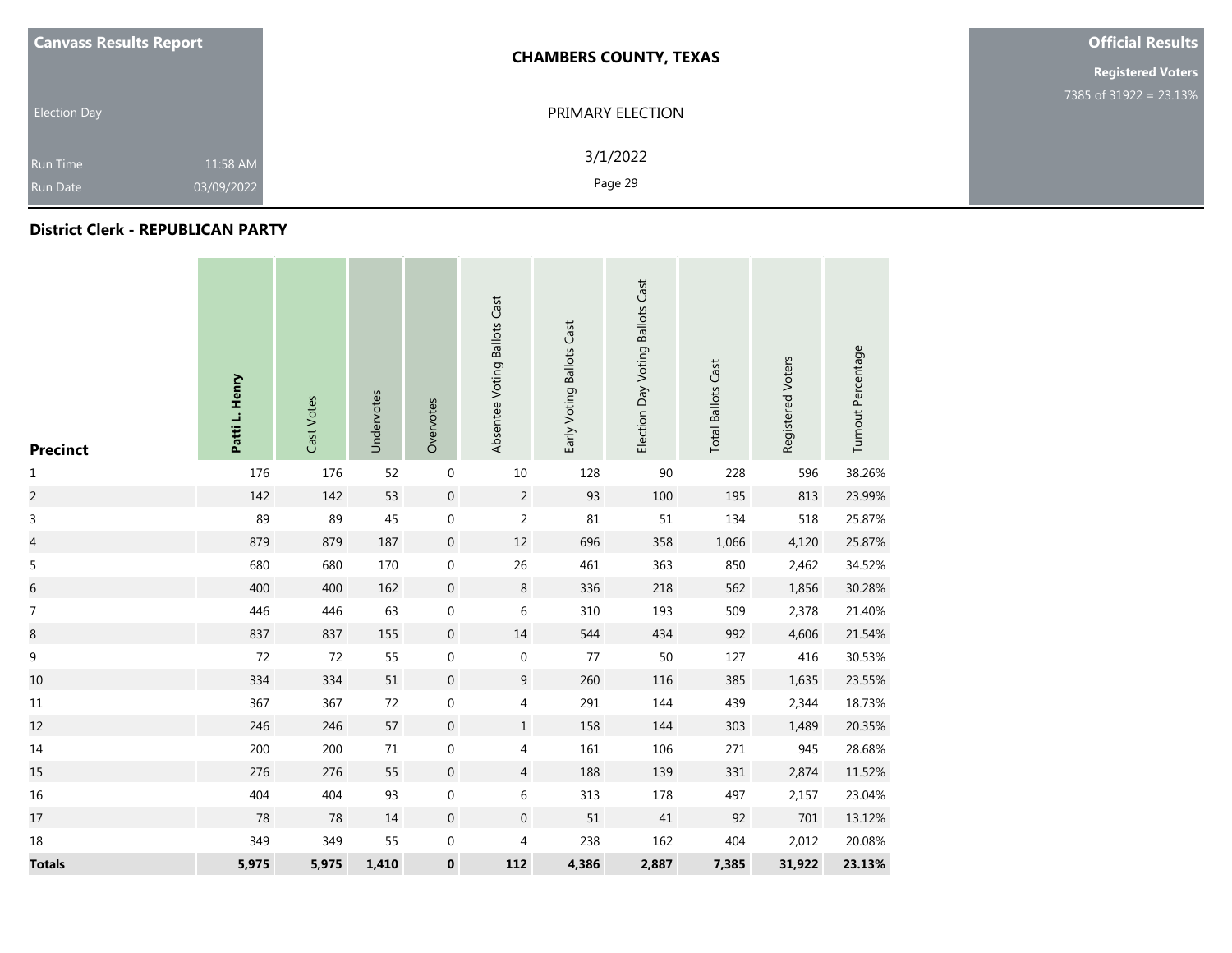| <b>Canvass Results Report</b> |            | <b>CHAMBERS COUNTY, TEXAS</b> | <b>Official Results</b>  |  |  |
|-------------------------------|------------|-------------------------------|--------------------------|--|--|
|                               |            |                               | <b>Registered Voters</b> |  |  |
| <b>Election Day</b>           |            |                               | 7385 of 31922 = 23.13%   |  |  |
|                               |            | PRIMARY ELECTION              |                          |  |  |
|                               |            |                               |                          |  |  |
| Run Time                      | 11:58 AM   | 3/1/2022                      |                          |  |  |
| <b>Run Date</b>               | 03/09/2022 | Page 29                       |                          |  |  |

#### **District Clerk - REPUBLICAN PARTY**

| <b>Precinct</b> | Patti L. Henry | Cast Votes | Undervotes | Overvotes           | Absentee Voting Ballots Cast | Early Voting Ballots Cast | Election Day Voting Ballots Cast | <b>Total Ballots Cast</b> | Registered Voters | Turnout Percentage |
|-----------------|----------------|------------|------------|---------------------|------------------------------|---------------------------|----------------------------------|---------------------------|-------------------|--------------------|
| $\mathbf{1}$    | 176            | 176        | 52         | $\boldsymbol{0}$    | $10$                         | 128                       | $90\,$                           | 228                       | 596               | 38.26%             |
| $\overline{c}$  | 142            | 142        | 53         | $\mathbf 0$         | $\overline{2}$               | 93                        | $100\,$                          | 195                       | 813               | 23.99%             |
| 3               | 89             | 89         | 45         | $\boldsymbol{0}$    | $\overline{c}$               | $81\,$                    | 51                               | 134                       | 518               | 25.87%             |
| $\overline{a}$  | 879            | 879        | 187        | $\mathbf 0$         | 12                           | 696                       | 358                              | 1,066                     | 4,120             | 25.87%             |
| 5               | 680            | 680        | 170        | $\boldsymbol{0}$    | 26                           | 461                       | 363                              | 850                       | 2,462             | 34.52%             |
| $\,$ 6 $\,$     | 400            | 400        | 162        | $\mathsf{O}\xspace$ | 8                            | 336                       | 218                              | 562                       | 1,856             | 30.28%             |
| 7               | 446            | 446        | 63         | $\boldsymbol{0}$    | $\,$ 6 $\,$                  | 310                       | 193                              | 509                       | 2,378             | 21.40%             |
| $\bf 8$         | 837            | 837        | 155        | $\mathsf{O}\xspace$ | $14\,$                       | 544                       | 434                              | 992                       | 4,606             | 21.54%             |
| 9               | 72             | 72         | 55         | $\boldsymbol{0}$    | 0                            | 77                        | 50                               | 127                       | 416               | 30.53%             |
| 10              | 334            | 334        | 51         | $\mathbf 0$         | 9                            | 260                       | 116                              | 385                       | 1,635             | 23.55%             |
| $11\,$          | 367            | 367        | 72         | $\boldsymbol{0}$    | 4                            | 291                       | 144                              | 439                       | 2,344             | 18.73%             |
| 12              | 246            | 246        | 57         | $\mathsf{O}\xspace$ | $\mathbf 1$                  | 158                       | 144                              | 303                       | 1,489             | 20.35%             |
| 14              | 200            | 200        | $71\,$     | $\boldsymbol{0}$    | 4                            | 161                       | 106                              | $271\,$                   | 945               | 28.68%             |
| 15              | 276            | 276        | 55         | $\mathsf{O}\xspace$ | $\overline{4}$               | 188                       | 139                              | 331                       | 2,874             | 11.52%             |
| 16              | 404            | 404        | 93         | $\boldsymbol{0}$    | 6                            | 313                       | 178                              | 497                       | 2,157             | 23.04%             |
| 17              | 78             | 78         | $14\,$     | $\mathsf{O}\xspace$ | $\boldsymbol{0}$             | $51\,$                    | $41\,$                           | 92                        | $701\,$           | 13.12%             |
| 18              | 349            | 349        | 55         | 0                   | 4                            | 238                       | 162                              | 404                       | 2,012             | 20.08%             |
| <b>Totals</b>   | 5,975          | 5,975      | 1,410      | 0                   | 112                          | 4,386                     | 2,887                            | 7,385                     | 31,922            | 23.13%             |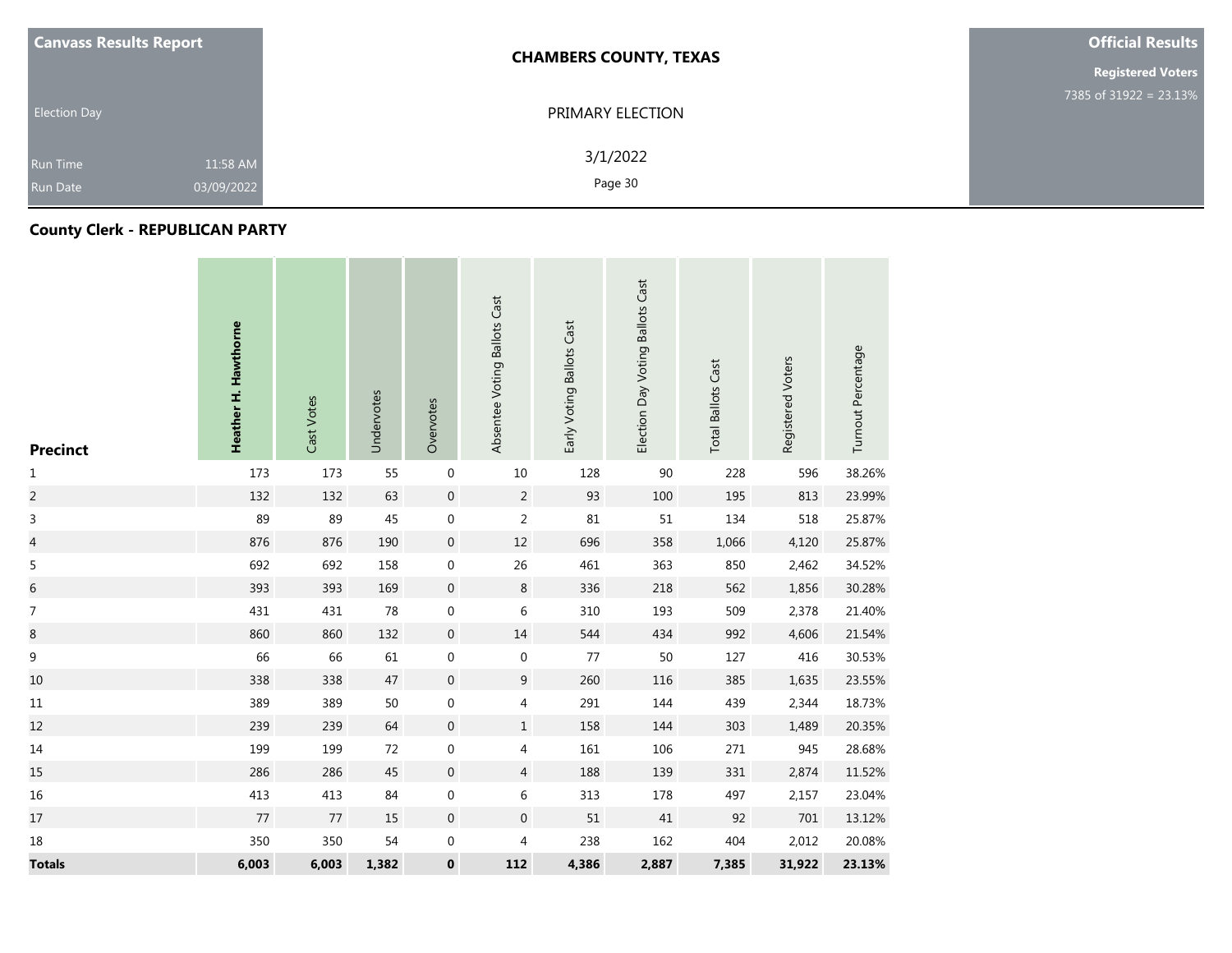| <b>Canvass Results Report</b> |            | <b>CHAMBERS COUNTY, TEXAS</b> | <b>Official Results</b>  |  |  |
|-------------------------------|------------|-------------------------------|--------------------------|--|--|
|                               |            |                               | <b>Registered Voters</b> |  |  |
|                               |            |                               | 7385 of 31922 = 23.13%   |  |  |
| <b>Election Day</b>           |            | PRIMARY ELECTION              |                          |  |  |
|                               |            |                               |                          |  |  |
| <b>Run Time</b>               | 11:58 AM   | 3/1/2022                      |                          |  |  |
| <b>Run Date</b>               | 03/09/2022 | Page 30                       |                          |  |  |

# **County Clerk - REPUBLICAN PARTY**

| <b>Precinct</b>          | Heather H. Hawthorne | Cast Votes | Undervotes | Overvotes        | Absentee Voting Ballots Cast | Early Voting Ballots Cast | Election Day Voting Ballots Cast | <b>Total Ballots Cast</b> | Registered Voters | Turnout Percentage |
|--------------------------|----------------------|------------|------------|------------------|------------------------------|---------------------------|----------------------------------|---------------------------|-------------------|--------------------|
| $\mathbf{1}$             | 173                  | 173        | 55         | $\boldsymbol{0}$ | $10\,$                       | 128                       | 90                               | 228                       | 596               | 38.26%             |
| $\overline{c}$           | 132                  | 132        | 63         | $\mathbf 0$      | $\overline{2}$               | 93                        | 100                              | 195                       | 813               | 23.99%             |
| $\mathsf{3}$             | 89                   | 89         | 45         | $\boldsymbol{0}$ | $\overline{2}$               | 81                        | 51                               | 134                       | 518               | 25.87%             |
| $\overline{\mathcal{L}}$ | 876                  | 876        | 190        | $\mathbf 0$      | 12                           | 696                       | 358                              | 1,066                     | 4,120             | 25.87%             |
| 5                        | 692                  | 692        | 158        | $\boldsymbol{0}$ | 26                           | 461                       | 363                              | 850                       | 2,462             | 34.52%             |
| $\,$ 6 $\,$              | 393                  | 393        | 169        | $\boldsymbol{0}$ | $\,8\,$                      | 336                       | 218                              | 562                       | 1,856             | 30.28%             |
| $\overline{7}$           | 431                  | 431        | 78         | $\boldsymbol{0}$ | $\,6\,$                      | 310                       | 193                              | 509                       | 2,378             | 21.40%             |
| $\bf 8$                  | 860                  | 860        | 132        | $\boldsymbol{0}$ | 14                           | 544                       | 434                              | 992                       | 4,606             | 21.54%             |
| 9                        | 66                   | 66         | 61         | $\boldsymbol{0}$ | 0                            | 77                        | 50                               | 127                       | 416               | 30.53%             |
| 10                       | 338                  | 338        | 47         | $\boldsymbol{0}$ | 9                            | 260                       | 116                              | 385                       | 1,635             | 23.55%             |
| $11\,$                   | 389                  | 389        | 50         | $\boldsymbol{0}$ | 4                            | 291                       | 144                              | 439                       | 2,344             | 18.73%             |
| 12                       | 239                  | 239        | 64         | $\boldsymbol{0}$ | $\mathbf{1}$                 | 158                       | 144                              | 303                       | 1,489             | 20.35%             |
| 14                       | 199                  | 199        | 72         | $\boldsymbol{0}$ | 4                            | 161                       | 106                              | 271                       | 945               | 28.68%             |
| 15                       | 286                  | 286        | 45         | $\boldsymbol{0}$ | $\overline{4}$               | 188                       | 139                              | 331                       | 2,874             | 11.52%             |
| 16                       | 413                  | 413        | 84         | $\mathbf 0$      | 6                            | 313                       | 178                              | 497                       | 2,157             | 23.04%             |
| 17                       | $77\,$               | $77\,$     | 15         | $\boldsymbol{0}$ | 0                            | 51                        | 41                               | 92                        | $701\,$           | 13.12%             |
| $18\,$                   | 350                  | 350        | 54         | $\mathbf 0$      | 4                            | 238                       | 162                              | 404                       | 2,012             | 20.08%             |
| <b>Totals</b>            | 6,003                | 6,003      | 1,382      | $\pmb{0}$        | 112                          | 4,386                     | 2,887                            | 7,385                     | 31,922            | 23.13%             |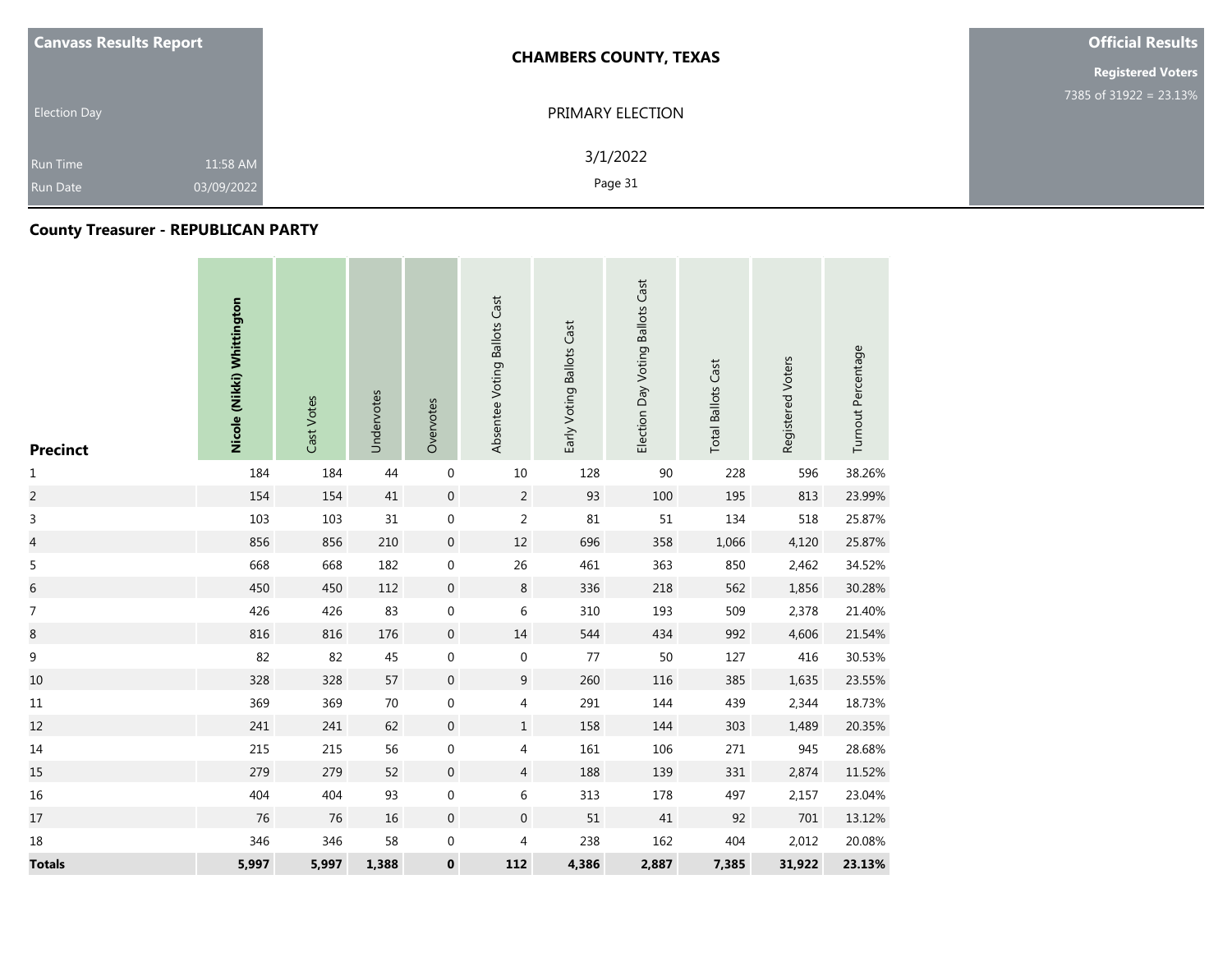| <b>Canvass Results Report</b> |            | <b>CHAMBERS COUNTY, TEXAS</b> | <b>Official Results</b>  |  |  |
|-------------------------------|------------|-------------------------------|--------------------------|--|--|
|                               |            |                               | <b>Registered Voters</b> |  |  |
| <b>Election Day</b>           |            |                               | 7385 of 31922 = 23.13%   |  |  |
|                               |            | PRIMARY ELECTION              |                          |  |  |
|                               |            |                               |                          |  |  |
| Run Time                      | 11:58 AM   | 3/1/2022                      |                          |  |  |
| <b>Run Date</b>               | 03/09/2022 | Page 31                       |                          |  |  |

#### **County Treasurer - REPUBLICAN PARTY**

| <b>Precinct</b>          | Nicole (Nikki) Whittington | Cast Votes | Undervotes | Overvotes        | Absentee Voting Ballots Cast | Early Voting Ballots Cast | Election Day Voting Ballots Cast | <b>Total Ballots Cast</b> | Registered Voters | Turnout Percentage |
|--------------------------|----------------------------|------------|------------|------------------|------------------------------|---------------------------|----------------------------------|---------------------------|-------------------|--------------------|
| 1                        | 184                        | 184        | 44         | $\boldsymbol{0}$ | 10                           | 128                       | 90                               | 228                       | 596               | 38.26%             |
| $\overline{2}$           | 154                        | 154        | $41\,$     | $\boldsymbol{0}$ | $\overline{2}$               | 93                        | 100                              | 195                       | 813               | 23.99%             |
| 3                        | 103                        | 103        | 31         | $\boldsymbol{0}$ | $\overline{2}$               | 81                        | 51                               | 134                       | 518               | 25.87%             |
| $\overline{\mathcal{L}}$ | 856                        | 856        | 210        | $\boldsymbol{0}$ | $12\,$                       | 696                       | 358                              | 1,066                     | 4,120             | 25.87%             |
| 5                        | 668                        | 668        | 182        | $\boldsymbol{0}$ | 26                           | 461                       | 363                              | 850                       | 2,462             | 34.52%             |
| $\,$ 6 $\,$              | 450                        | 450        | 112        | $\boldsymbol{0}$ | $\,8\,$                      | 336                       | 218                              | 562                       | 1,856             | 30.28%             |
| $\overline{7}$           | 426                        | 426        | 83         | $\boldsymbol{0}$ | 6                            | 310                       | 193                              | 509                       | 2,378             | 21.40%             |
| $\bf 8$                  | 816                        | 816        | 176        | $\boldsymbol{0}$ | 14                           | 544                       | 434                              | 992                       | 4,606             | 21.54%             |
| 9                        | 82                         | 82         | 45         | $\boldsymbol{0}$ | $\mathbf 0$                  | 77                        | 50                               | 127                       | 416               | 30.53%             |
| 10                       | 328                        | 328        | 57         | $\boldsymbol{0}$ | $9\,$                        | 260                       | 116                              | 385                       | 1,635             | 23.55%             |
| $11\,$                   | 369                        | 369        | $70\,$     | $\boldsymbol{0}$ | 4                            | 291                       | 144                              | 439                       | 2,344             | 18.73%             |
| 12                       | 241                        | 241        | 62         | $\boldsymbol{0}$ | $\,1$                        | 158                       | 144                              | 303                       | 1,489             | 20.35%             |
| 14                       | 215                        | 215        | 56         | $\boldsymbol{0}$ | 4                            | 161                       | 106                              | 271                       | 945               | 28.68%             |
| 15                       | 279                        | 279        | 52         | $\boldsymbol{0}$ | $\overline{4}$               | 188                       | 139                              | 331                       | 2,874             | 11.52%             |
| $16\,$                   | 404                        | 404        | 93         | $\boldsymbol{0}$ | 6                            | 313                       | 178                              | 497                       | 2,157             | 23.04%             |
| 17                       | 76                         | 76         | $16\,$     | $\boldsymbol{0}$ | $\mathbf 0$                  | $51\,$                    | 41                               | 92                        | $701\,$           | 13.12%             |
| $18\,$                   | 346                        | 346        | 58         | $\boldsymbol{0}$ | 4                            | 238                       | 162                              | 404                       | 2,012             | 20.08%             |
| <b>Totals</b>            | 5,997                      | 5,997      | 1,388      | 0                | 112                          | 4,386                     | 2,887                            | 7,385                     | 31,922            | 23.13%             |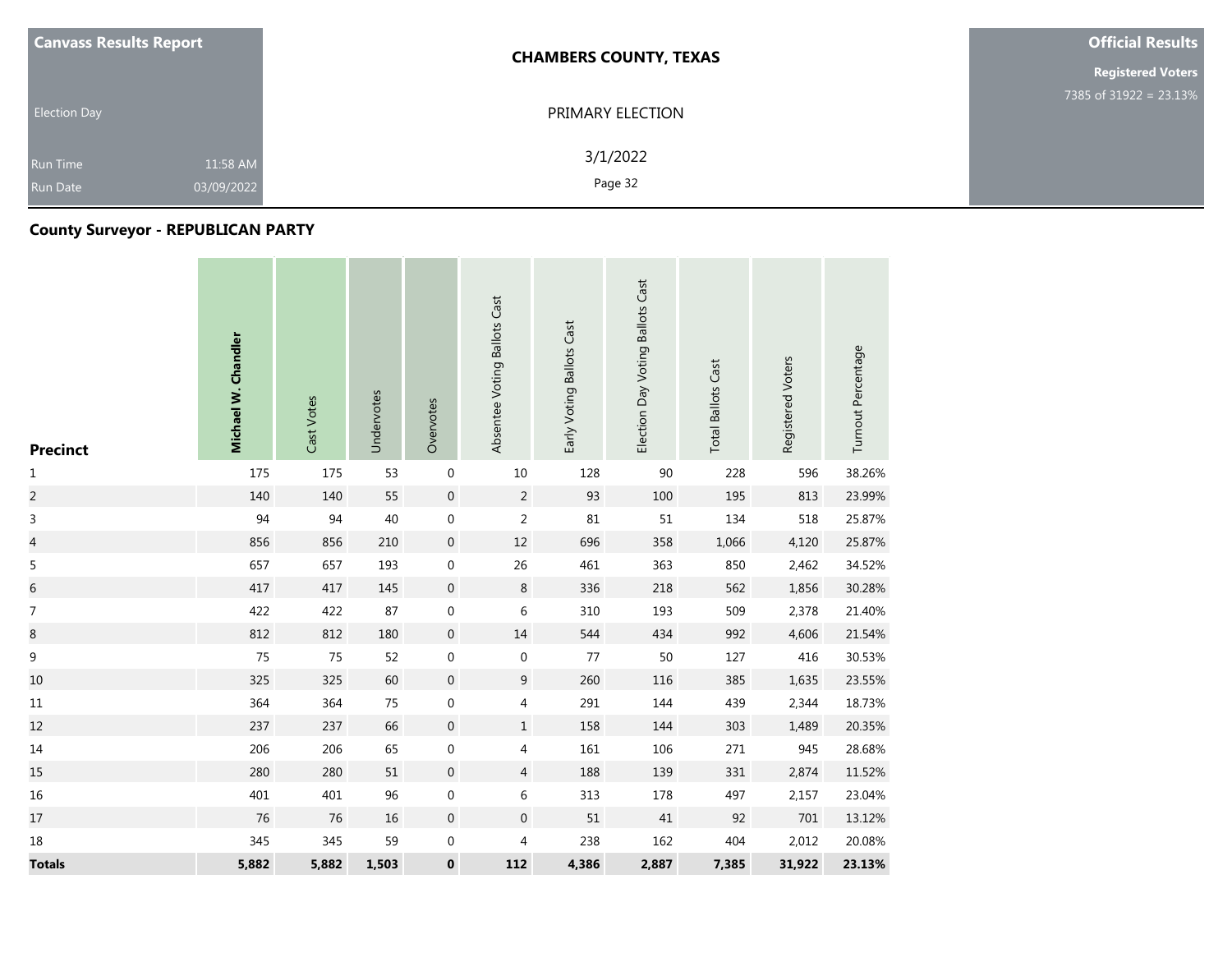| <b>Canvass Results Report</b> |            | <b>CHAMBERS COUNTY, TEXAS</b> | <b>Official Results</b>  |  |  |
|-------------------------------|------------|-------------------------------|--------------------------|--|--|
|                               |            |                               | <b>Registered Voters</b> |  |  |
|                               |            |                               | 7385 of 31922 = 23.13%   |  |  |
| <b>Election Day</b>           |            | PRIMARY ELECTION              |                          |  |  |
|                               |            |                               |                          |  |  |
| <b>Run Time</b>               | 11:58 AM   | 3/1/2022                      |                          |  |  |
| <b>Run Date</b>               | 03/09/2022 | Page 32                       |                          |  |  |

# **County Surveyor - REPUBLICAN PARTY**

| <b>Precinct</b>          | Michael W. Chandler | Cast Votes | Undervotes | Overvotes        | Absentee Voting Ballots Cast | Early Voting Ballots Cast | Election Day Voting Ballots Cast | <b>Total Ballots Cast</b> | Registered Voters | Turnout Percentage |
|--------------------------|---------------------|------------|------------|------------------|------------------------------|---------------------------|----------------------------------|---------------------------|-------------------|--------------------|
| $\mathbf{1}$             | 175                 | 175        | 53         | $\boldsymbol{0}$ | 10                           | 128                       | 90                               | 228                       | 596               | 38.26%             |
| $\overline{c}$           | 140                 | 140        | 55         | $\boldsymbol{0}$ | $\overline{2}$               | 93                        | 100                              | 195                       | 813               | 23.99%             |
| 3                        | 94                  | 94         | 40         | $\boldsymbol{0}$ | $\overline{2}$               | 81                        | 51                               | 134                       | 518               | 25.87%             |
| $\overline{\mathcal{L}}$ | 856                 | 856        | 210        | $\boldsymbol{0}$ | $12\,$                       | 696                       | 358                              | 1,066                     | 4,120             | 25.87%             |
| 5                        | 657                 | 657        | 193        | $\boldsymbol{0}$ | 26                           | 461                       | 363                              | 850                       | 2,462             | 34.52%             |
| $\overline{6}$           | 417                 | 417        | 145        | $\boldsymbol{0}$ | 8                            | 336                       | 218                              | 562                       | 1,856             | 30.28%             |
| $\boldsymbol{7}$         | 422                 | 422        | 87         | $\boldsymbol{0}$ | $\,$ 6 $\,$                  | 310                       | 193                              | 509                       | 2,378             | 21.40%             |
| $\bf 8$                  | 812                 | 812        | 180        | $\mathbf 0$      | 14                           | 544                       | 434                              | 992                       | 4,606             | 21.54%             |
| 9                        | 75                  | 75         | 52         | $\boldsymbol{0}$ | 0                            | 77                        | $50\,$                           | 127                       | 416               | 30.53%             |
| 10                       | 325                 | 325        | 60         | $\boldsymbol{0}$ | 9                            | 260                       | 116                              | 385                       | 1,635             | 23.55%             |
| $11\,$                   | 364                 | 364        | 75         | $\boldsymbol{0}$ | $\overline{4}$               | 291                       | 144                              | 439                       | 2,344             | 18.73%             |
| 12                       | 237                 | 237        | 66         | $\boldsymbol{0}$ | $1\,$                        | 158                       | 144                              | 303                       | 1,489             | 20.35%             |
| 14                       | 206                 | 206        | 65         | $\boldsymbol{0}$ | 4                            | 161                       | 106                              | 271                       | 945               | 28.68%             |
| 15                       | 280                 | 280        | 51         | $\mathbf 0$      | $\overline{4}$               | 188                       | 139                              | 331                       | 2,874             | 11.52%             |
| 16                       | 401                 | 401        | 96         | $\boldsymbol{0}$ | 6                            | 313                       | 178                              | 497                       | 2,157             | 23.04%             |
| 17                       | 76                  | 76         | 16         | $\boldsymbol{0}$ | $\boldsymbol{0}$             | $51\,$                    | $41\,$                           | 92                        | $701\,$           | 13.12%             |
| $18\,$                   | 345                 | 345        | 59         | $\boldsymbol{0}$ | 4                            | 238                       | 162                              | 404                       | 2,012             | 20.08%             |
| <b>Totals</b>            | 5,882               | 5,882      | 1,503      | $\pmb{0}$        | 112                          | 4,386                     | 2,887                            | 7,385                     | 31,922            | 23.13%             |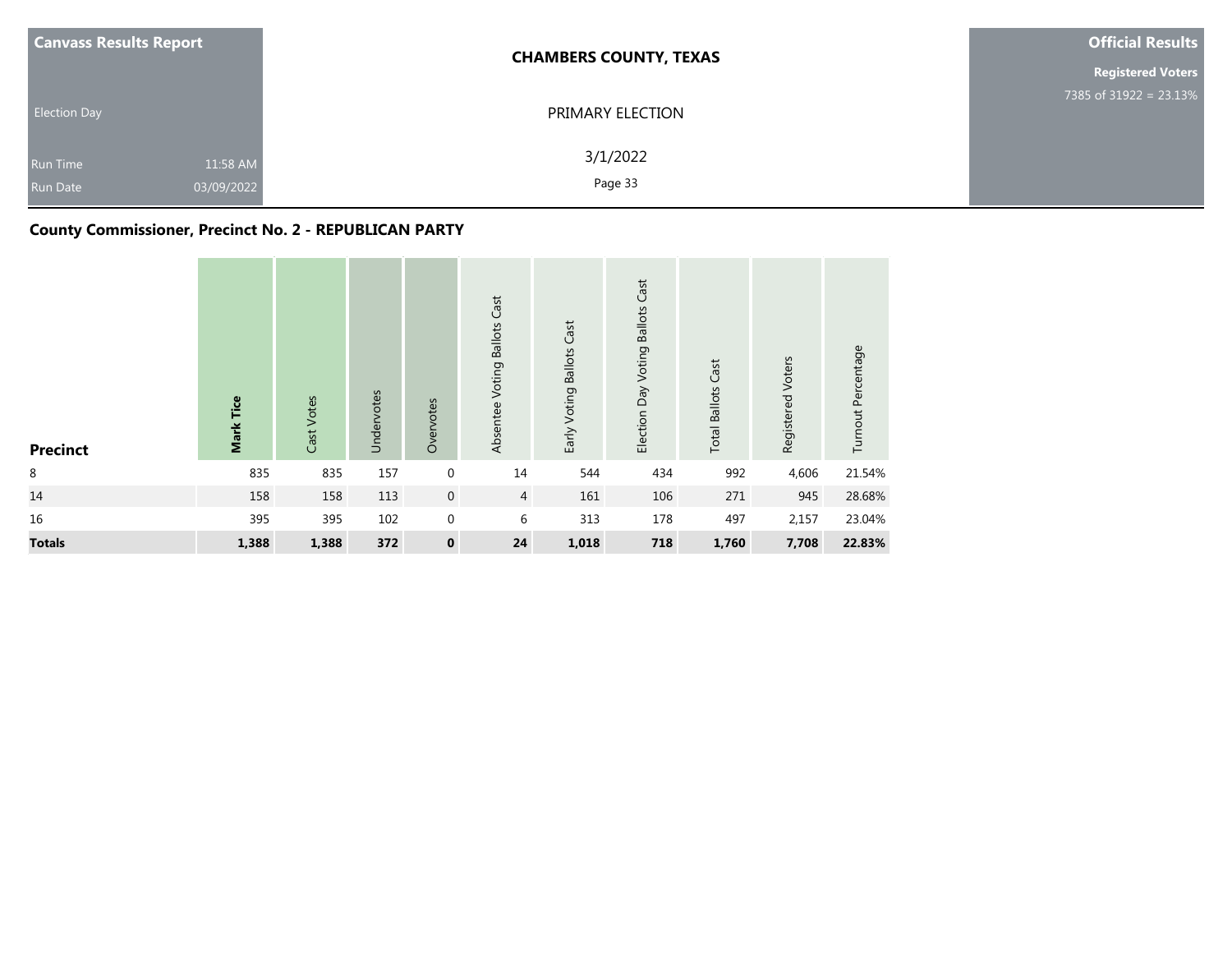| <b>Canvass Results Report</b>      |                        | <b>CHAMBERS COUNTY, TEXAS</b> | <b>Official Results</b>  |
|------------------------------------|------------------------|-------------------------------|--------------------------|
|                                    |                        |                               | <b>Registered Voters</b> |
| <b>Election Day</b>                |                        | PRIMARY ELECTION              | 7385 of 31922 = 23.13%   |
| <b>Run Time</b><br><b>Run Date</b> | 11:58 AM<br>03/09/2022 | 3/1/2022<br>Page 33           |                          |

# **County Commissioner, Precinct No. 2 - REPUBLICAN PARTY**

| <b>Precinct</b> | Mark Tice | Cast Votes | Undervotes | Overvotes        | Absentee Voting Ballots Cast | Early Voting Ballots Cast | Cast<br><b>Voting Ballots</b><br>Election Day | <b>Total Ballots Cast</b> | Registered Voters | Turnout Percentage |
|-----------------|-----------|------------|------------|------------------|------------------------------|---------------------------|-----------------------------------------------|---------------------------|-------------------|--------------------|
| 8               | 835       | 835        | 157        | $\pmb{0}$        | 14                           | 544                       | 434                                           | 992                       | 4,606             | 21.54%             |
| 14              | 158       | 158        | 113        | $\boldsymbol{0}$ | $\overline{4}$               | 161                       | 106                                           | 271                       | 945               | 28.68%             |
| 16              | 395       | 395        | 102        | $\boldsymbol{0}$ | 6                            | 313                       | 178                                           | 497                       | 2,157             | 23.04%             |
| <b>Totals</b>   | 1,388     | 1,388      | 372        | $\pmb{0}$        | 24                           | 1,018                     | 718                                           | 1,760                     | 7,708             | 22.83%             |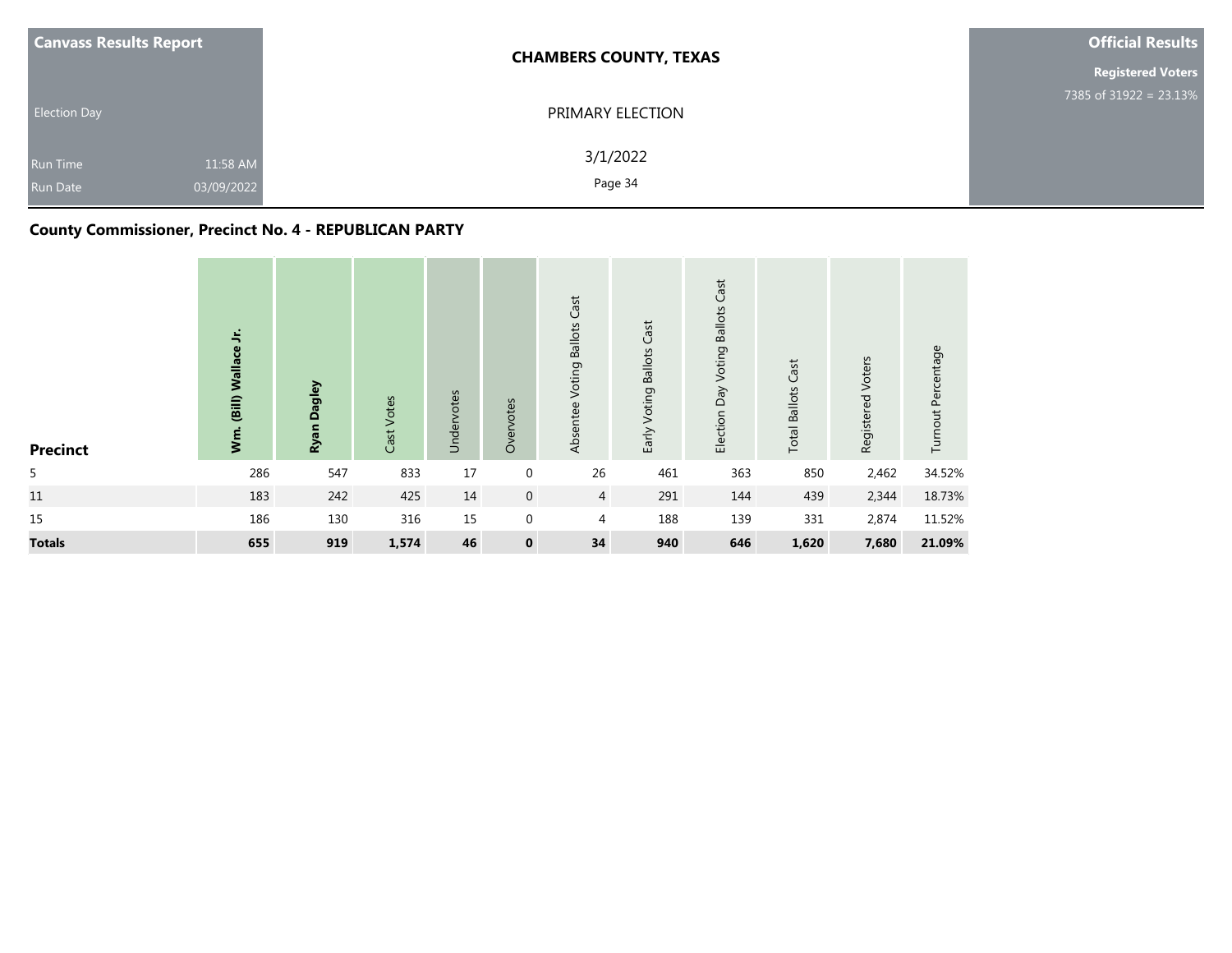| <b>Canvass Results Report</b> |                        | <b>CHAMBERS COUNTY, TEXAS</b> | <b>Official Results</b>  |
|-------------------------------|------------------------|-------------------------------|--------------------------|
|                               |                        |                               | <b>Registered Voters</b> |
| <b>Election Day</b>           |                        | PRIMARY ELECTION              | 7385 of 31922 = 23.13%   |
| <b>Run Time</b><br>Run Date   | 11:58 AM<br>03/09/2022 | 3/1/2022<br>Page 34           |                          |

# **County Commissioner, Precinct No. 4 - REPUBLICAN PARTY**

| <b>Precinct</b> | ₹<br>Wallace<br>(Bill)<br>Wm. | Dagley<br>Ryan | Cast Votes | Undervotes | Overvotes   | Cast<br>Voting Ballots<br>Absentee | Early Voting Ballots Cast | Cast<br>Voting Ballots<br>Election Day | Cast<br><b>Total Ballots</b> | Voters<br>Registered | Turnout Percentage |
|-----------------|-------------------------------|----------------|------------|------------|-------------|------------------------------------|---------------------------|----------------------------------------|------------------------------|----------------------|--------------------|
| 5               | 286                           | 547            | 833        | 17         | $\mathbf 0$ | 26                                 | 461                       | 363                                    | 850                          | 2,462                | 34.52%             |
| 11              | 183                           | 242            | 425        | 14         | $\mathbf 0$ | $\overline{4}$                     | 291                       | 144                                    | 439                          | 2,344                | 18.73%             |
| 15              | 186                           | 130            | 316        | 15         | $\mathbf 0$ | $\overline{4}$                     | 188                       | 139                                    | 331                          | 2,874                | 11.52%             |
| <b>Totals</b>   | 655                           | 919            | 1,574      | 46         | $\mathbf 0$ | 34                                 | 940                       | 646                                    | 1,620                        | 7,680                | 21.09%             |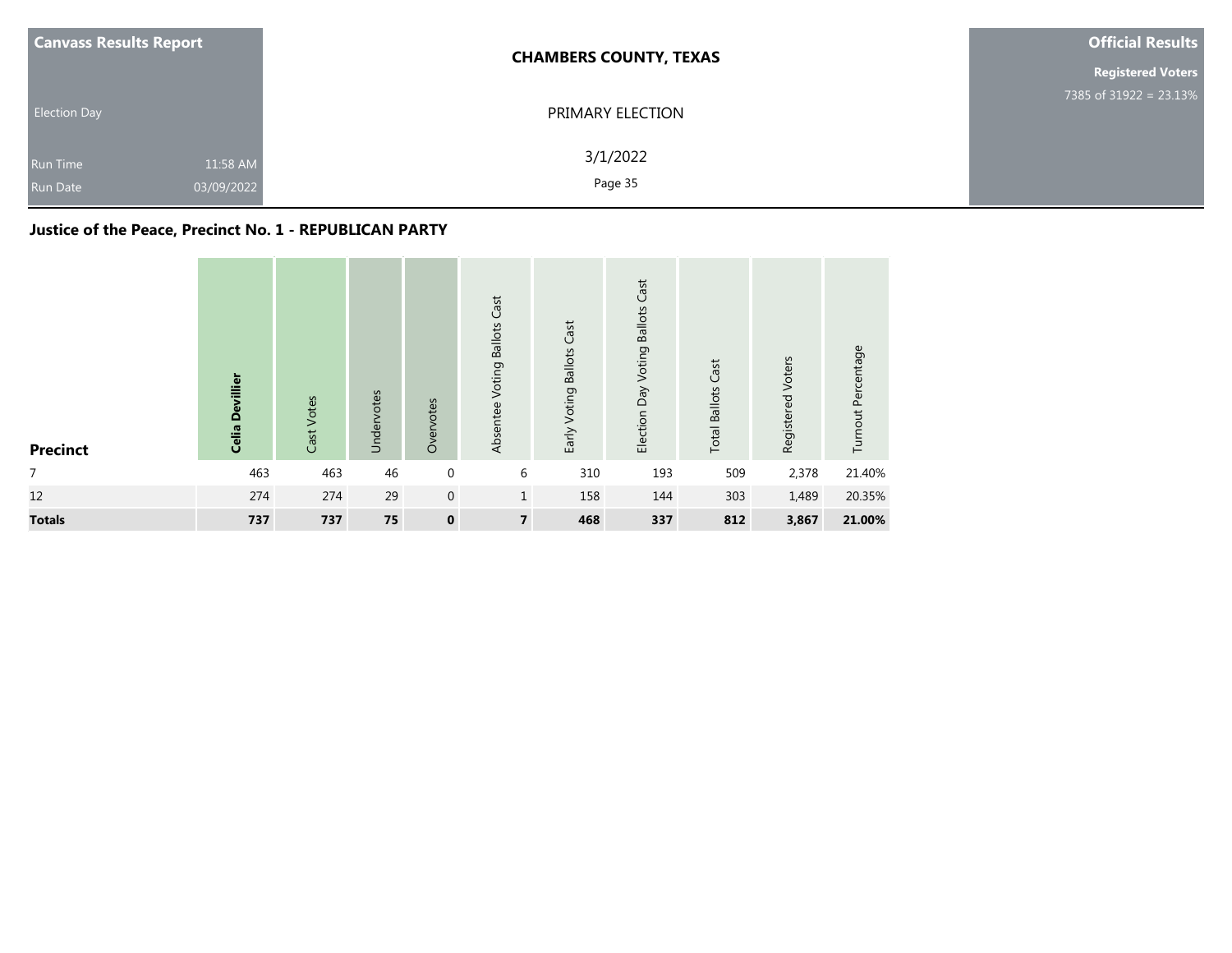| <b>Canvass Results Report</b> |            | <b>CHAMBERS COUNTY, TEXAS</b> | <b>Official Results</b>  |  |  |
|-------------------------------|------------|-------------------------------|--------------------------|--|--|
|                               |            |                               | <b>Registered Voters</b> |  |  |
| <b>Election Day</b>           |            | PRIMARY ELECTION              | 7385 of 31922 = 23.13%   |  |  |
| <b>Run Time</b>               | 11:58 AM   | 3/1/2022                      |                          |  |  |
| <b>Run Date</b>               | 03/09/2022 | Page 35                       |                          |  |  |

#### **Justice of the Peace, Precinct No. 1 - REPUBLICAN PARTY**

| <b>Precinct</b> | <b>Celia Devillier</b> | Cast Votes | Undervotes | Overvotes        | Absentee Voting Ballots Cast | Early Voting Ballots Cast | Cast<br><b>Ballots</b><br>Election Day Voting | Cast<br><b>Total Ballots</b> | Voters<br>Registered | Turnout Percentage |
|-----------------|------------------------|------------|------------|------------------|------------------------------|---------------------------|-----------------------------------------------|------------------------------|----------------------|--------------------|
| $\overline{7}$  | 463                    | 463        | 46         | $\pmb{0}$        | 6                            | 310                       | 193                                           | 509                          | 2,378                | 21.40%             |
| 12              | 274                    | 274        | 29         | $\boldsymbol{0}$ | $\mathbf{1}$                 | 158                       | 144                                           | 303                          | 1,489                | 20.35%             |
| <b>Totals</b>   | 737                    | 737        | 75         | $\mathbf 0$      | $\overline{7}$               | 468                       | 337                                           | 812                          | 3,867                | 21.00%             |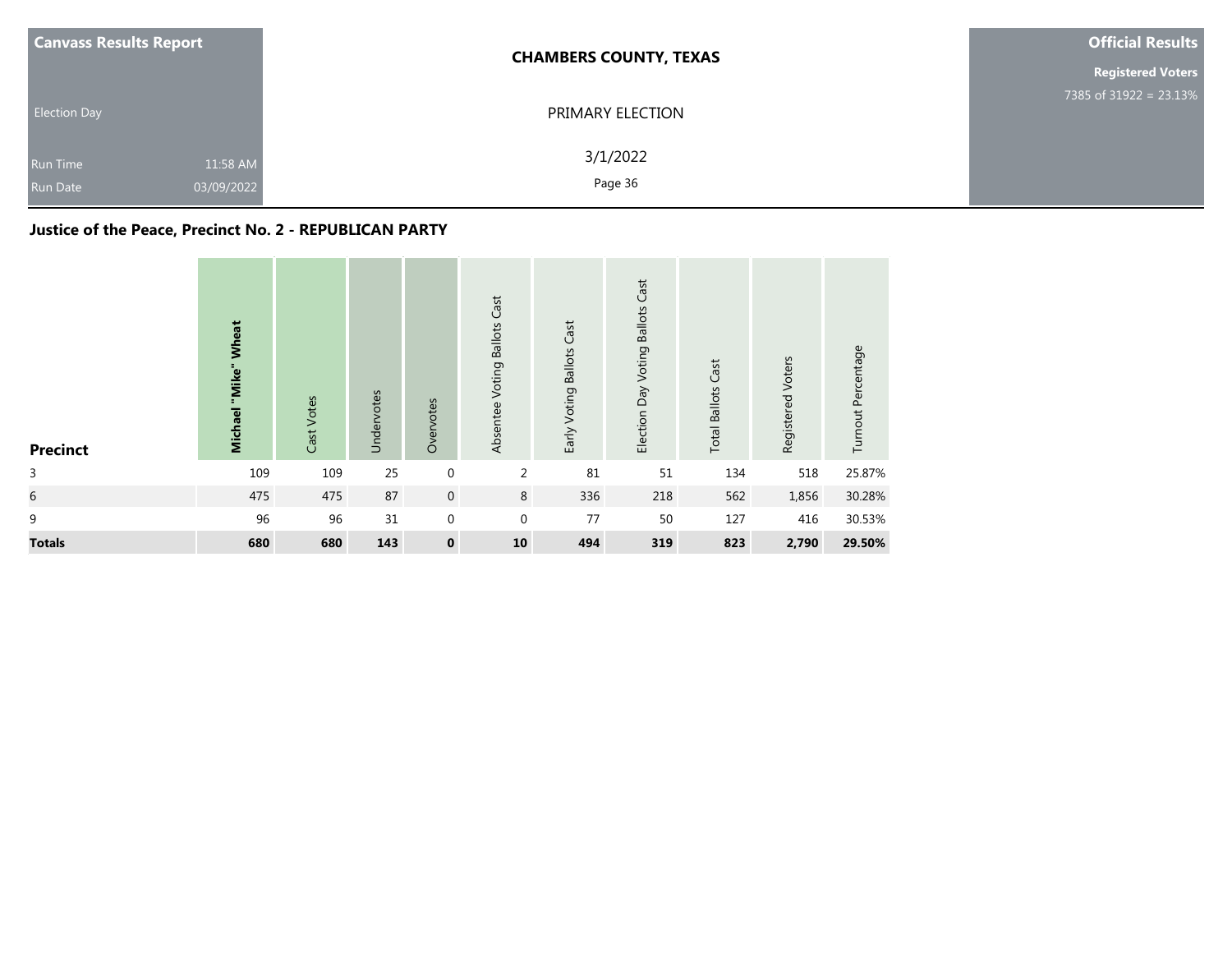| <b>Canvass Results Report</b> |            | <b>CHAMBERS COUNTY, TEXAS</b> | <b>Official Results</b>  |  |  |
|-------------------------------|------------|-------------------------------|--------------------------|--|--|
|                               |            |                               | <b>Registered Voters</b> |  |  |
| <b>Election Day</b>           |            | PRIMARY ELECTION              | 7385 of 31922 = 23.13%   |  |  |
| <b>Run Time</b>               | 11:58 AM   | 3/1/2022                      |                          |  |  |
| <b>Run Date</b>               | 03/09/2022 | Page 36                       |                          |  |  |

#### **Justice of the Peace, Precinct No. 2 - REPUBLICAN PARTY**

| <b>Precinct</b> | Michael "Mike" Wheat | Cast Votes | Undervotes | Overvotes        | Absentee Voting Ballots Cast | Early Voting Ballots Cast | Cast<br><b>Voting Ballots</b><br>Election Day | <b>Total Ballots Cast</b> | Registered Voters | Turnout Percentage |
|-----------------|----------------------|------------|------------|------------------|------------------------------|---------------------------|-----------------------------------------------|---------------------------|-------------------|--------------------|
| 3               | 109                  | 109        | 25         | $\mathbf 0$      | $\overline{2}$               | 81                        | 51                                            | 134                       | 518               | 25.87%             |
| $6\phantom{a}$  | 475                  | 475        | 87         | $\boldsymbol{0}$ | 8                            | 336                       | 218                                           | 562                       | 1,856             | 30.28%             |
| $\mathsf 9$     | 96                   | 96         | 31         | $\mathbf 0$      | $\mathbf 0$                  | 77                        | 50                                            | 127                       | 416               | 30.53%             |
| <b>Totals</b>   | 680                  | 680        | 143        | $\pmb{0}$        | 10                           | 494                       | 319                                           | 823                       | 2,790             | 29.50%             |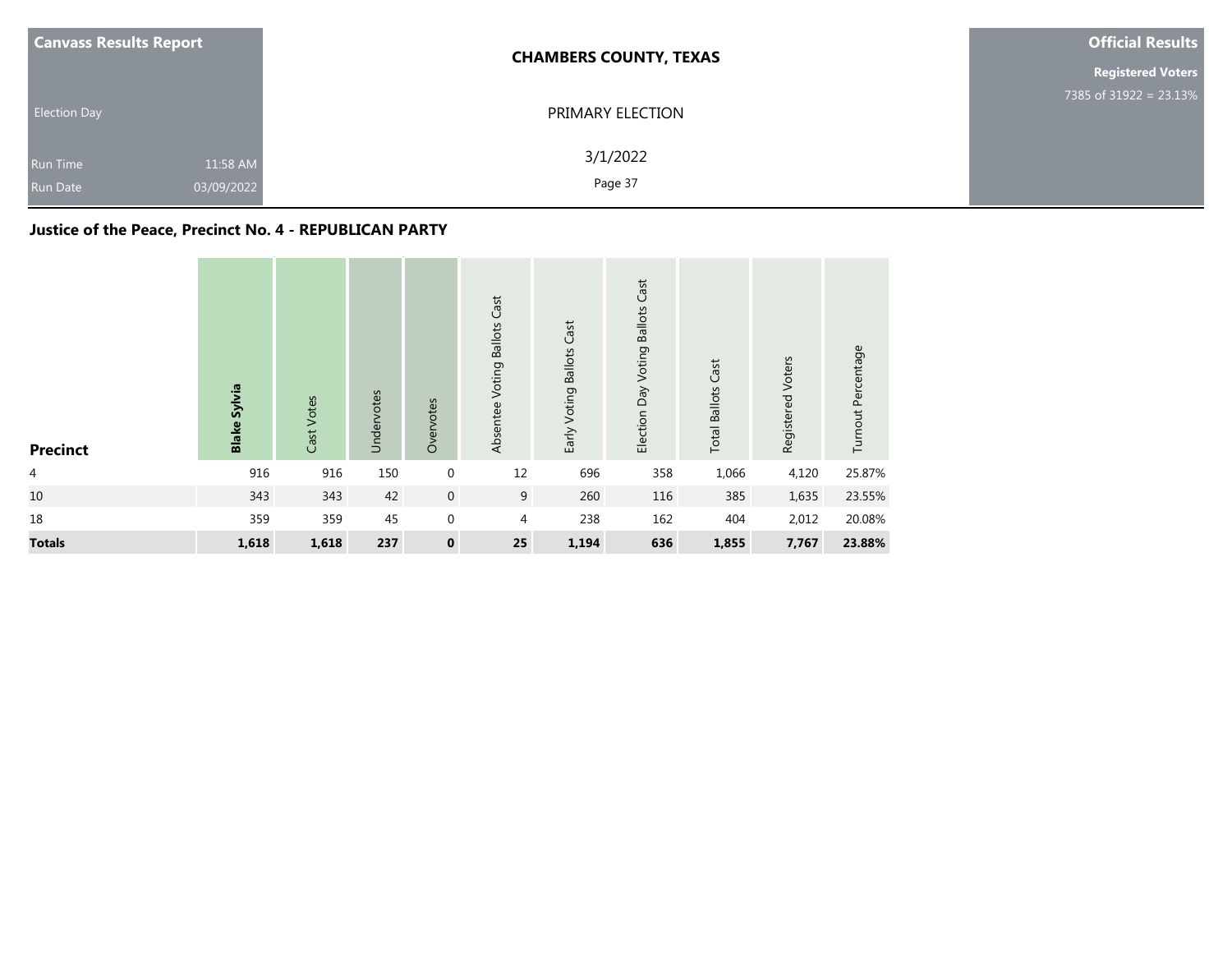| <b>Canvass Results Report</b> |            | <b>CHAMBERS COUNTY, TEXAS</b> | <b>Official Results</b>  |  |  |
|-------------------------------|------------|-------------------------------|--------------------------|--|--|
|                               |            |                               | <b>Registered Voters</b> |  |  |
| <b>Election Day</b>           |            | PRIMARY ELECTION              | 7385 of 31922 = 23.13%   |  |  |
| <b>Run Time</b>               | 11:58 AM   | 3/1/2022                      |                          |  |  |
| <b>Run Date</b>               | 03/09/2022 | Page 37                       |                          |  |  |

#### **Justice of the Peace, Precinct No. 4 - REPUBLICAN PARTY**

| <b>Precinct</b> | <b>Blake Sylvia</b> | Cast Votes | Undervotes | Overvotes        | Absentee Voting Ballots Cast | Early Voting Ballots Cast | Cast<br><b>Ballots</b><br>Voting<br>Election Day | <b>Total Ballots Cast</b> | Voters<br>Registered | Turnout Percentage |
|-----------------|---------------------|------------|------------|------------------|------------------------------|---------------------------|--------------------------------------------------|---------------------------|----------------------|--------------------|
| $\overline{4}$  | 916                 | 916        | 150        | $\boldsymbol{0}$ | 12                           | 696                       | 358                                              | 1,066                     | 4,120                | 25.87%             |
| $10\,$          | 343                 | 343        | 42         | $\boldsymbol{0}$ | 9                            | 260                       | 116                                              | 385                       | 1,635                | 23.55%             |
| 18              | 359                 | 359        | 45         | $\boldsymbol{0}$ | 4                            | 238                       | 162                                              | 404                       | 2,012                | 20.08%             |
| <b>Totals</b>   | 1,618               | 1,618      | 237        | $\mathbf 0$      | 25                           | 1,194                     | 636                                              | 1,855                     | 7,767                | 23.88%             |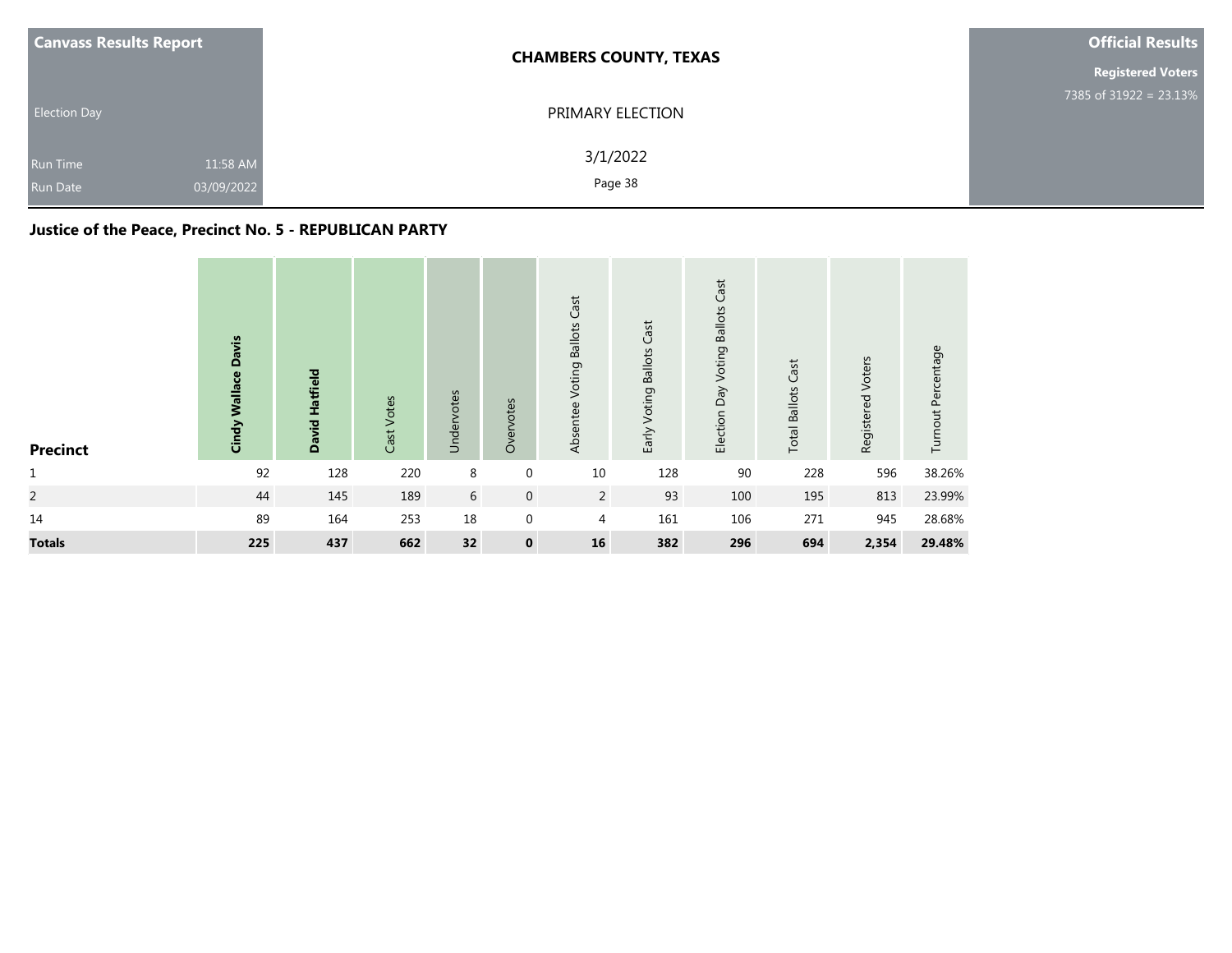| <b>Canvass Results Report</b>      |                        | <b>CHAMBERS COUNTY, TEXAS</b> | <b>Official Results</b>  |  |  |
|------------------------------------|------------------------|-------------------------------|--------------------------|--|--|
|                                    |                        |                               | <b>Registered Voters</b> |  |  |
| <b>Election Day</b>                |                        | PRIMARY ELECTION              | 7385 of 31922 = 23.13%   |  |  |
| <b>Run Time</b><br><b>Run Date</b> | 11:58 AM<br>03/09/2022 | 3/1/2022<br>Page 38           |                          |  |  |

#### **Justice of the Peace, Precinct No. 5 - REPUBLICAN PARTY**

| <b>Precinct</b> | <b>Davis</b><br><b>Cindy Wallace</b> | David Hatfield | Cast Votes | Undervotes | Overvotes   | Cast<br>Absentee Voting Ballots | Early Voting Ballots Cast | Cast<br>Voting Ballots<br>Election Day | <b>Total Ballots Cast</b> | Registered Voters | Turnout Percentage |
|-----------------|--------------------------------------|----------------|------------|------------|-------------|---------------------------------|---------------------------|----------------------------------------|---------------------------|-------------------|--------------------|
| $\mathbf{1}$    | 92                                   | 128            | 220        | 8          | 0           | 10                              | 128                       | 90                                     | 228                       | 596               | 38.26%             |
| $\overline{2}$  | 44                                   | 145            | 189        | 6          | $\mathbf 0$ | $\overline{2}$                  | 93                        | 100                                    | 195                       | 813               | 23.99%             |
| 14              | 89                                   | 164            | 253        | 18         | $\mathbf 0$ | $\overline{4}$                  | 161                       | 106                                    | 271                       | 945               | 28.68%             |
| <b>Totals</b>   | 225                                  | 437            | 662        | 32         | $\mathbf 0$ | 16                              | 382                       | 296                                    | 694                       | 2,354             | 29.48%             |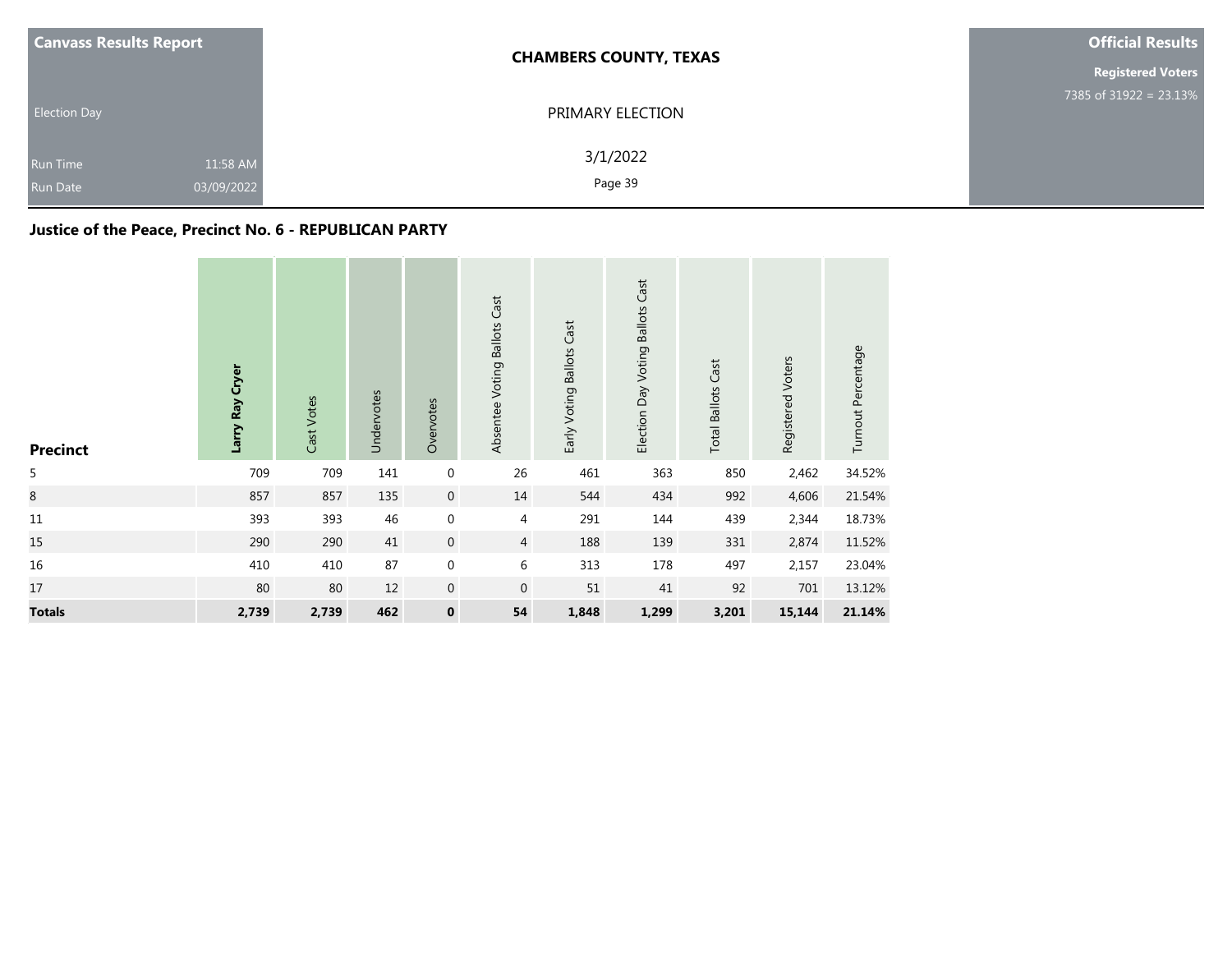| <b>Canvass Results Report</b>                                | <b>CHAMBERS COUNTY, TEXAS</b> | <b>Official Results</b>  |  |  |
|--------------------------------------------------------------|-------------------------------|--------------------------|--|--|
|                                                              |                               | <b>Registered Voters</b> |  |  |
| <b>Election Day</b>                                          | PRIMARY ELECTION              | 7385 of 31922 = 23.13%   |  |  |
| 11:58 AM<br><b>Run Time</b><br>03/09/2022<br><b>Run Date</b> | 3/1/2022<br>Page 39           |                          |  |  |

#### **Justice of the Peace, Precinct No. 6 - REPUBLICAN PARTY**

| <b>Precinct</b> | Larry Ray Cryer | Cast Votes | Undervotes | Overvotes        | Absentee Voting Ballots Cast | Early Voting Ballots Cast | Election Day Voting Ballots Cast | <b>Total Ballots Cast</b> | Registered Voters | Turnout Percentage |
|-----------------|-----------------|------------|------------|------------------|------------------------------|---------------------------|----------------------------------|---------------------------|-------------------|--------------------|
| 5               | 709             | 709        | 141        | $\boldsymbol{0}$ | 26                           | 461                       | 363                              | 850                       | 2,462             | 34.52%             |
| 8               | 857             | 857        | 135        | $\boldsymbol{0}$ | 14                           | 544                       | 434                              | 992                       | 4,606             | 21.54%             |
| $11\,$          | 393             | 393        | 46         | $\boldsymbol{0}$ | 4                            | 291                       | 144                              | 439                       | 2,344             | 18.73%             |
| 15              | 290             | 290        | 41         | $\mathbf 0$      | $\overline{4}$               | 188                       | 139                              | 331                       | 2,874             | 11.52%             |
| 16              | 410             | 410        | 87         | $\boldsymbol{0}$ | 6                            | 313                       | 178                              | 497                       | 2,157             | 23.04%             |
| 17              | 80              | 80         | 12         | $\boldsymbol{0}$ | $\mathbf 0$                  | 51                        | 41                               | 92                        | 701               | 13.12%             |
| <b>Totals</b>   | 2,739           | 2,739      | 462        | $\pmb{0}$        | 54                           | 1,848                     | 1,299                            | 3,201                     | 15,144            | 21.14%             |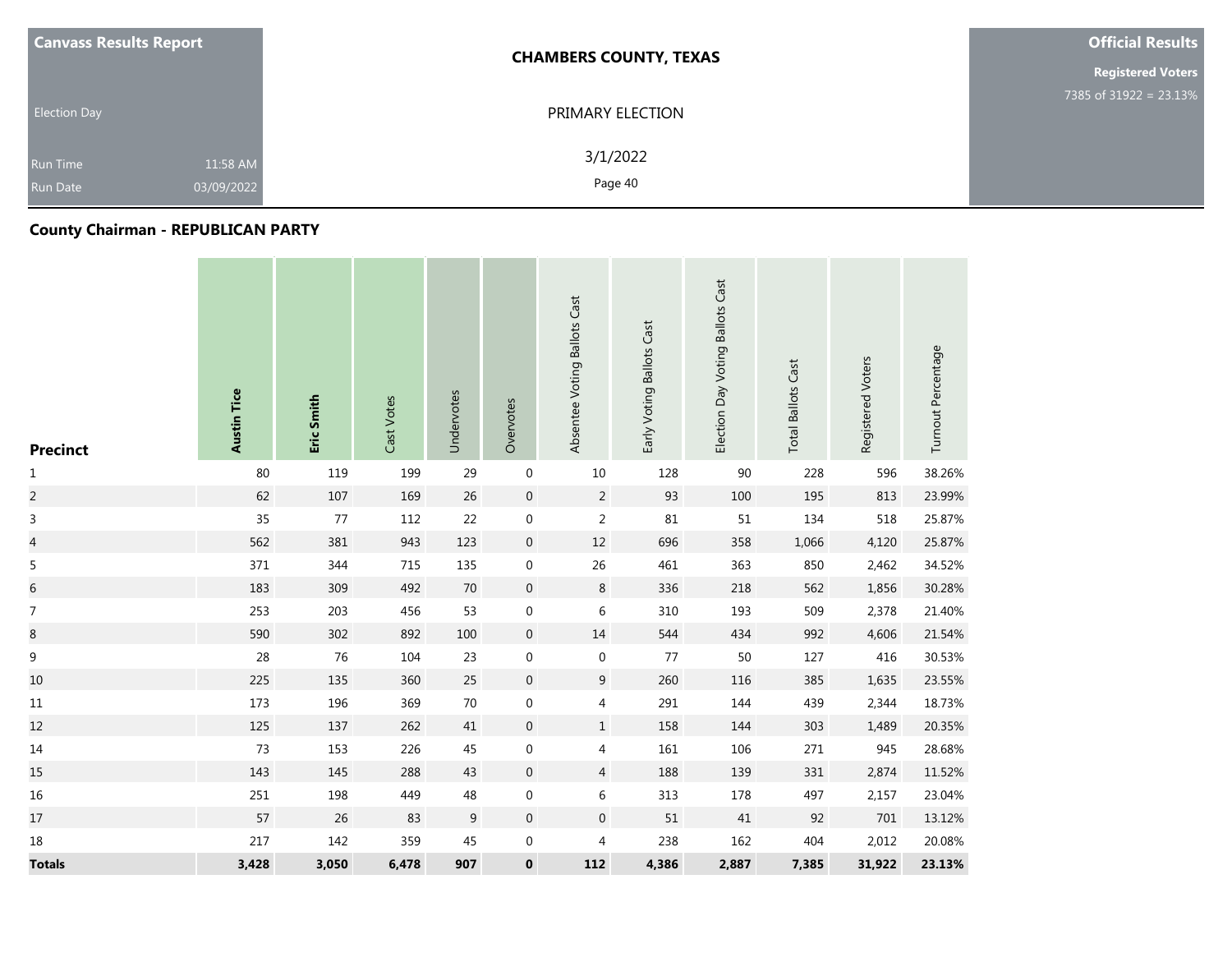| <b>Canvass Results Report</b>      |                        | <b>CHAMBERS COUNTY, TEXAS</b> | <b>Official Results</b>   |  |  |
|------------------------------------|------------------------|-------------------------------|---------------------------|--|--|
|                                    |                        |                               | <b>Registered Voters</b>  |  |  |
| <b>Election Day</b>                |                        | PRIMARY ELECTION              | 7385 of $31922 = 23.13\%$ |  |  |
| <b>Run Time</b><br><b>Run Date</b> | 11:58 AM<br>03/09/2022 | 3/1/2022<br>Page 40           |                           |  |  |

# **County Chairman - REPUBLICAN PARTY**

| <b>Precinct</b>          | <b>Austin Tice</b> | Eric Smith | Cast Votes | Undervotes       | Overvotes        | Absentee Voting Ballots Cast | Early Voting Ballots Cast | Election Day Voting Ballots Cast | <b>Total Ballots Cast</b> | Registered Voters | Turnout Percentage |
|--------------------------|--------------------|------------|------------|------------------|------------------|------------------------------|---------------------------|----------------------------------|---------------------------|-------------------|--------------------|
| $\mathbf{1}$             | 80                 | 119        | 199        | 29               | $\boldsymbol{0}$ | $10\,$                       | 128                       | 90                               | 228                       | 596               | 38.26%             |
| $\overline{c}$           | 62                 | 107        | 169        | 26               | $\pmb{0}$        | $\overline{2}$               | 93                        | 100                              | 195                       | 813               | 23.99%             |
| $\mathsf{3}$             | 35                 | 77         | 112        | 22               | $\boldsymbol{0}$ | $\overline{2}$               | 81                        | $51\,$                           | 134                       | 518               | 25.87%             |
| $\overline{\mathcal{L}}$ | 562                | 381        | 943        | 123              | $\boldsymbol{0}$ | $12\,$                       | 696                       | 358                              | 1,066                     | 4,120             | 25.87%             |
| 5                        | 371                | 344        | 715        | 135              | $\boldsymbol{0}$ | 26                           | 461                       | 363                              | 850                       | 2,462             | 34.52%             |
| $\,$ 6 $\,$              | 183                | 309        | 492        | 70               | $\boldsymbol{0}$ | $\,8\,$                      | 336                       | 218                              | 562                       | 1,856             | 30.28%             |
| $\boldsymbol{7}$         | 253                | 203        | 456        | 53               | $\boldsymbol{0}$ | $\,$ 6 $\,$                  | 310                       | 193                              | 509                       | 2,378             | 21.40%             |
| 8                        | 590                | 302        | 892        | 100              | $\mathbf 0$      | $14\,$                       | 544                       | 434                              | 992                       | 4,606             | 21.54%             |
| 9                        | 28                 | 76         | 104        | 23               | 0                | $\mathbf 0$                  | 77                        | 50                               | 127                       | 416               | 30.53%             |
| 10                       | 225                | 135        | 360        | 25               | $\mathbf 0$      | $9\,$                        | 260                       | 116                              | 385                       | 1,635             | 23.55%             |
| 11                       | 173                | 196        | 369        | 70               | $\boldsymbol{0}$ | 4                            | 291                       | 144                              | 439                       | 2,344             | 18.73%             |
| 12                       | 125                | 137        | 262        | 41               | $\mathbf 0$      | $\mathbf{1}$                 | 158                       | 144                              | 303                       | 1,489             | 20.35%             |
| $14\,$                   | 73                 | 153        | 226        | 45               | $\boldsymbol{0}$ | 4                            | 161                       | 106                              | 271                       | 945               | 28.68%             |
| 15                       | 143                | 145        | 288        | 43               | $\mathbf 0$      | $\overline{4}$               | 188                       | 139                              | 331                       | 2,874             | 11.52%             |
| 16                       | 251                | 198        | 449        | 48               | $\boldsymbol{0}$ | 6                            | 313                       | 178                              | 497                       | 2,157             | 23.04%             |
| $17\,$                   | 57                 | 26         | 83         | $\boldsymbol{9}$ | $\boldsymbol{0}$ | $\boldsymbol{0}$             | 51                        | 41                               | 92                        | $701\,$           | 13.12%             |
| $18\,$                   | 217                | 142        | 359        | 45               | 0                | $\overline{4}$               | 238                       | 162                              | 404                       | 2,012             | 20.08%             |
| <b>Totals</b>            | 3,428              | 3,050      | 6,478      | 907              | $\mathbf 0$      | 112                          | 4,386                     | 2,887                            | 7,385                     | 31,922            | 23.13%             |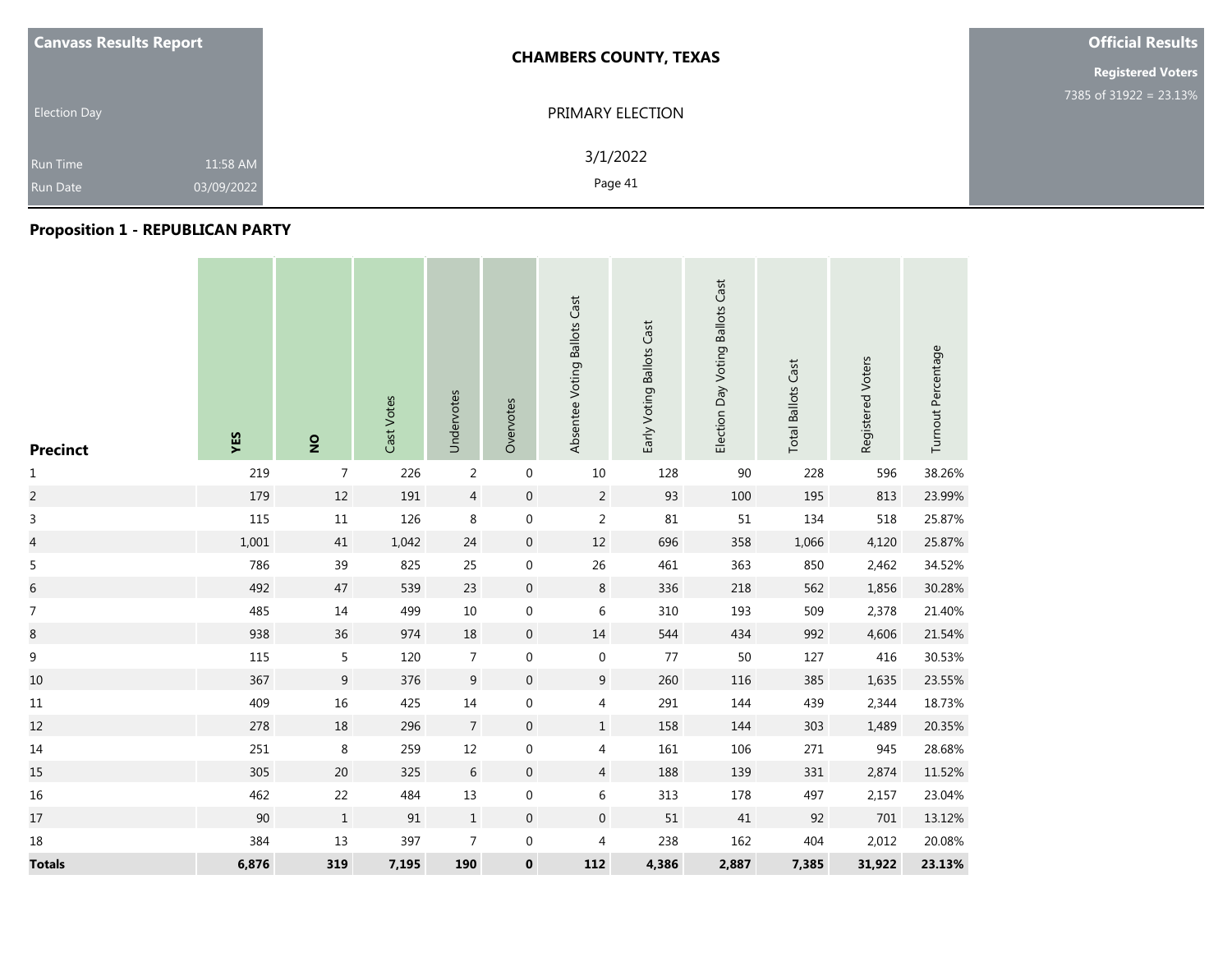| <b>Canvass Results Report</b>      |                        | <b>CHAMBERS COUNTY, TEXAS</b> | <b>Official Results</b>  |  |  |
|------------------------------------|------------------------|-------------------------------|--------------------------|--|--|
|                                    |                        |                               | <b>Registered Voters</b> |  |  |
| <b>Election Day</b>                |                        | PRIMARY ELECTION              | 7385 of 31922 = 23.13%   |  |  |
| <b>Run Time</b><br><b>Run Date</b> | 11:58 AM<br>03/09/2022 | 3/1/2022<br>Page 41           |                          |  |  |
|                                    |                        |                               |                          |  |  |

# **Proposition 1 - REPUBLICAN PARTY**

| <b>Precinct</b>          | YES    | $\overline{2}$   | Cast Votes                 | Undervotes     | Overvotes        | Absentee Voting Ballots Cast | Early Voting Ballots Cast | Election Day Voting Ballots Cast | <b>Total Ballots Cast</b> | Registered Voters | Turnout Percentage |
|--------------------------|--------|------------------|----------------------------|----------------|------------------|------------------------------|---------------------------|----------------------------------|---------------------------|-------------------|--------------------|
| $\mathbf 1$              | 219    | $\boldsymbol{7}$ | 226                        | $\sqrt{2}$     | $\boldsymbol{0}$ | $10\,$                       | 128                       | $90\,$                           | 228                       | 596               | 38.26%             |
| $\overline{a}$           | 179    | $12\,$           | 191                        | $\overline{4}$ | $\mathbf 0$      | $\overline{c}$               | 93                        | $100\,$                          | 195                       | 813               | 23.99%             |
| 3                        | 115    | $11\,$           | 126                        | $\,8\,$        | $\boldsymbol{0}$ | $\overline{c}$               | 81                        | $51\,$                           | 134                       | 518               | 25.87%             |
| $\overline{\mathcal{L}}$ | 1,001  | 41               | 1,042                      | 24             | $\mathbf 0$      | $12\,$                       | 696                       | 358                              | 1,066                     | 4,120             | 25.87%             |
| 5                        | 786    | 39               | 825                        | 25             | $\boldsymbol{0}$ | 26                           | 461                       | 363                              | 850                       | 2,462             | 34.52%             |
| 6                        | 492    | 47               | 539                        | 23             | $\boldsymbol{0}$ | $\,8\,$                      | 336                       | 218                              | 562                       | 1,856             | 30.28%             |
| 7                        | 485    | 14               | 499                        | 10             | $\boldsymbol{0}$ | $\,$ 6 $\,$                  | 310                       | 193                              | 509                       | 2,378             | 21.40%             |
| $\bf 8$                  | 938    | 36               | 974                        | 18             | $\mathbf 0$      | $14\,$                       | 544                       | 434                              | 992                       | 4,606             | 21.54%             |
| 9                        | 115    | 5                | 120                        | $\overline{7}$ | $\boldsymbol{0}$ | $\boldsymbol{0}$             | 77                        | 50                               | 127                       | 416               | 30.53%             |
| $10\,$                   | 367    | $\boldsymbol{9}$ | 376                        | $\mathsf 9$    | $\boldsymbol{0}$ | 9                            | 260                       | 116                              | 385                       | 1,635             | 23.55%             |
| $11\,$                   | 409    | 16               | 425                        | 14             | $\boldsymbol{0}$ | 4                            | 291                       | 144                              | 439                       | 2,344             | 18.73%             |
| 12                       | 278    | $18\,$           | 296                        | $\overline{7}$ | $\mathbf 0$      | $\mathbf 1$                  | 158                       | 144                              | 303                       | 1,489             | 20.35%             |
| $14\,$                   | 251    | $\,8\,$          | 259                        | $12\,$         | 0                | 4                            | 161                       | 106                              | 271                       | 945               | 28.68%             |
| 15                       | 305    | 20               | 325                        | $\,6\,$        | $\boldsymbol{0}$ | $\overline{4}$               | 188                       | 139                              | 331                       | 2,874             | 11.52%             |
| $16\,$                   | 462    | 22               | 484                        | 13             | 0                | 6                            | 313                       | 178                              | 497                       | 2,157             | 23.04%             |
| 17                       | $90\,$ | $\,1\,$          | $\ensuremath{\mathsf{91}}$ | $\,1\,$        | $\boldsymbol{0}$ | $\mathsf{O}\xspace$          | 51                        | 41                               | 92                        | $701$             | 13.12%             |
| $18\,$                   | 384    | $13\,$           | 397                        | $\overline{7}$ | 0                | 4                            | 238                       | 162                              | 404                       | 2,012             | 20.08%             |
| <b>Totals</b>            | 6,876  | 319              | 7,195                      | 190            | $\pmb{0}$        | 112                          | 4,386                     | 2,887                            | 7,385                     | 31,922            | 23.13%             |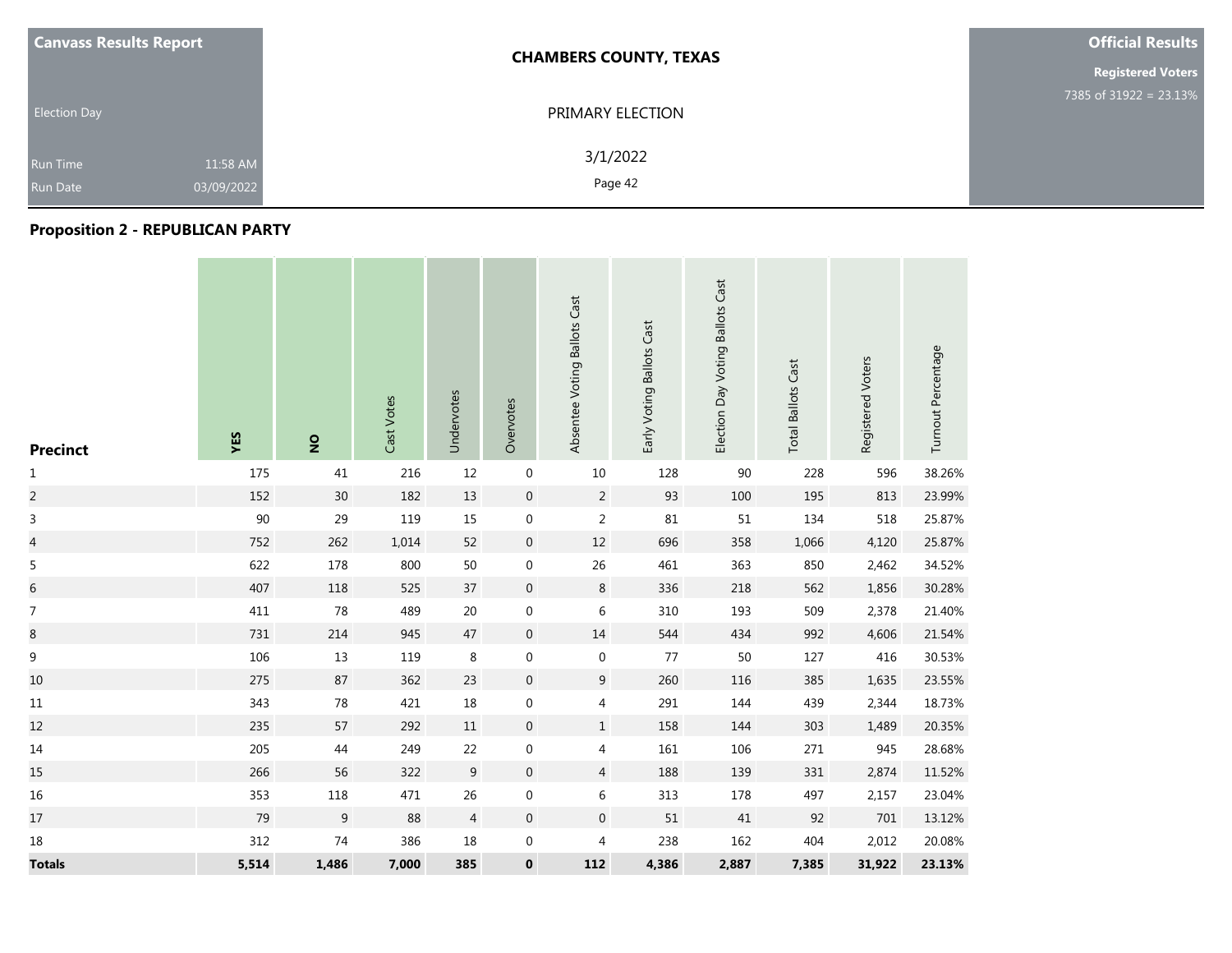| <b>Canvass Results Report</b>      |                        | <b>CHAMBERS COUNTY, TEXAS</b> | <b>Official Results</b>  |
|------------------------------------|------------------------|-------------------------------|--------------------------|
|                                    |                        |                               | <b>Registered Voters</b> |
| <b>Election Day</b>                |                        | PRIMARY ELECTION              | 7385 of 31922 = 23.13%   |
| <b>Run Time</b><br><b>Run Date</b> | 11:58 AM<br>03/09/2022 | 3/1/2022<br>Page 42           |                          |

# **Proposition 2 - REPUBLICAN PARTY**

| <b>Precinct</b>          | YES    | $\overline{2}$   | Cast Votes | Undervotes       | Overvotes        | Absentee Voting Ballots Cast | Early Voting Ballots Cast | Election Day Voting Ballots Cast | <b>Total Ballots Cast</b> | Registered Voters | Turnout Percentage |
|--------------------------|--------|------------------|------------|------------------|------------------|------------------------------|---------------------------|----------------------------------|---------------------------|-------------------|--------------------|
| $\mathbf 1$              | 175    | 41               | 216        | $12\,$           | $\boldsymbol{0}$ | $10\,$                       | 128                       | $90\,$                           | 228                       | 596               | 38.26%             |
| $\overline{c}$           | 152    | $30\,$           | 182        | $13\,$           | $\mathbf 0$      | $\overline{2}$               | 93                        | $100\,$                          | 195                       | 813               | 23.99%             |
| 3                        | $90\,$ | 29               | 119        | 15               | $\boldsymbol{0}$ | $\overline{2}$               | 81                        | $51\,$                           | 134                       | 518               | 25.87%             |
| $\overline{\mathcal{L}}$ | 752    | 262              | 1,014      | 52               | $\boldsymbol{0}$ | $12\,$                       | 696                       | 358                              | 1,066                     | 4,120             | 25.87%             |
| 5                        | 622    | 178              | 800        | 50               | $\boldsymbol{0}$ | 26                           | 461                       | 363                              | 850                       | 2,462             | 34.52%             |
| 6                        | 407    | 118              | 525        | 37               | $\mathbf 0$      | $\,8\,$                      | 336                       | 218                              | 562                       | 1,856             | 30.28%             |
| 7                        | 411    | 78               | 489        | $20\,$           | $\boldsymbol{0}$ | $\,$ 6 $\,$                  | 310                       | 193                              | 509                       | 2,378             | 21.40%             |
| $\bf 8$                  | 731    | 214              | 945        | 47               | $\mathbf 0$      | $14\,$                       | 544                       | 434                              | 992                       | 4,606             | 21.54%             |
| 9                        | 106    | $13\,$           | 119        | $\,8\,$          | $\boldsymbol{0}$ | $\boldsymbol{0}$             | 77                        | 50                               | 127                       | 416               | 30.53%             |
| $10\,$                   | 275    | 87               | 362        | 23               | $\mathbf 0$      | 9                            | 260                       | 116                              | 385                       | 1,635             | 23.55%             |
| $11\,$                   | 343    | 78               | 421        | 18               | $\boldsymbol{0}$ | 4                            | 291                       | 144                              | 439                       | 2,344             | 18.73%             |
| 12                       | 235    | 57               | 292        | $11\,$           | $\mathbf 0$      | $\mathbf 1$                  | 158                       | 144                              | 303                       | 1,489             | 20.35%             |
| $14\,$                   | 205    | 44               | 249        | 22               | $\boldsymbol{0}$ | 4                            | 161                       | 106                              | 271                       | 945               | 28.68%             |
| 15                       | 266    | 56               | 322        | $\boldsymbol{9}$ | $\mathbf 0$      | $\overline{4}$               | 188                       | 139                              | 331                       | 2,874             | 11.52%             |
| $16\,$                   | 353    | 118              | 471        | 26               | $\boldsymbol{0}$ | 6                            | 313                       | 178                              | 497                       | 2,157             | 23.04%             |
| $17\,$                   | 79     | $\boldsymbol{9}$ | 88         | $\overline{4}$   | $\boldsymbol{0}$ | $\mathbf 0$                  | 51                        | 41                               | 92                        | 701               | 13.12%             |
| $18\,$                   | 312    | 74               | 386        | $18\,$           | $\boldsymbol{0}$ | 4                            | 238                       | 162                              | 404                       | 2,012             | 20.08%             |
| <b>Totals</b>            | 5,514  | 1,486            | 7,000      | 385              | $\pmb{0}$        | 112                          | 4,386                     | 2,887                            | 7,385                     | 31,922            | 23.13%             |

and the con-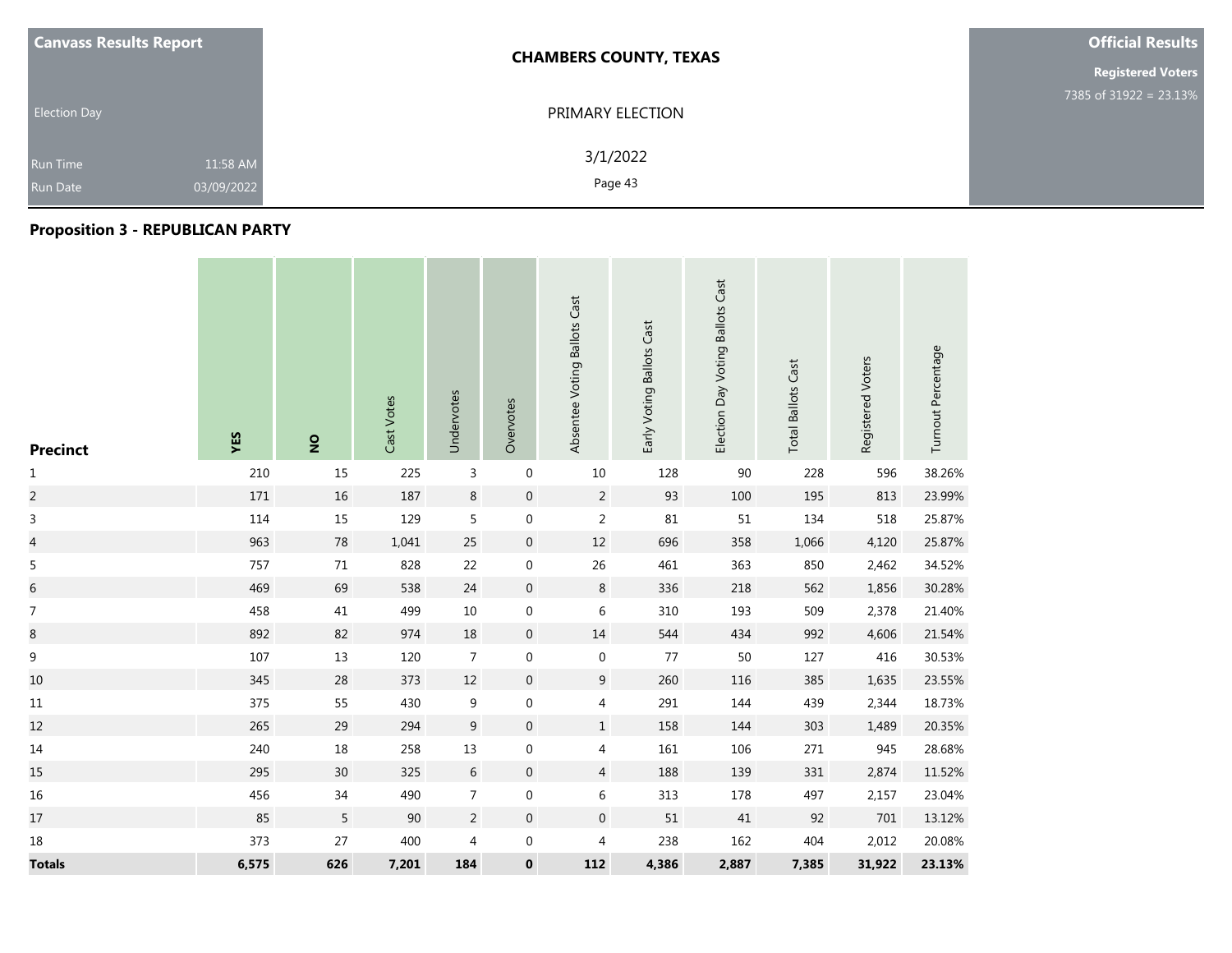| <b>Canvass Results Report</b>      |                        | <b>CHAMBERS COUNTY, TEXAS</b> | <b>Official Results</b>  |
|------------------------------------|------------------------|-------------------------------|--------------------------|
|                                    |                        |                               | <b>Registered Voters</b> |
| <b>Election Day</b>                |                        | PRIMARY ELECTION              | 7385 of 31922 = 23.13%   |
| <b>Run Time</b><br><b>Run Date</b> | 11:58 AM<br>03/09/2022 | 3/1/2022<br>Page 43           |                          |

# **Proposition 3 - REPUBLICAN PARTY**

| <b>Precinct</b>          | YES   | $\overline{2}$ | Cast Votes | Undervotes       | Overvotes           | Absentee Voting Ballots Cast | Early Voting Ballots Cast | Election Day Voting Ballots Cast | <b>Total Ballots Cast</b> | Registered Voters | Turnout Percentage |
|--------------------------|-------|----------------|------------|------------------|---------------------|------------------------------|---------------------------|----------------------------------|---------------------------|-------------------|--------------------|
| $\mathbf 1$              | 210   | 15             | 225        | $\mathsf 3$      | $\boldsymbol{0}$    | $10\,$                       | 128                       | $90\,$                           | 228                       | 596               | 38.26%             |
| $\overline{c}$           | 171   | $16\,$         | 187        | $\,8\,$          | $\mathbf 0$         | $\overline{2}$               | 93                        | $100\,$                          | 195                       | 813               | 23.99%             |
| 3                        | 114   | 15             | 129        | 5                | $\boldsymbol{0}$    | $\overline{2}$               | 81                        | $51\,$                           | 134                       | 518               | 25.87%             |
| $\overline{\mathcal{L}}$ | 963   | 78             | 1,041      | 25               | $\boldsymbol{0}$    | $12\,$                       | 696                       | 358                              | 1,066                     | 4,120             | 25.87%             |
| 5                        | 757   | 71             | 828        | 22               | $\boldsymbol{0}$    | 26                           | 461                       | 363                              | 850                       | 2,462             | 34.52%             |
| 6                        | 469   | 69             | 538        | 24               | $\mathbf 0$         | $\,8\,$                      | 336                       | 218                              | 562                       | 1,856             | 30.28%             |
| 7                        | 458   | $41\,$         | 499        | 10               | $\boldsymbol{0}$    | $\,$ 6 $\,$                  | 310                       | 193                              | 509                       | 2,378             | 21.40%             |
| $\bf 8$                  | 892   | 82             | 974        | 18               | $\mathbf 0$         | $14\,$                       | 544                       | 434                              | 992                       | 4,606             | 21.54%             |
| 9                        | 107   | $13\,$         | 120        | $\overline{7}$   | $\boldsymbol{0}$    | $\boldsymbol{0}$             | 77                        | 50                               | 127                       | 416               | 30.53%             |
| $10\,$                   | 345   | 28             | 373        | $12\,$           | $\mathbf 0$         | 9                            | 260                       | 116                              | 385                       | 1,635             | 23.55%             |
| $11\,$                   | 375   | 55             | 430        | $\boldsymbol{9}$ | $\boldsymbol{0}$    | 4                            | 291                       | 144                              | 439                       | 2,344             | 18.73%             |
| 12                       | 265   | 29             | 294        | $\boldsymbol{9}$ | $\mathbf 0$         | $\mathbf 1$                  | 158                       | 144                              | 303                       | 1,489             | 20.35%             |
| $14\,$                   | 240   | 18             | 258        | $13\,$           | $\boldsymbol{0}$    | 4                            | 161                       | 106                              | 271                       | 945               | 28.68%             |
| 15                       | 295   | 30             | 325        | $\,$ 6 $\,$      | $\mathsf{O}\xspace$ | $\overline{4}$               | 188                       | 139                              | 331                       | 2,874             | 11.52%             |
| $16\,$                   | 456   | 34             | 490        | $\boldsymbol{7}$ | 0                   | 6                            | 313                       | 178                              | 497                       | 2,157             | 23.04%             |
| $17\,$                   | 85    | 5              | 90         | $\overline{2}$   | $\boldsymbol{0}$    | $\mathbf 0$                  | 51                        | 41                               | 92                        | 701               | 13.12%             |
| $18\,$                   | 373   | $27\,$         | 400        | $\overline{4}$   | $\boldsymbol{0}$    | 4                            | 238                       | 162                              | 404                       | 2,012             | 20.08%             |
| <b>Totals</b>            | 6,575 | 626            | 7,201      | 184              | $\pmb{0}$           | 112                          | 4,386                     | 2,887                            | 7,385                     | 31,922            | 23.13%             |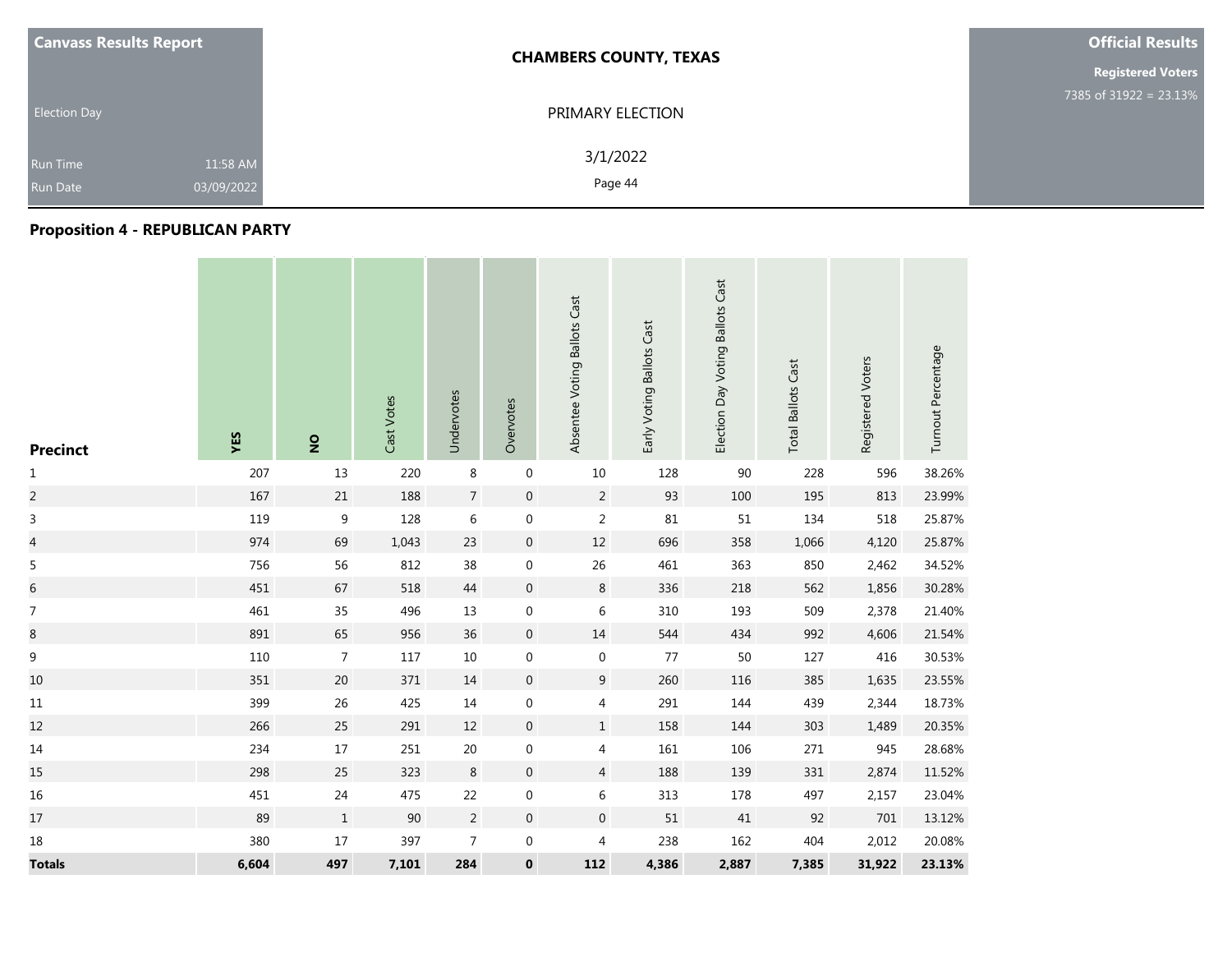| <b>Canvass Results Report</b>      |                        | <b>CHAMBERS COUNTY, TEXAS</b> | <b>Official Results</b>  |  |  |
|------------------------------------|------------------------|-------------------------------|--------------------------|--|--|
|                                    |                        |                               | <b>Registered Voters</b> |  |  |
| <b>Election Day</b>                |                        | PRIMARY ELECTION              | 7385 of 31922 = 23.13%   |  |  |
| <b>Run Time</b><br><b>Run Date</b> | 11:58 AM<br>03/09/2022 | 3/1/2022<br>Page 44           |                          |  |  |
|                                    |                        |                               |                          |  |  |

# **Proposition 4 - REPUBLICAN PARTY**

| <b>Precinct</b>          | YES   | $\overline{2}$   | Cast Votes | Undervotes     | Overvotes        | Absentee Voting Ballots Cast | Early Voting Ballots Cast | Election Day Voting Ballots Cast | <b>Total Ballots Cast</b> | Registered Voters | Turnout Percentage |
|--------------------------|-------|------------------|------------|----------------|------------------|------------------------------|---------------------------|----------------------------------|---------------------------|-------------------|--------------------|
| $\mathbf 1$              | 207   | $13\,$           | 220        | $\,8\,$        | $\boldsymbol{0}$ | $10\,$                       | 128                       | $90\,$                           | 228                       | 596               | 38.26%             |
| $\overline{a}$           | 167   | $21\,$           | 188        | $\overline{7}$ | $\mathbf 0$      | $\overline{c}$               | 93                        | $100\,$                          | 195                       | 813               | 23.99%             |
| 3                        | 119   | $\boldsymbol{9}$ | 128        | $\,$ 6 $\,$    | $\boldsymbol{0}$ | $\overline{c}$               | 81                        | $51\,$                           | 134                       | 518               | 25.87%             |
| $\overline{\mathcal{L}}$ | 974   | 69               | 1,043      | 23             | $\mathbf 0$      | $12\,$                       | 696                       | 358                              | 1,066                     | 4,120             | 25.87%             |
| 5                        | 756   | 56               | 812        | 38             | $\boldsymbol{0}$ | 26                           | 461                       | 363                              | 850                       | 2,462             | 34.52%             |
| 6                        | 451   | 67               | 518        | 44             | $\boldsymbol{0}$ | $\,8\,$                      | 336                       | 218                              | 562                       | 1,856             | 30.28%             |
| 7                        | 461   | 35               | 496        | $13$           | $\boldsymbol{0}$ | $\,$ 6 $\,$                  | 310                       | 193                              | 509                       | 2,378             | 21.40%             |
| $\bf 8$                  | 891   | 65               | 956        | 36             | $\mathbf 0$      | $14\,$                       | 544                       | 434                              | 992                       | 4,606             | 21.54%             |
| 9                        | 110   | $\overline{7}$   | 117        | $10\,$         | $\boldsymbol{0}$ | $\boldsymbol{0}$             | 77                        | 50                               | 127                       | 416               | 30.53%             |
| $10\,$                   | 351   | $20\,$           | 371        | $14\,$         | $\mathbf 0$      | 9                            | 260                       | 116                              | 385                       | 1,635             | 23.55%             |
| $11\,$                   | 399   | 26               | 425        | 14             | $\boldsymbol{0}$ | 4                            | 291                       | 144                              | 439                       | 2,344             | 18.73%             |
| 12                       | 266   | 25               | 291        | $12\,$         | $\mathbf 0$      | $\mathbf 1$                  | 158                       | 144                              | 303                       | 1,489             | 20.35%             |
| $14\,$                   | 234   | $17\,$           | 251        | $20\,$         | 0                | 4                            | 161                       | 106                              | 271                       | 945               | 28.68%             |
| 15                       | 298   | 25               | 323        | $\,8\,$        | $\boldsymbol{0}$ | $\overline{4}$               | 188                       | 139                              | 331                       | 2,874             | 11.52%             |
| $16\,$                   | 451   | 24               | 475        | 22             | 0                | 6                            | 313                       | 178                              | 497                       | 2,157             | 23.04%             |
| 17                       | 89    | $\,1\,$          | $90\,$     | $\overline{2}$ | $\boldsymbol{0}$ | $\mathsf{O}\xspace$          | 51                        | 41                               | 92                        | $701$             | 13.12%             |
| $18\,$                   | 380   | $17\,$           | 397        | $\overline{7}$ | 0                | 4                            | 238                       | 162                              | 404                       | 2,012             | 20.08%             |
| <b>Totals</b>            | 6,604 | 497              | 7,101      | 284            | $\pmb{0}$        | 112                          | 4,386                     | 2,887                            | 7,385                     | 31,922            | 23.13%             |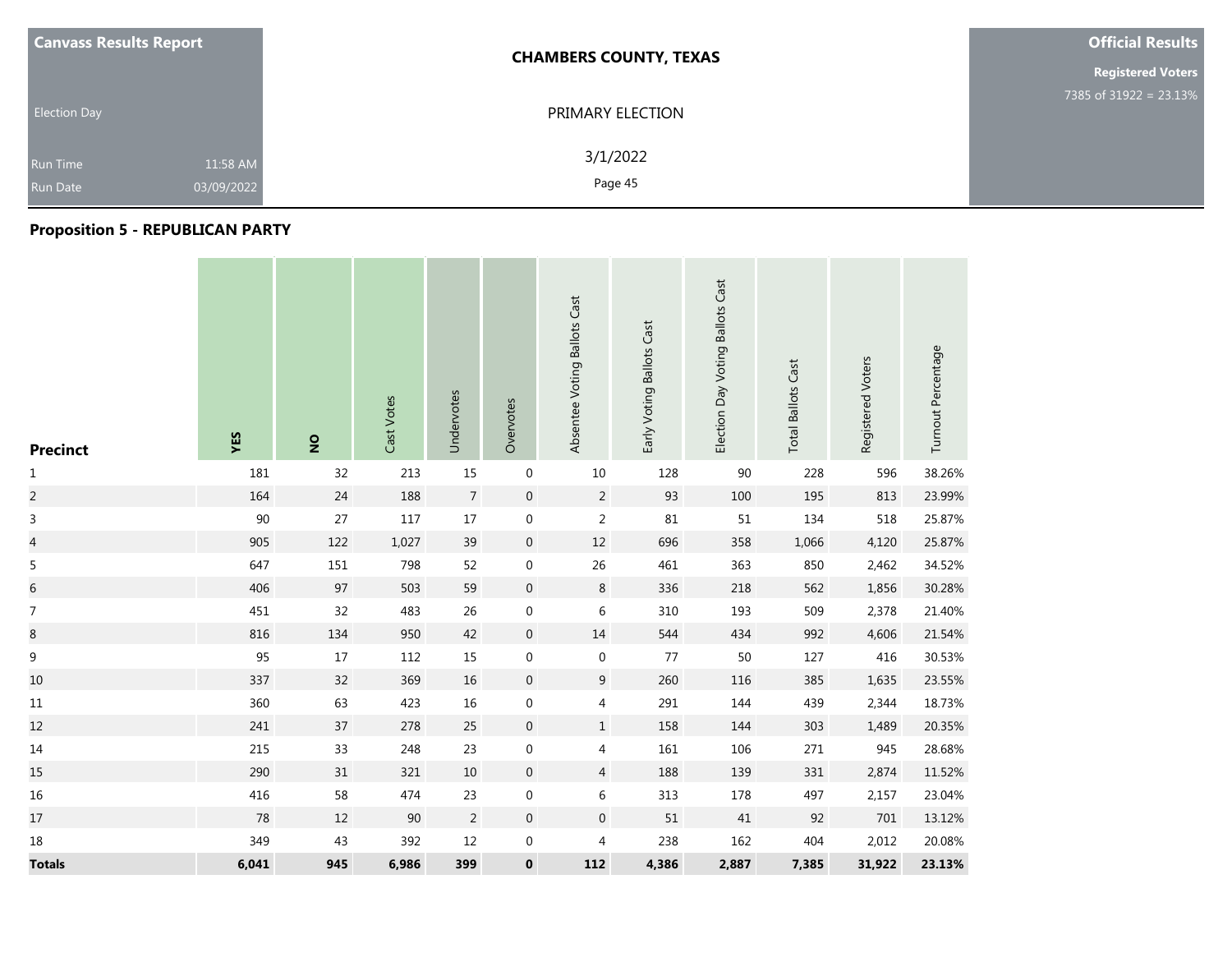| <b>Canvass Results Report</b>      |                        | <b>CHAMBERS COUNTY, TEXAS</b> | <b>Official Results</b>  |  |  |
|------------------------------------|------------------------|-------------------------------|--------------------------|--|--|
|                                    |                        |                               | <b>Registered Voters</b> |  |  |
| <b>Election Day</b>                |                        | PRIMARY ELECTION              | 7385 of 31922 = 23.13%   |  |  |
| <b>Run Time</b><br><b>Run Date</b> | 11:58 AM<br>03/09/2022 | 3/1/2022<br>Page 45           |                          |  |  |

# **Proposition 5 - REPUBLICAN PARTY**

| <b>Precinct</b>          | YES   | $\overline{2}$ | Cast Votes | Undervotes     | Overvotes        | Absentee Voting Ballots Cast | Early Voting Ballots Cast | Election Day Voting Ballots Cast | <b>Total Ballots Cast</b> | Registered Voters | Turnout Percentage |
|--------------------------|-------|----------------|------------|----------------|------------------|------------------------------|---------------------------|----------------------------------|---------------------------|-------------------|--------------------|
| $\mathbf{1}$             | 181   | 32             | 213        | 15             | $\boldsymbol{0}$ | $10\,$                       | 128                       | $90\,$                           | 228                       | 596               | 38.26%             |
| $\overline{c}$           | 164   | $24\,$         | 188        | $\overline{7}$ | $\boldsymbol{0}$ | $\overline{2}$               | 93                        | $100\,$                          | 195                       | 813               | 23.99%             |
| $\overline{3}$           | 90    | 27             | 117        | 17             | $\boldsymbol{0}$ | $\overline{2}$               | 81                        | $51\,$                           | 134                       | 518               | 25.87%             |
| $\overline{\mathcal{L}}$ | 905   | 122            | 1,027      | 39             | $\boldsymbol{0}$ | $12\,$                       | 696                       | 358                              | 1,066                     | 4,120             | 25.87%             |
| 5                        | 647   | 151            | 798        | 52             | $\mathbf 0$      | 26                           | 461                       | 363                              | 850                       | 2,462             | 34.52%             |
| $\sqrt{6}$               | 406   | 97             | 503        | 59             | $\mathbf 0$      | $\,8\,$                      | 336                       | 218                              | 562                       | 1,856             | 30.28%             |
| $\overline{7}$           | 451   | 32             | 483        | 26             | 0                | 6                            | 310                       | 193                              | 509                       | 2,378             | 21.40%             |
| 8                        | 816   | 134            | 950        | 42             | $\boldsymbol{0}$ | 14                           | 544                       | 434                              | 992                       | 4,606             | 21.54%             |
| $\boldsymbol{9}$         | 95    | 17             | 112        | 15             | $\boldsymbol{0}$ | $\boldsymbol{0}$             | 77                        | 50                               | 127                       | 416               | 30.53%             |
| $10\,$                   | 337   | 32             | 369        | $16\,$         | $\boldsymbol{0}$ | 9                            | 260                       | 116                              | 385                       | 1,635             | 23.55%             |
| $11\,$                   | 360   | 63             | 423        | 16             | $\boldsymbol{0}$ | 4                            | 291                       | 144                              | 439                       | 2,344             | 18.73%             |
| 12                       | 241   | $37\,$         | 278        | 25             | $\boldsymbol{0}$ | $\mathbf 1$                  | 158                       | 144                              | 303                       | 1,489             | 20.35%             |
| 14                       | 215   | 33             | 248        | 23             | 0                | 4                            | 161                       | 106                              | 271                       | 945               | 28.68%             |
| 15                       | 290   | 31             | 321        | 10             | $\mathbf 0$      | $\overline{4}$               | 188                       | 139                              | 331                       | 2,874             | 11.52%             |
| 16                       | 416   | 58             | 474        | 23             | 0                | 6                            | 313                       | 178                              | 497                       | 2,157             | 23.04%             |
| $17\,$                   | 78    | $12\,$         | 90         | $\overline{2}$ | $\boldsymbol{0}$ | $\boldsymbol{0}$             | 51                        | 41                               | 92                        | 701               | 13.12%             |
| $18\,$                   | 349   | 43             | 392        | 12             | $\boldsymbol{0}$ | 4                            | 238                       | 162                              | 404                       | 2,012             | 20.08%             |
| <b>Totals</b>            | 6,041 | 945            | 6,986      | 399            | $\pmb{0}$        | 112                          | 4,386                     | 2,887                            | 7,385                     | 31,922            | 23.13%             |

and the con-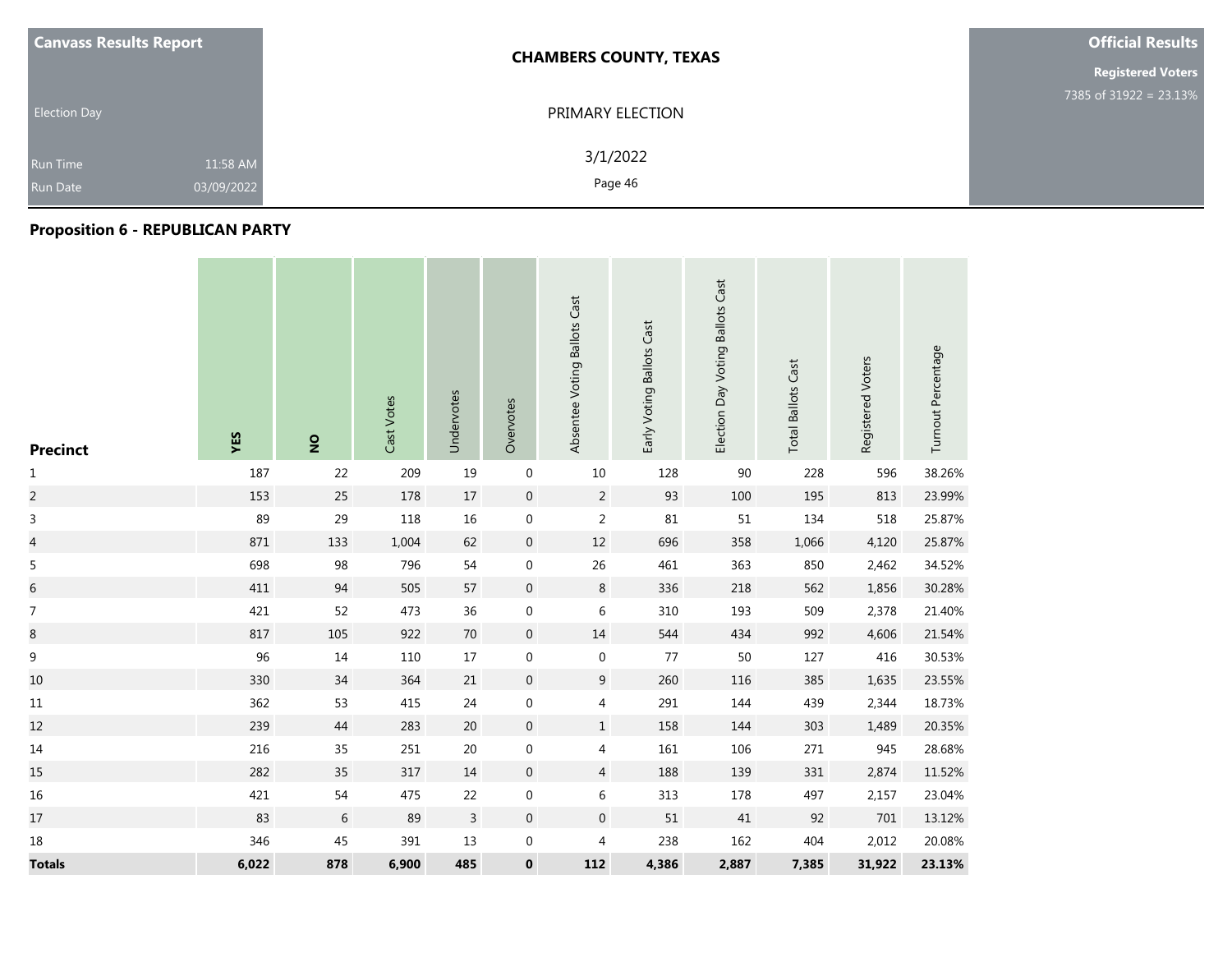| <b>Canvass Results Report</b>                                | <b>CHAMBERS COUNTY, TEXAS</b> | <b>Official Results</b>  |  |  |
|--------------------------------------------------------------|-------------------------------|--------------------------|--|--|
|                                                              |                               | <b>Registered Voters</b> |  |  |
| <b>Election Day</b>                                          | PRIMARY ELECTION              | 7385 of 31922 = 23.13%   |  |  |
| 11:58 AM<br><b>Run Time</b><br>03/09/2022<br><b>Run Date</b> | 3/1/2022<br>Page 46           |                          |  |  |

# **Proposition 6 - REPUBLICAN PARTY**

| <b>Precinct</b>          | YES   | $\overline{2}$ | Cast Votes | Undervotes  | Overvotes        | Absentee Voting Ballots Cast | Early Voting Ballots Cast | Election Day Voting Ballots Cast | <b>Total Ballots Cast</b> | Registered Voters | Turnout Percentage |
|--------------------------|-------|----------------|------------|-------------|------------------|------------------------------|---------------------------|----------------------------------|---------------------------|-------------------|--------------------|
| $\mathbf 1$              | 187   | 22             | 209        | 19          | $\boldsymbol{0}$ | $10\,$                       | 128                       | $90\,$                           | 228                       | 596               | 38.26%             |
| $\overline{a}$           | 153   | 25             | 178        | $17\,$      | $\mathbf 0$      | $\overline{c}$               | 93                        | $100\,$                          | 195                       | 813               | 23.99%             |
| 3                        | 89    | 29             | 118        | $16\,$      | $\boldsymbol{0}$ | $\overline{c}$               | 81                        | $51\,$                           | 134                       | 518               | 25.87%             |
| $\overline{\mathcal{L}}$ | 871   | 133            | 1,004      | 62          | $\mathbf 0$      | $12\,$                       | 696                       | 358                              | 1,066                     | 4,120             | 25.87%             |
| 5                        | 698   | 98             | 796        | 54          | $\boldsymbol{0}$ | 26                           | 461                       | 363                              | 850                       | 2,462             | 34.52%             |
| 6                        | 411   | 94             | 505        | 57          | $\boldsymbol{0}$ | $\,8\,$                      | 336                       | 218                              | 562                       | 1,856             | 30.28%             |
| 7                        | 421   | 52             | 473        | 36          | $\boldsymbol{0}$ | $\,$ 6 $\,$                  | 310                       | 193                              | 509                       | 2,378             | 21.40%             |
| $\bf 8$                  | 817   | 105            | 922        | 70          | $\mathbf 0$      | 14                           | 544                       | 434                              | 992                       | 4,606             | 21.54%             |
| 9                        | 96    | 14             | 110        | $17\,$      | $\boldsymbol{0}$ | $\boldsymbol{0}$             | 77                        | 50                               | 127                       | 416               | 30.53%             |
| $10\,$                   | 330   | 34             | 364        | $21\,$      | $\mathbf 0$      | 9                            | 260                       | 116                              | 385                       | 1,635             | 23.55%             |
| $11\,$                   | 362   | 53             | 415        | 24          | $\boldsymbol{0}$ | 4                            | 291                       | 144                              | 439                       | 2,344             | 18.73%             |
| 12                       | 239   | 44             | 283        | $20\,$      | $\mathbf 0$      | $\mathbf 1$                  | 158                       | 144                              | 303                       | 1,489             | 20.35%             |
| $14\,$                   | 216   | 35             | 251        | $20\,$      | 0                | 4                            | 161                       | 106                              | 271                       | 945               | 28.68%             |
| 15                       | 282   | 35             | 317        | 14          | $\boldsymbol{0}$ | $\overline{4}$               | 188                       | 139                              | 331                       | 2,874             | 11.52%             |
| $16\,$                   | 421   | 54             | 475        | 22          | 0                | 6                            | 313                       | 178                              | 497                       | 2,157             | 23.04%             |
| 17                       | 83    | $\,$ 6 $\,$    | 89         | $\mathsf 3$ | $\boldsymbol{0}$ | $\mathsf{O}\xspace$          | 51                        | 41                               | 92                        | $701$             | 13.12%             |
| $18\,$                   | 346   | 45             | 391        | $13$        | 0                | 4                            | 238                       | 162                              | 404                       | 2,012             | 20.08%             |
| <b>Totals</b>            | 6,022 | 878            | 6,900      | 485         | $\pmb{0}$        | 112                          | 4,386                     | 2,887                            | 7,385                     | 31,922            | 23.13%             |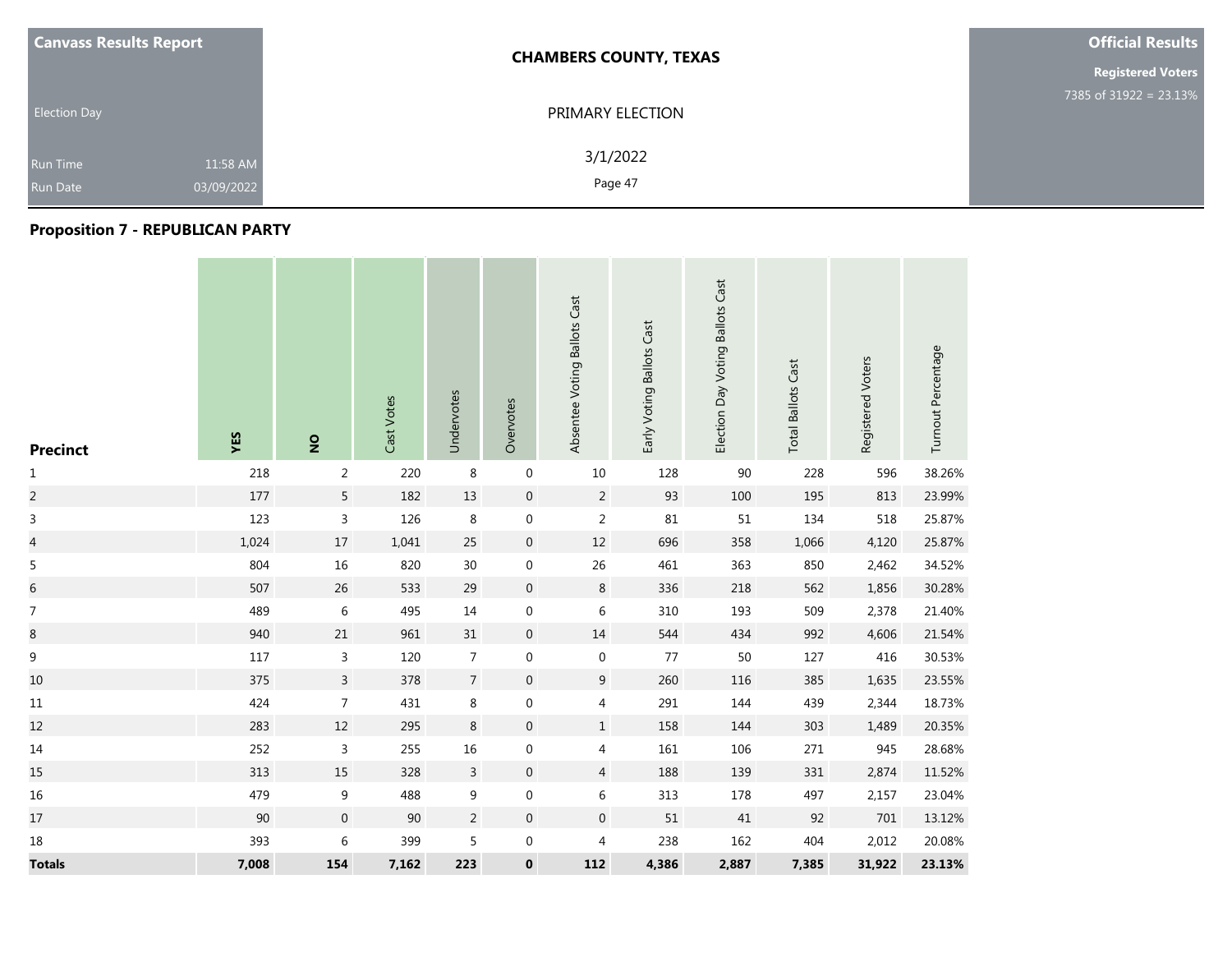| <b>Canvass Results Report</b>                                | <b>CHAMBERS COUNTY, TEXAS</b> | <b>Official Results</b>  |  |  |
|--------------------------------------------------------------|-------------------------------|--------------------------|--|--|
|                                                              |                               | <b>Registered Voters</b> |  |  |
| <b>Election Day</b>                                          | PRIMARY ELECTION              | 7385 of 31922 = 23.13%   |  |  |
| 11:58 AM<br><b>Run Time</b><br>03/09/2022<br><b>Run Date</b> | 3/1/2022<br>Page 47           |                          |  |  |

# **Proposition 7 - REPUBLICAN PARTY**

| <b>Precinct</b>          | YES    | $\overline{2}$   | Cast Votes | Undervotes       | Overvotes        | Absentee Voting Ballots Cast | Early Voting Ballots Cast | Election Day Voting Ballots Cast | <b>Total Ballots Cast</b> | Registered Voters | Turnout Percentage |
|--------------------------|--------|------------------|------------|------------------|------------------|------------------------------|---------------------------|----------------------------------|---------------------------|-------------------|--------------------|
| $\mathbf 1$              | 218    | $\overline{2}$   | 220        | $\,8\,$          | $\boldsymbol{0}$ | $10\,$                       | 128                       | $90\,$                           | 228                       | 596               | 38.26%             |
| $\overline{a}$           | 177    | $5\phantom{a}$   | 182        | $13\,$           | $\mathbf 0$      | $\overline{c}$               | 93                        | $100\,$                          | 195                       | 813               | 23.99%             |
| 3                        | 123    | $\mathsf 3$      | 126        | $\,8\,$          | $\boldsymbol{0}$ | $\overline{c}$               | 81                        | $51\,$                           | 134                       | 518               | 25.87%             |
| $\overline{\mathcal{L}}$ | 1,024  | 17               | 1,041      | 25               | $\mathbf 0$      | $12\,$                       | 696                       | 358                              | 1,066                     | 4,120             | 25.87%             |
| 5                        | 804    | 16               | 820        | 30               | $\boldsymbol{0}$ | 26                           | 461                       | 363                              | 850                       | 2,462             | 34.52%             |
| 6                        | 507    | 26               | 533        | 29               | $\boldsymbol{0}$ | $\,8\,$                      | 336                       | 218                              | 562                       | 1,856             | 30.28%             |
| 7                        | 489    | $\,$ 6 $\,$      | 495        | $14\,$           | $\boldsymbol{0}$ | $\,$ 6 $\,$                  | 310                       | 193                              | 509                       | 2,378             | 21.40%             |
| $\bf 8$                  | 940    | 21               | 961        | 31               | $\mathbf 0$      | $14\,$                       | 544                       | 434                              | 992                       | 4,606             | 21.54%             |
| 9                        | 117    | $\mathsf{3}$     | 120        | $\boldsymbol{7}$ | $\boldsymbol{0}$ | $\boldsymbol{0}$             | 77                        | 50                               | 127                       | 416               | 30.53%             |
| $10\,$                   | 375    | $\overline{3}$   | 378        | $\overline{7}$   | $\mathbf 0$      | 9                            | 260                       | 116                              | 385                       | 1,635             | 23.55%             |
| $11\,$                   | 424    | $\overline{7}$   | 431        | $\,8\,$          | $\boldsymbol{0}$ | 4                            | 291                       | 144                              | 439                       | 2,344             | 18.73%             |
| 12                       | 283    | $12\,$           | 295        | $\,8\,$          | $\mathbf 0$      | $\mathbf 1$                  | 158                       | 144                              | 303                       | 1,489             | 20.35%             |
| $14\,$                   | 252    | $\mathsf{3}$     | 255        | $16\,$           | 0                | 4                            | 161                       | 106                              | 271                       | 945               | 28.68%             |
| 15                       | 313    | 15               | 328        | $\mathsf{3}$     | $\boldsymbol{0}$ | $\overline{4}$               | 188                       | 139                              | 331                       | 2,874             | 11.52%             |
| $16\,$                   | 479    | 9                | 488        | $\boldsymbol{9}$ | 0                | 6                            | 313                       | 178                              | 497                       | 2,157             | 23.04%             |
| 17                       | $90\,$ | $\boldsymbol{0}$ | 90         | $\sqrt{2}$       | $\boldsymbol{0}$ | $\mathsf{O}\xspace$          | 51                        | 41                               | 92                        | $701$             | 13.12%             |
| $18\,$                   | 393    | $\,$ 6 $\,$      | 399        | 5                | $\boldsymbol{0}$ | 4                            | 238                       | 162                              | 404                       | 2,012             | 20.08%             |
| <b>Totals</b>            | 7,008  | 154              | 7,162      | 223              | $\pmb{0}$        | 112                          | 4,386                     | 2,887                            | 7,385                     | 31,922            | 23.13%             |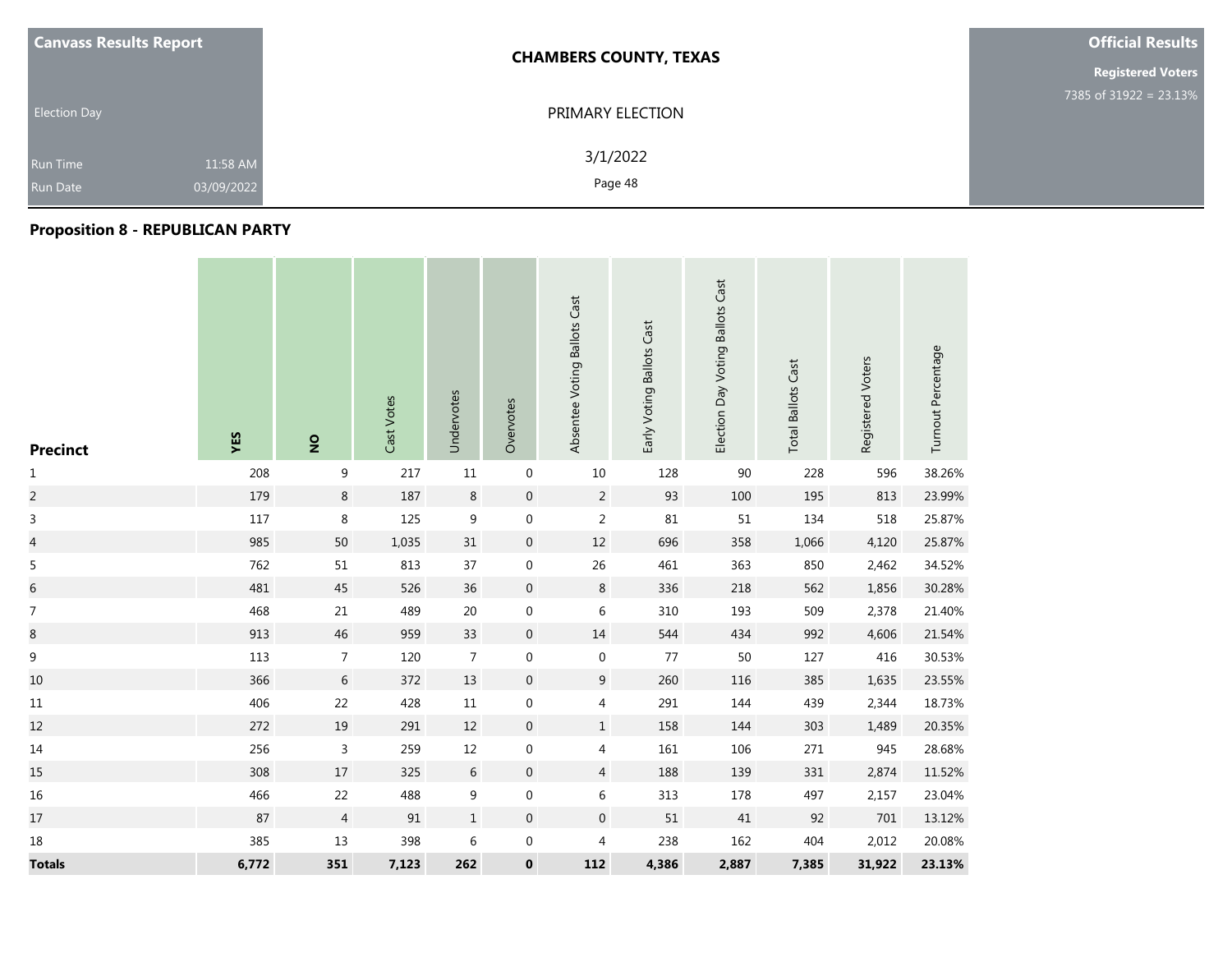| <b>Canvass Results Report</b>                                | <b>CHAMBERS COUNTY, TEXAS</b> | <b>Official Results</b>  |  |  |
|--------------------------------------------------------------|-------------------------------|--------------------------|--|--|
|                                                              |                               | <b>Registered Voters</b> |  |  |
| <b>Election Day</b>                                          | PRIMARY ELECTION              | 7385 of 31922 = 23.13%   |  |  |
| 11:58 AM<br><b>Run Time</b><br>03/09/2022<br><b>Run Date</b> | 3/1/2022<br>Page 48           |                          |  |  |

# **Proposition 8 - REPUBLICAN PARTY**

| <b>Precinct</b>  | YES   | $\overline{2}$   | Cast Votes                 | Undervotes       | Overvotes           | Absentee Voting Ballots Cast | Early Voting Ballots Cast | Election Day Voting Ballots Cast | <b>Total Ballots Cast</b> | Registered Voters | Turnout Percentage |
|------------------|-------|------------------|----------------------------|------------------|---------------------|------------------------------|---------------------------|----------------------------------|---------------------------|-------------------|--------------------|
| $\mathbf 1$      | 208   | $\boldsymbol{9}$ | 217                        | $11\,$           | $\boldsymbol{0}$    | $10\,$                       | 128                       | $90\,$                           | 228                       | 596               | 38.26%             |
| $\overline{c}$   | 179   | $\,8\,$          | 187                        | $\,8\,$          | $\boldsymbol{0}$    | $\overline{2}$               | 93                        | 100                              | 195                       | 813               | 23.99%             |
| $\mathsf{3}$     | 117   | $\,8\,$          | 125                        | 9                | $\boldsymbol{0}$    | $\overline{2}$               | 81                        | 51                               | 134                       | 518               | 25.87%             |
| $\overline{a}$   | 985   | 50               | 1,035                      | 31               | $\mathsf{O}\xspace$ | $12$                         | 696                       | 358                              | 1,066                     | 4,120             | 25.87%             |
| 5                | 762   | $51\,$           | 813                        | 37               | $\mathbf 0$         | $26\,$                       | 461                       | 363                              | 850                       | 2,462             | 34.52%             |
| $\,$ 6 $\,$      | 481   | 45               | 526                        | 36               | $\boldsymbol{0}$    | $\,8\,$                      | 336                       | 218                              | 562                       | 1,856             | 30.28%             |
| $\boldsymbol{7}$ | 468   | 21               | 489                        | 20               | $\boldsymbol{0}$    | 6                            | 310                       | 193                              | 509                       | 2,378             | 21.40%             |
| 8                | 913   | 46               | 959                        | 33               | $\boldsymbol{0}$    | $14\,$                       | 544                       | 434                              | 992                       | 4,606             | 21.54%             |
| 9                | 113   | $\overline{7}$   | 120                        | $\overline{7}$   | $\mathbf 0$         | $\mathbf 0$                  | 77                        | $50\,$                           | 127                       | 416               | 30.53%             |
| $10\,$           | 366   | $6\,$            | 372                        | 13               | $\mathsf{O}\xspace$ | $9\,$                        | 260                       | 116                              | 385                       | 1,635             | 23.55%             |
| $11\,$           | 406   | 22               | 428                        | 11               | $\boldsymbol{0}$    | 4                            | 291                       | 144                              | 439                       | 2,344             | 18.73%             |
| 12               | 272   | 19               | 291                        | $12\,$           | $\boldsymbol{0}$    | $\mathbf 1$                  | 158                       | 144                              | 303                       | 1,489             | 20.35%             |
| 14               | 256   | 3                | 259                        | 12               | $\mathbf 0$         | 4                            | 161                       | 106                              | 271                       | 945               | 28.68%             |
| 15               | 308   | $17$             | 325                        | $\,$ 6 $\,$      | $\boldsymbol{0}$    | $\overline{4}$               | 188                       | 139                              | 331                       | 2,874             | 11.52%             |
| 16               | 466   | 22               | 488                        | $\boldsymbol{9}$ | $\mathbf 0$         | 6                            | 313                       | 178                              | 497                       | 2,157             | 23.04%             |
| $17\,$           | 87    | $\overline{4}$   | $\ensuremath{\mathsf{91}}$ | $\,1\,$          | $\pmb{0}$           | $\boldsymbol{0}$             | $51\,$                    | 41                               | 92                        | $701$             | 13.12%             |
| 18               | 385   | 13               | 398                        | 6                | $\mathbf 0$         | 4                            | 238                       | 162                              | 404                       | 2,012             | 20.08%             |
| <b>Totals</b>    | 6,772 | 351              | 7,123                      | 262              | $\pmb{0}$           | 112                          | 4,386                     | 2,887                            | 7,385                     | 31,922            | 23.13%             |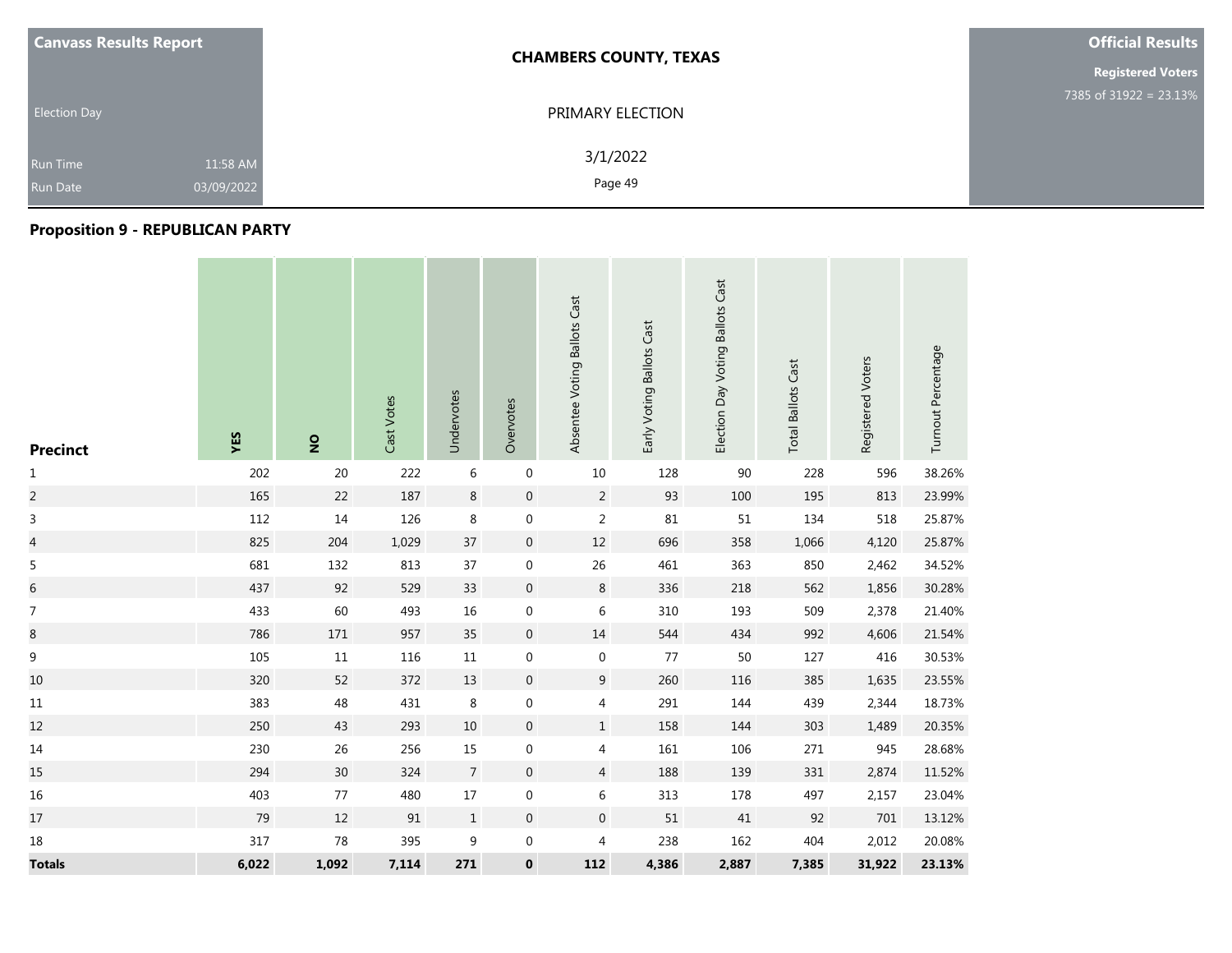| <b>Canvass Results Report</b>                                | <b>CHAMBERS COUNTY, TEXAS</b> | <b>Official Results</b>  |
|--------------------------------------------------------------|-------------------------------|--------------------------|
|                                                              |                               | <b>Registered Voters</b> |
| <b>Election Day</b>                                          | PRIMARY ELECTION              | 7385 of 31922 = 23.13%   |
| 11:58 AM<br><b>Run Time</b><br>03/09/2022<br><b>Run Date</b> | 3/1/2022<br>Page 49           |                          |

# **Proposition 9 - REPUBLICAN PARTY**

| <b>Precinct</b>          | YES   | $\overline{2}$  | Cast Votes                 | Undervotes       | Overvotes        | Absentee Voting Ballots Cast | Early Voting Ballots Cast | Election Day Voting Ballots Cast | <b>Total Ballots Cast</b> | Registered Voters | Turnout Percentage |
|--------------------------|-------|-----------------|----------------------------|------------------|------------------|------------------------------|---------------------------|----------------------------------|---------------------------|-------------------|--------------------|
| $\mathbf 1$              | 202   | $20\,$          | 222                        | $\,$ 6 $\,$      | $\boldsymbol{0}$ | $10\,$                       | 128                       | $90\,$                           | 228                       | 596               | 38.26%             |
| $\overline{a}$           | 165   | 22              | 187                        | $\,8\,$          | $\mathbf 0$      | $\overline{c}$               | 93                        | $100\,$                          | 195                       | 813               | 23.99%             |
| 3                        | 112   | 14              | 126                        | $\,8\,$          | $\boldsymbol{0}$ | $\overline{c}$               | 81                        | $51\,$                           | 134                       | 518               | 25.87%             |
| $\overline{\mathcal{L}}$ | 825   | 204             | 1,029                      | 37               | $\mathbf 0$      | $12\,$                       | 696                       | 358                              | 1,066                     | 4,120             | 25.87%             |
| 5                        | 681   | 132             | 813                        | 37               | $\boldsymbol{0}$ | 26                           | 461                       | 363                              | 850                       | 2,462             | 34.52%             |
| 6                        | 437   | 92              | 529                        | 33               | $\boldsymbol{0}$ | $\,8\,$                      | 336                       | 218                              | 562                       | 1,856             | 30.28%             |
| 7                        | 433   | 60              | 493                        | $16\,$           | $\boldsymbol{0}$ | $\,$ 6 $\,$                  | 310                       | 193                              | 509                       | 2,378             | 21.40%             |
| $\bf 8$                  | 786   | 171             | 957                        | 35               | $\mathbf 0$      | $14\,$                       | 544                       | 434                              | 992                       | 4,606             | 21.54%             |
| 9                        | 105   | $11\,$          | 116                        | $11\,$           | $\boldsymbol{0}$ | $\boldsymbol{0}$             | 77                        | 50                               | 127                       | 416               | 30.53%             |
| $10\,$                   | 320   | 52              | 372                        | $13$             | $\mathbf 0$      | 9                            | 260                       | 116                              | 385                       | 1,635             | 23.55%             |
| $11\,$                   | 383   | 48              | 431                        | $\,8\,$          | $\boldsymbol{0}$ | 4                            | 291                       | 144                              | 439                       | 2,344             | 18.73%             |
| 12                       | 250   | 43              | 293                        | $10\,$           | $\mathbf 0$      | $\mathbf 1$                  | 158                       | 144                              | 303                       | 1,489             | 20.35%             |
| $14\,$                   | 230   | 26              | 256                        | 15               | 0                | 4                            | 161                       | 106                              | 271                       | 945               | 28.68%             |
| 15                       | 294   | 30 <sup>°</sup> | 324                        | $\overline{7}$   | $\boldsymbol{0}$ | $\overline{4}$               | 188                       | 139                              | 331                       | 2,874             | 11.52%             |
| $16\,$                   | 403   | $77\,$          | 480                        | $17\,$           | 0                | 6                            | 313                       | 178                              | 497                       | 2,157             | 23.04%             |
| 17                       | 79    | $12\,$          | $\ensuremath{\mathsf{91}}$ | $\,1\,$          | $\boldsymbol{0}$ | $\mathsf{O}\xspace$          | 51                        | 41                               | 92                        | $701$             | 13.12%             |
| $18\,$                   | 317   | 78              | 395                        | $\boldsymbol{9}$ | 0                | 4                            | 238                       | 162                              | 404                       | 2,012             | 20.08%             |
| <b>Totals</b>            | 6,022 | 1,092           | 7,114                      | 271              | $\pmb{0}$        | 112                          | 4,386                     | 2,887                            | 7,385                     | 31,922            | 23.13%             |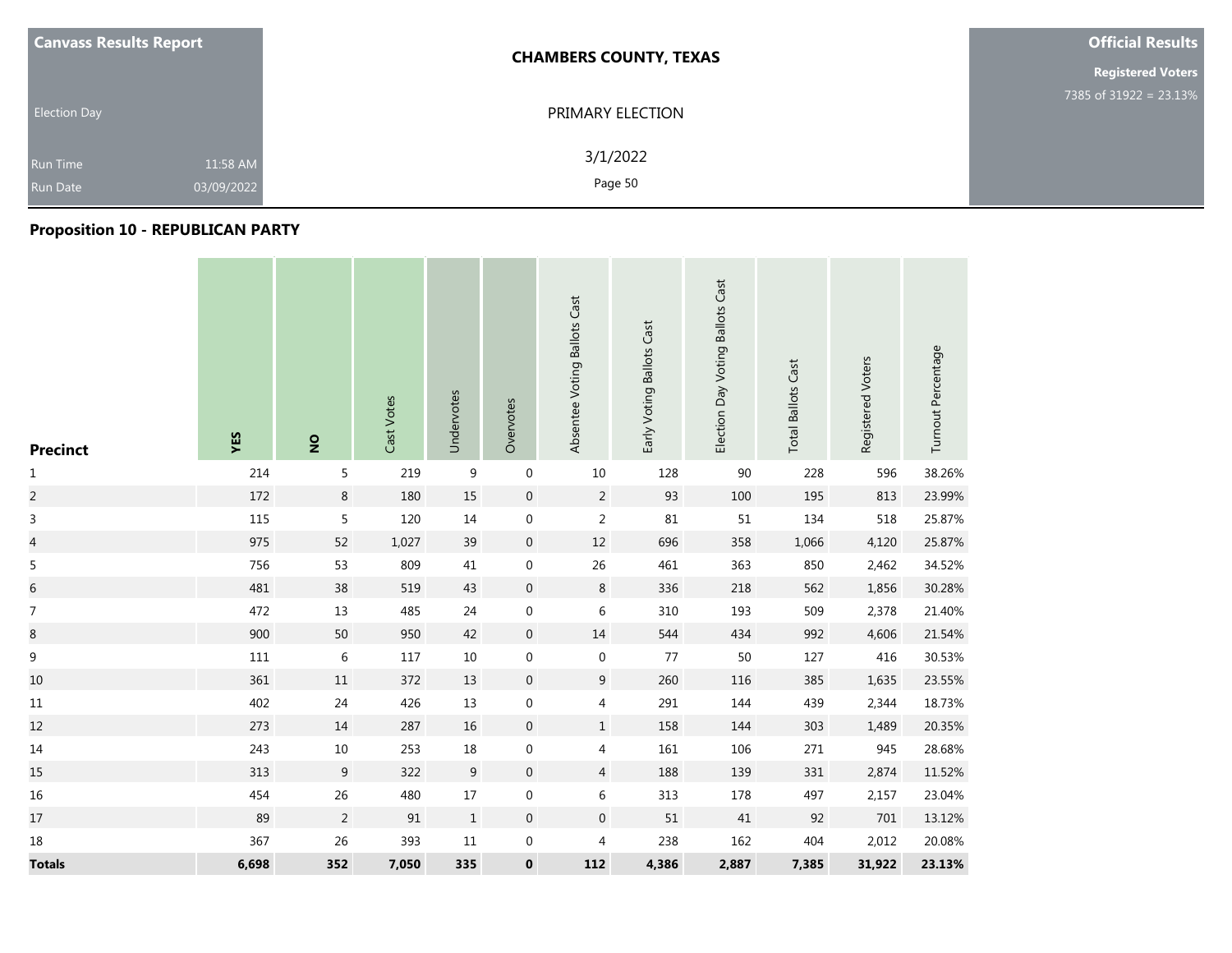| <b>Canvass Results Report</b>      |                        | <b>CHAMBERS COUNTY, TEXAS</b> | Official Results         |
|------------------------------------|------------------------|-------------------------------|--------------------------|
|                                    |                        |                               | <b>Registered Voters</b> |
| <b>Election Day</b>                |                        | PRIMARY ELECTION              | 7385 of 31922 = 23.13%   |
| <b>Run Time</b><br><b>Run Date</b> | 11:58 AM<br>03/09/2022 | 3/1/2022<br>Page 50           |                          |

# **Proposition 10 - REPUBLICAN PARTY**

| <b>Precinct</b>          | YES     | $\overline{2}$ | Cast Votes | Undervotes       | Overvotes           | Absentee Voting Ballots Cast | Early Voting Ballots Cast | Election Day Voting Ballots Cast | <b>Total Ballots Cast</b> | Registered Voters | Turnout Percentage |
|--------------------------|---------|----------------|------------|------------------|---------------------|------------------------------|---------------------------|----------------------------------|---------------------------|-------------------|--------------------|
| $\mathbf 1$              | 214     | 5              | 219        | $\boldsymbol{9}$ | $\boldsymbol{0}$    | $10\,$                       | 128                       | $90\,$                           | 228                       | 596               | 38.26%             |
| $\overline{c}$           | 172     | $\,8\,$        | 180        | $15\,$           | $\boldsymbol{0}$    | $\overline{2}$               | 93                        | 100                              | 195                       | 813               | 23.99%             |
| $\mathsf 3$              | 115     | 5              | 120        | 14               | $\mathbf 0$         | $\overline{2}$               | 81                        | $51\,$                           | 134                       | 518               | 25.87%             |
| $\overline{\mathcal{L}}$ | 975     | 52             | 1,027      | 39               | $\boldsymbol{0}$    | $12\,$                       | 696                       | 358                              | 1,066                     | 4,120             | 25.87%             |
| 5                        | 756     | 53             | 809        | 41               | $\mathbf 0$         | 26                           | 461                       | 363                              | 850                       | 2,462             | 34.52%             |
| $\,$ 6 $\,$              | 481     | 38             | 519        | 43               | $\boldsymbol{0}$    | $\,8\,$                      | 336                       | 218                              | 562                       | 1,856             | 30.28%             |
| $\boldsymbol{7}$         | 472     | $13\,$         | 485        | 24               | $\boldsymbol{0}$    | $\,$ 6 $\,$                  | 310                       | 193                              | 509                       | 2,378             | 21.40%             |
| $\bf 8$                  | 900     | 50             | 950        | 42               | $\mathsf{O}\xspace$ | 14                           | 544                       | 434                              | 992                       | 4,606             | 21.54%             |
| $\boldsymbol{9}$         | $111\,$ | 6              | 117        | 10               | $\mathbf 0$         | $\mathbf 0$                  | 77                        | $50\,$                           | 127                       | 416               | 30.53%             |
| 10                       | 361     | $11\,$         | 372        | 13               | $\mathsf{O}\xspace$ | 9                            | 260                       | 116                              | 385                       | 1,635             | 23.55%             |
| $11\,$                   | 402     | 24             | 426        | 13               | $\boldsymbol{0}$    | 4                            | 291                       | 144                              | 439                       | 2,344             | 18.73%             |
| 12                       | 273     | 14             | 287        | $16\,$           | $\mathsf{O}\xspace$ | $\mathbf 1$                  | 158                       | 144                              | 303                       | 1,489             | 20.35%             |
| 14                       | 243     | 10             | 253        | 18               | $\boldsymbol{0}$    | 4                            | 161                       | 106                              | 271                       | 945               | 28.68%             |
| 15                       | 313     | 9              | 322        | 9                | $\mathsf{O}\xspace$ | $\overline{4}$               | 188                       | 139                              | 331                       | 2,874             | 11.52%             |
| $16\,$                   | 454     | 26             | 480        | $17\,$           | $\boldsymbol{0}$    | 6                            | 313                       | 178                              | 497                       | 2,157             | 23.04%             |
| $17\,$                   | 89      | $\overline{2}$ | 91         | $\,$ 1 $\,$      | $\boldsymbol{0}$    | $\boldsymbol{0}$             | $51\,$                    | 41                               | 92                        | $701\,$           | 13.12%             |
| $18\,$                   | 367     | 26             | 393        | $11\,$           | $\boldsymbol{0}$    | 4                            | 238                       | 162                              | 404                       | 2,012             | 20.08%             |
| <b>Totals</b>            | 6,698   | 352            | 7,050      | 335              | $\pmb{0}$           | 112                          | 4,386                     | 2,887                            | 7,385                     | 31,922            | 23.13%             |